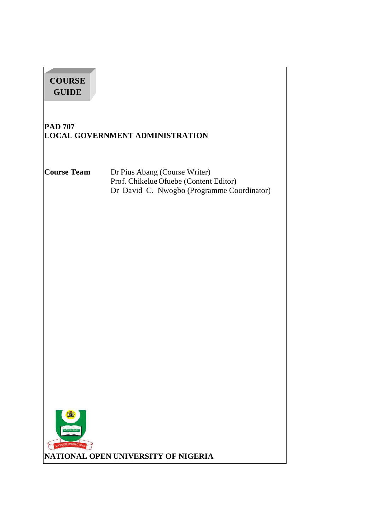| <b>COURSE</b><br><b>GUIDE</b> |                                                                                                                       |
|-------------------------------|-----------------------------------------------------------------------------------------------------------------------|
| <b>PAD 707</b>                | <b>LOCAL GOVERNMENT ADMINISTRATION</b>                                                                                |
| <b>Course Team</b>            | Dr Pius Abang (Course Writer)<br>Prof. Chikelue Ofuebe (Content Editor)<br>Dr David C. Nwogbo (Programme Coordinator) |
|                               | NATIONAL OPEN UNIVERSITY OF NIGERIA                                                                                   |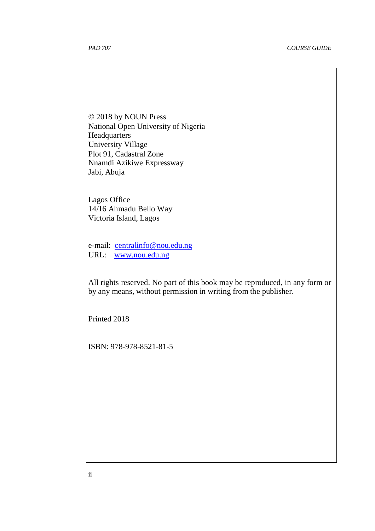© 2018 by NOUN Press National Open University of Nigeria Headquarters University Village Plot 91, Cadastral Zone Nnamdi Azikiwe Expressway Jabi, Abuja

Lagos Office 14/16 Ahmadu Bello Way Victoria Island, Lagos

e-mail: centralinfo@nou.edu.ng URL: www.nou.edu.ng

All rights reserved. No part of this book may be reproduced, in any form or by any means, without permission in writing from the publisher.

Printed 2018

ISBN: 978-978-8521-81-5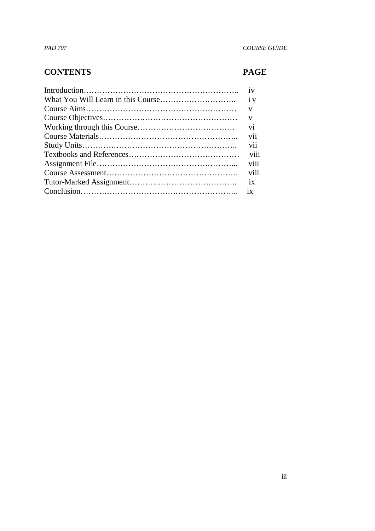# **CONTENTS PAGE**

| 1V                      |
|-------------------------|
| $\mathbf{i} \mathbf{v}$ |
| V                       |
| V                       |
| vi                      |
| V11                     |
| V11                     |
| viii                    |
| V111                    |
| V111                    |
| $\overline{1}X$         |
| $\overline{1}X$         |
|                         |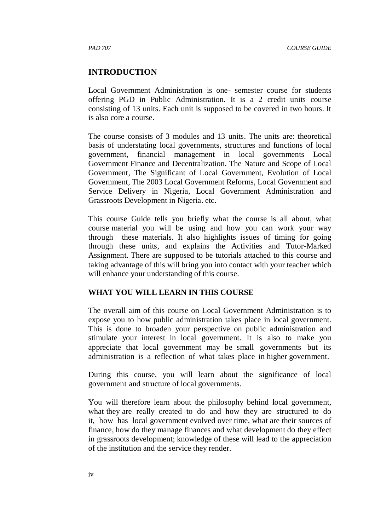#### **INTRODUCTION**

Local Government Administration is one- semester course for students offering PGD in Public Administration. It is a 2 credit units course consisting of 13 units. Each unit is supposed to be covered in two hours. It is also core a course.

The course consists of 3 modules and 13 units. The units are: theoretical basis of understating local governments, structures and functions of local government, financial management in local governments Local Government Finance and Decentralization. The Nature and Scope of Local Government, The Significant of Local Government, Evolution of Local Government, The 2003 Local Government Reforms, Local Government and Service Delivery in Nigeria, Local Government Administration and Grassroots Development in Nigeria. etc.

This course Guide tells you briefly what the course is all about, what course material you will be using and how you can work your way through these materials. It also highlights issues of timing for going through these units, and explains the Activities and Tutor-Marked Assignment. There are supposed to be tutorials attached to this course and taking advantage of this will bring you into contact with your teacher which will enhance your understanding of this course.

#### **WHAT YOU WILL LEARN IN THIS COURSE**

The overall aim of this course on Local Government Administration is to expose you to how public administration takes place in local government. This is done to broaden your perspective on public administration and stimulate your interest in local government. It is also to make you appreciate that local government may be small governments but its administration is a reflection of what takes place in higher government.

During this course, you will learn about the significance of local government and structure of local governments.

You will therefore learn about the philosophy behind local government, what they are really created to do and how they are structured to do it, how has local government evolved over time, what are their sources of finance, how do they manage finances and what development do they effect in grassroots development; knowledge of these will lead to the appreciation of the institution and the service they render.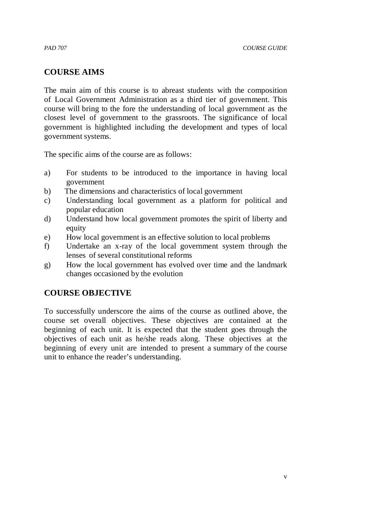### **COURSE AIMS**

The main aim of this course is to abreast students with the composition of Local Government Administration as a third tier of government. This course will bring to the fore the understanding of local government as the closest level of government to the grassroots. The significance of local government is highlighted including the development and types of local government systems.

The specific aims of the course are as follows:

- a) For students to be introduced to the importance in having local government
- b) The dimensions and characteristics of local government
- c) Understanding local government as a platform for political and popular education
- d) Understand how local government promotes the spirit of liberty and equity
- e) How local government is an effective solution to local problems
- f) Undertake an x-ray of the local government system through the lenses of several constitutional reforms
- g) How the local government has evolved over time and the landmark changes occasioned by the evolution

#### **COURSE OBJECTIVE**

To successfully underscore the aims of the course as outlined above, the course set overall objectives. These objectives are contained at the beginning of each unit. It is expected that the student goes through the objectives of each unit as he/she reads along. These objectives at the beginning of every unit are intended to present a summary of the course unit to enhance the reader's understanding.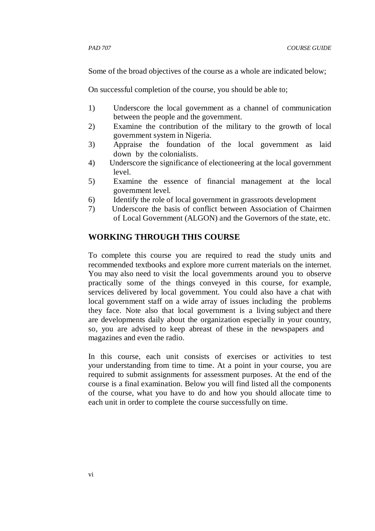Some of the broad objectives of the course as a whole are indicated below;

On successful completion of the course, you should be able to;

- 1) Underscore the local government as a channel of communication between the people and the government.
- 2) Examine the contribution of the military to the growth of local government system in Nigeria.
- 3) Appraise the foundation of the local government as laid down by the colonialists.
- 4) Underscore the significance of electioneering at the local government level.
- 5) Examine the essence of financial management at the local government level.
- 6) Identify the role of local government in grassroots development
- 7) Underscore the basis of conflict between Association of Chairmen of Local Government (ALGON) and the Governors of the state, etc.

#### **WORKING THROUGH THIS COURSE**

To complete this course you are required to read the study units and recommended textbooks and explore more current materials on the internet. You may also need to visit the local governments around you to observe practically some of the things conveyed in this course, for example, services delivered by local government. You could also have a chat with local government staff on a wide array of issues including the problems they face. Note also that local government is a living subject and there are developments daily about the organization especially in your country, so, you are advised to keep abreast of these in the newspapers and magazines and even the radio.

In this course, each unit consists of exercises or activities to test your understanding from time to time. At a point in your course, you are required to submit assignments for assessment purposes. At the end of the course is a final examination. Below you will find listed all the components of the course, what you have to do and how you should allocate time to each unit in order to complete the course successfully on time.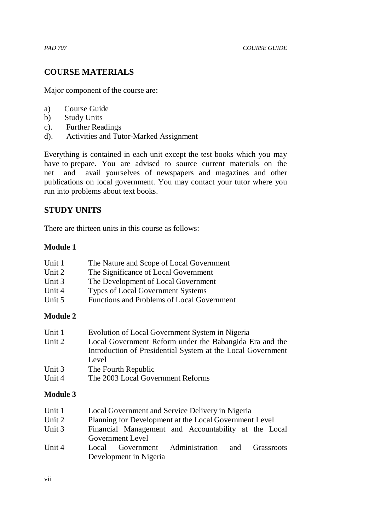#### **COURSE MATERIALS**

Major component of the course are:

- a) Course Guide
- b) Study Units
- c). Further Readings
- d). Activities and Tutor-Marked Assignment

Everything is contained in each unit except the test books which you may have to prepare. You are advised to source current materials on the net and avail yourselves of newspapers and magazines and other publications on local government. You may contact your tutor where you run into problems about text books.

#### **STUDY UNITS**

There are thirteen units in this course as follows:

#### **Module 1**

| Unit 1 | The Nature and Scope of Local Government   |
|--------|--------------------------------------------|
| Unit 2 | The Significance of Local Government       |
| Unit 3 | The Development of Local Government        |
| Unit 4 | <b>Types of Local Government Systems</b>   |
| Unit 5 | Functions and Problems of Local Government |

# **Module 2**

# Unit 1 Evolution of Local Government System in Nigeria

- Unit 2 Local Government Reform under the Babangida Era and the Introduction of Presidential System at the Local Government Level
- Unit 3 The Fourth Republic
- Unit 4 The 2003 Local Government Reforms

#### **Module 3**

| Unit 1 | Local Government and Service Delivery in Nigeria |
|--------|--------------------------------------------------|
|--------|--------------------------------------------------|

- Unit 2 Planning for Development at the Local Government Level
- Unit 3 Financial Management and Accountability at the Local Government Level
- Unit 4 Local Government Administration and Grassroots Development in Nigeria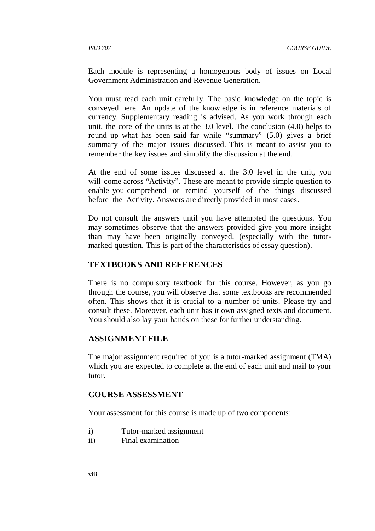Each module is representing a homogenous body of issues on Local Government Administration and Revenue Generation.

You must read each unit carefully. The basic knowledge on the topic is conveyed here. An update of the knowledge is in reference materials of currency. Supplementary reading is advised. As you work through each unit, the core of the units is at the 3.0 level. The conclusion (4.0) helps to round up what has been said far while "summary" (5.0) gives a brief summary of the major issues discussed. This is meant to assist you to remember the key issues and simplify the discussion at the end.

At the end of some issues discussed at the 3.0 level in the unit, you will come across "Activity". These are meant to provide simple question to enable you comprehend or remind yourself of the things discussed before the Activity. Answers are directly provided in most cases.

Do not consult the answers until you have attempted the questions. You may sometimes observe that the answers provided give you more insight than may have been originally conveyed, (especially with the tutormarked question. This is part of the characteristics of essay question).

#### **TEXTBOOKS AND REFERENCES**

There is no compulsory textbook for this course. However, as you go through the course, you will observe that some textbooks are recommended often. This shows that it is crucial to a number of units. Please try and consult these. Moreover, each unit has it own assigned texts and document. You should also lay your hands on these for further understanding.

#### **ASSIGNMENT FILE**

The major assignment required of you is a tutor-marked assignment (TMA) which you are expected to complete at the end of each unit and mail to your tutor.

#### **COURSE ASSESSMENT**

Your assessment for this course is made up of two components:

- i) Tutor-marked assignment
- ii) Final examination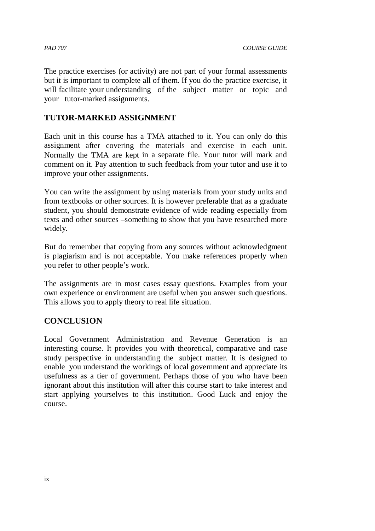The practice exercises (or activity) are not part of your formal assessments but it is important to complete all of them. If you do the practice exercise, it will facilitate your understanding of the subject matter or topic and your tutor-marked assignments.

# **TUTOR-MARKED ASSIGNMENT**

Each unit in this course has a TMA attached to it. You can only do this assignment after covering the materials and exercise in each unit. Normally the TMA are kept in a separate file. Your tutor will mark and comment on it. Pay attention to such feedback from your tutor and use it to improve your other assignments.

You can write the assignment by using materials from your study units and from textbooks or other sources. It is however preferable that as a graduate student, you should demonstrate evidence of wide reading especially from texts and other sources –something to show that you have researched more widely.

But do remember that copying from any sources without acknowledgment is plagiarism and is not acceptable. You make references properly when you refer to other people's work.

The assignments are in most cases essay questions. Examples from your own experience or environment are useful when you answer such questions. This allows you to apply theory to real life situation.

# **CONCLUSION**

Local Government Administration and Revenue Generation is an interesting course. It provides you with theoretical, comparative and case study perspective in understanding the subject matter. It is designed to enable you understand the workings of local government and appreciate its usefulness as a tier of government. Perhaps those of you who have been ignorant about this institution will after this course start to take interest and start applying yourselves to this institution. Good Luck and enjoy the course.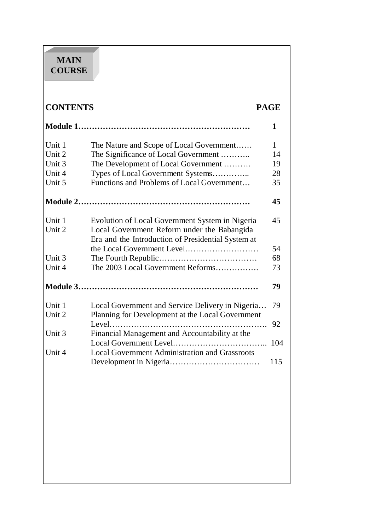# **MAIN COURSE**

# **CONTENTS PAGE**

|        |                                                       | 1   |
|--------|-------------------------------------------------------|-----|
| Unit 1 | The Nature and Scope of Local Government              | 1   |
| Unit 2 | The Significance of Local Government                  | 14  |
| Unit 3 | The Development of Local Government                   | 19  |
| Unit 4 | Types of Local Government Systems                     | 28  |
| Unit 5 | Functions and Problems of Local Government            | 35  |
|        |                                                       | 45  |
| Unit 1 | Evolution of Local Government System in Nigeria       | 45  |
| Unit 2 | Local Government Reform under the Babangida           |     |
|        | Era and the Introduction of Presidential System at    |     |
|        |                                                       | 54  |
| Unit 3 |                                                       | 68  |
| Unit 4 | The 2003 Local Government Reforms                     | 73  |
|        |                                                       | 79  |
| Unit 1 | Local Government and Service Delivery in Nigeria      | 79  |
| Unit 2 | Planning for Development at the Local Government      |     |
|        |                                                       | 92  |
| Unit 3 | Financial Management and Accountability at the        |     |
|        |                                                       | 104 |
| Unit 4 | <b>Local Government Administration and Grassroots</b> |     |
|        |                                                       | 115 |
|        |                                                       |     |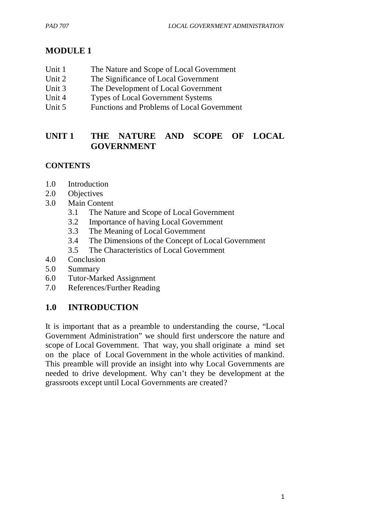# **MODULE 1**

- Unit 1 The Nature and Scope of Local Government
- Unit 2 The Significance of Local Government
- Unit 3 The Development of Local Government
- Unit 4 Types of Local Government Systems
- Unit 5 Functions and Problems of Local Government

# **UNIT 1 THE NATURE AND SCOPE OF LOCAL GOVERNMENT**

# **CONTENTS**

- 1.0 Introduction
- 2.0 Objectives
- 3.0 Main Content
	- 3.1 The Nature and Scope of Local Government
	- 3.2 Importance of having Local Government
	- 3.3 The Meaning of Local Government
	- 3.4 The Dimensions of the Concept of Local Government
	- 3.5 The Characteristics of Local Government
- 4.0 Conclusion
- 5.0 Summary
- 6.0 Tutor-Marked Assignment
- 7.0 References/Further Reading

# **1.0 INTRODUCTION**

It is important that as a preamble to understanding the course, "Local Government Administration" we should first underscore the nature and scope of Local Government. That way, you shall originate a mind set on the place of Local Government in the whole activities of mankind. This preamble will provide an insight into why Local Governments are needed to drive development. Why can't they be development at the grassroots except until Local Governments are created?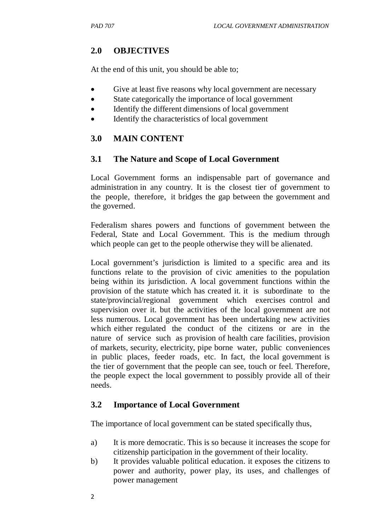# **2.0 OBJECTIVES**

At the end of this unit, you should be able to;

- Give at least five reasons why local government are necessary
- State categorically the importance of local government
- Identify the different dimensions of local government
- Identify the characteristics of local government

# **3.0 MAIN CONTENT**

# **3.1 The Nature and Scope of Local Government**

Local Government forms an indispensable part of governance and administration in any country. It is the closest tier of government to the people, therefore, it bridges the gap between the government and the governed.

Federalism shares powers and functions of government between the Federal, State and Local Government. This is the medium through which people can get to the people otherwise they will be alienated.

Local government's jurisdiction is limited to a specific area and its functions relate to the provision of civic amenities to the population being within its jurisdiction. A local government functions within the provision of the statute which has created it. it is subordinate to the state/provincial/regional government which exercises control and supervision over it. but the activities of the local government are not less numerous. Local government has been undertaking new activities which either regulated the conduct of the citizens or are in the nature of service such as provision of health care facilities, provision of markets, security, electricity, pipe borne water, public conveniences in public places, feeder roads, etc. In fact, the local government is the tier of government that the people can see, touch or feel. Therefore, the people expect the local government to possibly provide all of their needs.

# **3.2 Importance of Local Government**

The importance of local government can be stated specifically thus,

- a) It is more democratic. This is so because it increases the scope for citizenship participation in the government of their locality.
- b) It provides valuable political education. it exposes the citizens to power and authority, power play, its uses, and challenges of power management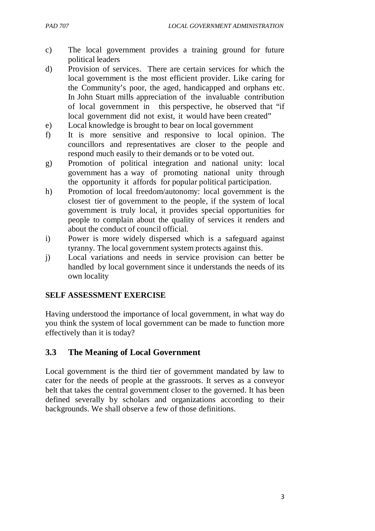- c) The local government provides a training ground for future political leaders
- d) Provision of services. There are certain services for which the local government is the most efficient provider. Like caring for the Community's poor, the aged, handicapped and orphans etc. In John Stuart mills appreciation of the invaluable contribution of local government in this perspective, he observed that "if local government did not exist, it would have been created"
- e) Local knowledge is brought to bear on local government
- f) It is more sensitive and responsive to local opinion. The councillors and representatives are closer to the people and respond much easily to their demands or to be voted out.
- g) Promotion of political integration and national unity: local government has a way of promoting national unity through the opportunity it affords for popular political participation.
- h) Promotion of local freedom/autonomy: local government is the closest tier of government to the people, if the system of local government is truly local, it provides special opportunities for people to complain about the quality of services it renders and about the conduct of council official.
- i) Power is more widely dispersed which is a safeguard against tyranny. The local government system protects against this.
- j) Local variations and needs in service provision can better be handled by local government since it understands the needs of its own locality

#### **SELF ASSESSMENT EXERCISE**

Having understood the importance of local government, in what way do you think the system of local government can be made to function more effectively than it is today?

# **3.3 The Meaning of Local Government**

Local government is the third tier of government mandated by law to cater for the needs of people at the grassroots. It serves as a conveyor belt that takes the central government closer to the governed. It has been defined severally by scholars and organizations according to their backgrounds. We shall observe a few of those definitions.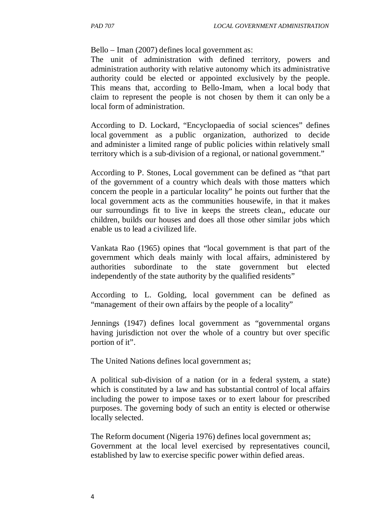Bello – Iman (2007) defines local government as:

The unit of administration with defined territory, powers and administration authority with relative autonomy which its administrative authority could be elected or appointed exclusively by the people. This means that, according to Bello-Imam, when a local body that claim to represent the people is not chosen by them it can only be a local form of administration.

According to D. Lockard, "Encyclopaedia of social sciences" defines local government as a public organization, authorized to decide and administer a limited range of public policies within relatively small territory which is a sub-division of a regional, or national government."

According to P. Stones, Local government can be defined as "that part of the government of a country which deals with those matters which concern the people in a particular locality" he points out further that the local government acts as the communities housewife, in that it makes our surroundings fit to live in keeps the streets clean,, educate our children, builds our houses and does all those other similar jobs which enable us to lead a civilized life.

Vankata Rao (1965) opines that "local government is that part of the government which deals mainly with local affairs, administered by authorities subordinate to the state government but elected independently of the state authority by the qualified residents"

According to L. Golding, local government can be defined as "management of their own affairs by the people of a locality"

Jennings (1947) defines local government as "governmental organs having jurisdiction not over the whole of a country but over specific portion of it".

The United Nations defines local government as;

A political sub-division of a nation (or in a federal system, a state) which is constituted by a law and has substantial control of local affairs including the power to impose taxes or to exert labour for prescribed purposes. The governing body of such an entity is elected or otherwise locally selected.

The Reform document (Nigeria 1976) defines local government as; Government at the local level exercised by representatives council, established by law to exercise specific power within defied areas.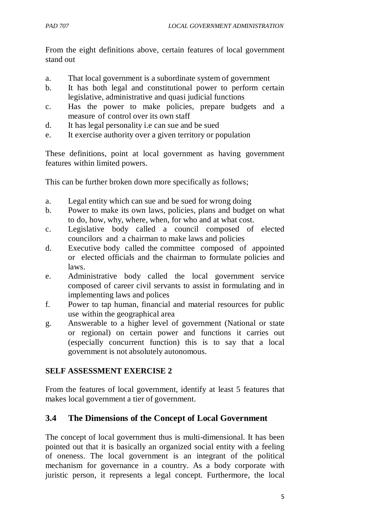From the eight definitions above, certain features of local government stand out

- a. That local government is a subordinate system of government
- b. It has both legal and constitutional power to perform certain legislative, administrative and quasi judicial functions
- c. Has the power to make policies, prepare budgets and a measure of control over its own staff
- d. It has legal personality i.e can sue and be sued
- e. It exercise authority over a given territory or population

These definitions, point at local government as having government features within limited powers.

This can be further broken down more specifically as follows;

- a. Legal entity which can sue and be sued for wrong doing
- b. Power to make its own laws, policies, plans and budget on what to do, how, why, where, when, for who and at what cost.
- c. Legislative body called a council composed of elected councilors and a chairman to make laws and policies
- d. Executive body called the committee composed of appointed or elected officials and the chairman to formulate policies and laws.
- e. Administrative body called the local government service composed of career civil servants to assist in formulating and in implementing laws and polices
- f. Power to tap human, financial and material resources for public use within the geographical area
- g. Answerable to a higher level of government (National or state or regional) on certain power and functions it carries out (especially concurrent function) this is to say that a local government is not absolutely autonomous.

#### **SELF ASSESSMENT EXERCISE 2**

From the features of local government, identify at least 5 features that makes local government a tier of government.

# **3.4 The Dimensions of the Concept of Local Government**

The concept of local government thus is multi-dimensional. It has been pointed out that it is basically an organized social entity with a feeling of oneness. The local government is an integrant of the political mechanism for governance in a country. As a body corporate with juristic person, it represents a legal concept. Furthermore, the local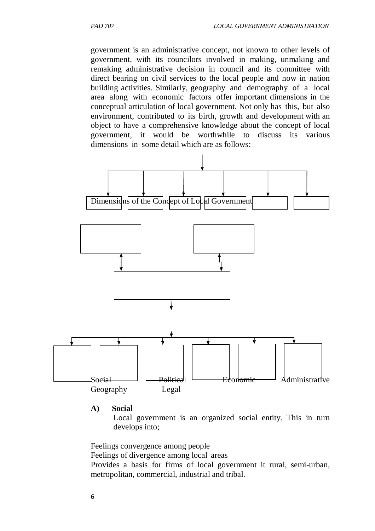government is an administrative concept, not known to other levels of government, with its councilors involved in making, unmaking and remaking administrative decision in council and its committee with direct bearing on civil services to the local people and now in nation building activities. Similarly, geography and demography of a local area along with economic factors offer important dimensions in the conceptual articulation of local government. Not only has this, but also environment, contributed to its birth, growth and development with an object to have a comprehensive knowledge about the concept of local government, it would be worthwhile to discuss its various dimensions in some detail which are as follows:



#### **A) Social**

Local government is an organized social entity. This in turn develops into;

Feelings convergence among people

Feelings of divergence among local areas

Provides a basis for firms of local government it rural, semi-urban, metropolitan, commercial, industrial and tribal.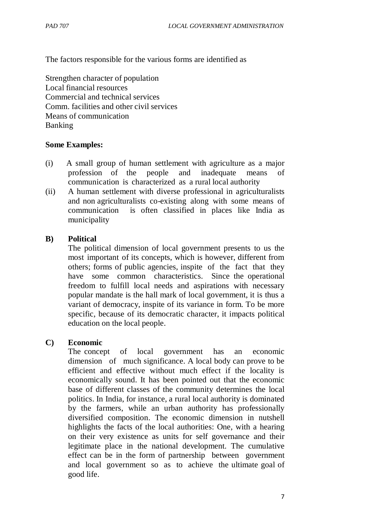The factors responsible for the various forms are identified as

Strengthen character of population Local financial resources Commercial and technical services Comm. facilities and other civil services Means of communication Banking

#### **Some Examples:**

- (i) A small group of human settlement with agriculture as a major profession of the people and inadequate means of communication is characterized as a rural local authority
- (ii) A human settlement with diverse professional in agriculturalists and non agriculturalists co-existing along with some means of communication is often classified in places like India as municipality

#### **B) Political**

The political dimension of local government presents to us the most important of its concepts, which is however, different from others; forms of public agencies, inspite of the fact that they have some common characteristics. Since the operational freedom to fulfill local needs and aspirations with necessary popular mandate is the hall mark of local government, it is thus a variant of democracy, inspite of its variance in form. To be more specific, because of its democratic character, it impacts political education on the local people.

#### **C) Economic**

The concept of local government has an economic dimension of much significance. A local body can prove to be efficient and effective without much effect if the locality is economically sound. It has been pointed out that the economic base of different classes of the community determines the local politics. In India, for instance, a rural local authority is dominated by the farmers, while an urban authority has professionally diversified composition. The economic dimension in nutshell highlights the facts of the local authorities: One, with a hearing on their very existence as units for self governance and their legitimate place in the national development. The cumulative effect can be in the form of partnership between government and local government so as to achieve the ultimate goal of good life.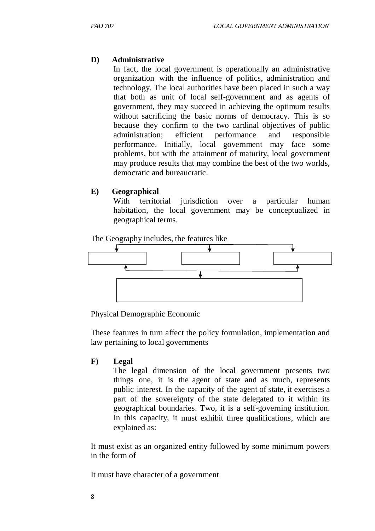### **D) Administrative**

In fact, the local government is operationally an administrative organization with the influence of politics, administration and technology. The local authorities have been placed in such a way that both as unit of local self-government and as agents of government, they may succeed in achieving the optimum results without sacrificing the basic norms of democracy. This is so because they confirm to the two cardinal objectives of public administration; efficient performance and responsible performance. Initially, local government may face some problems, but with the attainment of maturity, local government may produce results that may combine the best of the two worlds, democratic and bureaucratic.

### **E) Geographical**

With territorial jurisdiction over a particular human habitation, the local government may be conceptualized in geographical terms.

The Geography includes, the features like



Physical Demographic Economic

These features in turn affect the policy formulation, implementation and law pertaining to local governments

# **F) Legal**

The legal dimension of the local government presents two things one, it is the agent of state and as much, represents public interest. In the capacity of the agent of state, it exercises a part of the sovereignty of the state delegated to it within its geographical boundaries. Two, it is a self-governing institution. In this capacity, it must exhibit three qualifications, which are explained as:

It must exist as an organized entity followed by some minimum powers in the form of

It must have character of a government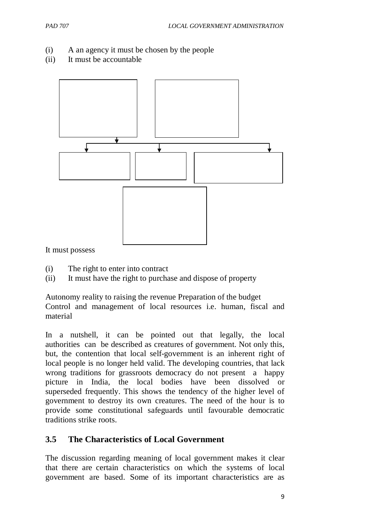- (i) A an agency it must be chosen by the people
- (ii) It must be accountable



It must possess

- (i) The right to enter into contract
- (ii) It must have the right to purchase and dispose of property

Autonomy reality to raising the revenue Preparation of the budget Control and management of local resources i.e. human, fiscal and material

In a nutshell, it can be pointed out that legally, the local authorities can be described as creatures of government. Not only this, but, the contention that local self-government is an inherent right of local people is no longer held valid. The developing countries, that lack wrong traditions for grassroots democracy do not present a happy picture in India, the local bodies have been dissolved or superseded frequently. This shows the tendency of the higher level of government to destroy its own creatures. The need of the hour is to provide some constitutional safeguards until favourable democratic traditions strike roots.

# **3.5 The Characteristics of Local Government**

The discussion regarding meaning of local government makes it clear that there are certain characteristics on which the systems of local government are based. Some of its important characteristics are as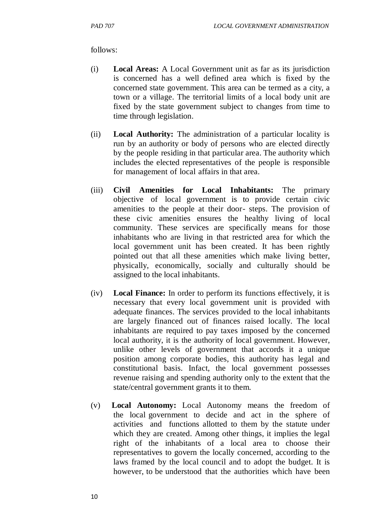#### follows:

- (i) **Local Areas:** A Local Government unit as far as its jurisdiction is concerned has a well defined area which is fixed by the concerned state government. This area can be termed as a city, a town or a village. The territorial limits of a local body unit are fixed by the state government subject to changes from time to time through legislation.
- (ii) **Local Authority:** The administration of a particular locality is run by an authority or body of persons who are elected directly by the people residing in that particular area. The authority which includes the elected representatives of the people is responsible for management of local affairs in that area.
- (iii) **Civil Amenities for Local Inhabitants:** The primary objective of local government is to provide certain civic amenities to the people at their door- steps. The provision of these civic amenities ensures the healthy living of local community. These services are specifically means for those inhabitants who are living in that restricted area for which the local government unit has been created. It has been rightly pointed out that all these amenities which make living better, physically, economically, socially and culturally should be assigned to the local inhabitants.
- (iv) **Local Finance:** In order to perform its functions effectively, it is necessary that every local government unit is provided with adequate finances. The services provided to the local inhabitants are largely financed out of finances raised locally. The local inhabitants are required to pay taxes imposed by the concerned local authority, it is the authority of local government. However, unlike other levels of government that accords it a unique position among corporate bodies, this authority has legal and constitutional basis. Infact, the local government possesses revenue raising and spending authority only to the extent that the state/central government grants it to them.
- (v) **Local Autonomy:** Local Autonomy means the freedom of the local government to decide and act in the sphere of activities and functions allotted to them by the statute under which they are created. Among other things, it implies the legal right of the inhabitants of a local area to choose their representatives to govern the locally concerned, according to the laws framed by the local council and to adopt the budget. It is however, to be understood that the authorities which have been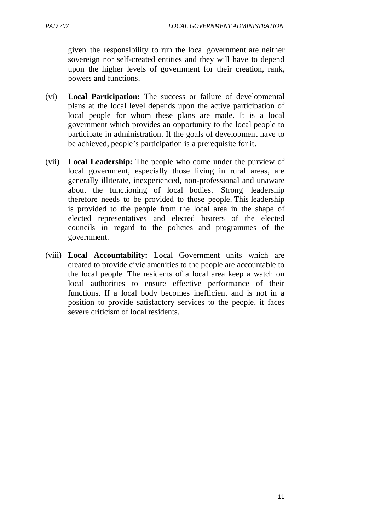given the responsibility to run the local government are neither sovereign nor self-created entities and they will have to depend upon the higher levels of government for their creation, rank, powers and functions.

- (vi) **Local Participation:** The success or failure of developmental plans at the local level depends upon the active participation of local people for whom these plans are made. It is a local government which provides an opportunity to the local people to participate in administration. If the goals of development have to be achieved, people's participation is a prerequisite for it.
- (vii) **Local Leadership:** The people who come under the purview of local government, especially those living in rural areas, are generally illiterate, inexperienced, non-professional and unaware about the functioning of local bodies. Strong leadership therefore needs to be provided to those people. This leadership is provided to the people from the local area in the shape of elected representatives and elected bearers of the elected councils in regard to the policies and programmes of the government.
- (viii) **Local Accountability:** Local Government units which are created to provide civic amenities to the people are accountable to the local people. The residents of a local area keep a watch on local authorities to ensure effective performance of their functions. If a local body becomes inefficient and is not in a position to provide satisfactory services to the people, it faces severe criticism of local residents.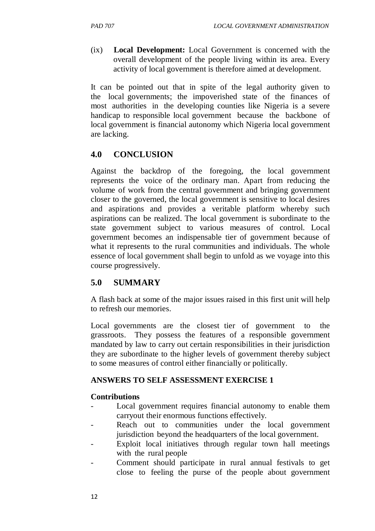(ix) **Local Development:** Local Government is concerned with the overall development of the people living within its area. Every activity of local government is therefore aimed at development.

It can be pointed out that in spite of the legal authority given to the local governments; the impoverished state of the finances of most authorities in the developing counties like Nigeria is a severe handicap to responsible local government because the backbone of local government is financial autonomy which Nigeria local government are lacking.

# **4.0 CONCLUSION**

Against the backdrop of the foregoing, the local government represents the voice of the ordinary man. Apart from reducing the volume of work from the central government and bringing government closer to the governed, the local government is sensitive to local desires and aspirations and provides a veritable platform whereby such aspirations can be realized. The local government is subordinate to the state government subject to various measures of control. Local government becomes an indispensable tier of government because of what it represents to the rural communities and individuals. The whole essence of local government shall begin to unfold as we voyage into this course progressively.

# **5.0 SUMMARY**

A flash back at some of the major issues raised in this first unit will help to refresh our memories.

Local governments are the closest tier of government to the grassroots. They possess the features of a responsible government mandated by law to carry out certain responsibilities in their jurisdiction they are subordinate to the higher levels of government thereby subject to some measures of control either financially or politically.

#### **ANSWERS TO SELF ASSESSMENT EXERCISE 1**

#### **Contributions**

- Local government requires financial autonomy to enable them carryout their enormous functions effectively.
- Reach out to communities under the local government jurisdiction beyond the headquarters of the local government.
- Exploit local initiatives through regular town hall meetings with the rural people
- Comment should participate in rural annual festivals to get close to feeling the purse of the people about government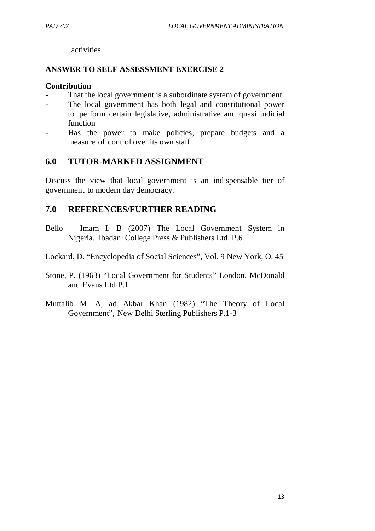activities.

#### **ANSWER TO SELF ASSESSMENT EXERCISE 2**

#### **Contribution**

- That the local government is a subordinate system of government
- The local government has both legal and constitutional power to perform certain legislative, administrative and quasi judicial function
- Has the power to make policies, prepare budgets and a measure of control over its own staff

# **6.0 TUTOR-MARKED ASSIGNMENT**

Discuss the view that local government is an indispensable tier of government to modern day democracy.

### **7.0 REFERENCES/FURTHER READING**

- Bello Imam I. B (2007) The Local Government System in Nigeria. Ibadan: College Press & Publishers Ltd. P.6
- Lockard, D. "Encyclopedia of Social Sciences", Vol. 9 New York, O. 45
- Stone, P. (1963) "Local Government for Students" London, McDonald and Evans Ltd P.1
- Muttalib M. A, ad Akbar Khan (1982) "The Theory of Local Government", New Delhi Sterling Publishers P.1-3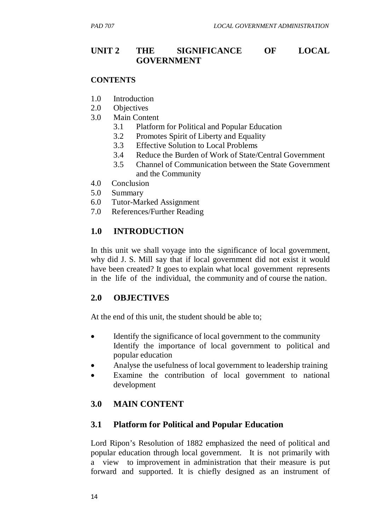# **UNIT 2 THE SIGNIFICANCE OF LOCAL GOVERNMENT**

#### **CONTENTS**

- 1.0 Introduction
- 2.0 Objectives
- 3.0 Main Content
	- 3.1 Platform for Political and Popular Education
	- 3.2 Promotes Spirit of Liberty and Equality
	- 3.3 Effective Solution to Local Problems
	- 3.4 Reduce the Burden of Work of State/Central Government
	- 3.5 Channel of Communication between the State Government and the Community
- 4.0 Conclusion
- 5.0 Summary
- 6.0 Tutor-Marked Assignment
- 7.0 References/Further Reading

### **1.0 INTRODUCTION**

In this unit we shall voyage into the significance of local government, why did J. S. Mill say that if local government did not exist it would have been created? It goes to explain what local government represents in the life of the individual, the community and of course the nation.

#### **2.0 OBJECTIVES**

At the end of this unit, the student should be able to;

- Identify the significance of local government to the community Identify the importance of local government to political and popular education
- Analyse the usefulness of local government to leadership training
- Examine the contribution of local government to national development

# **3.0 MAIN CONTENT**

#### **3.1 Platform for Political and Popular Education**

Lord Ripon's Resolution of 1882 emphasized the need of political and popular education through local government. It is not primarily with a view to improvement in administration that their measure is put forward and supported. It is chiefly designed as an instrument of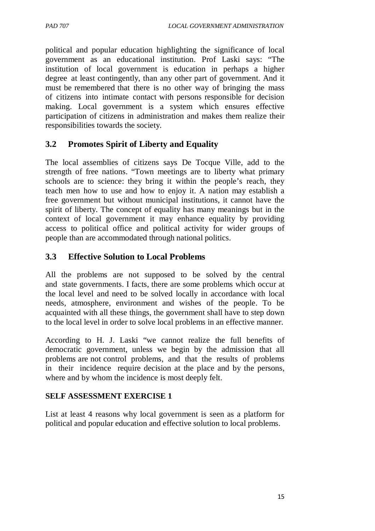political and popular education highlighting the significance of local government as an educational institution. Prof Laski says: "The institution of local government is education in perhaps a higher degree at least contingently, than any other part of government. And it must be remembered that there is no other way of bringing the mass of citizens into intimate contact with persons responsible for decision making. Local government is a system which ensures effective participation of citizens in administration and makes them realize their responsibilities towards the society.

### **3.2 Promotes Spirit of Liberty and Equality**

The local assemblies of citizens says De Tocque Ville, add to the strength of free nations. "Town meetings are to liberty what primary schools are to science: they bring it within the people's reach, they teach men how to use and how to enjoy it. A nation may establish a free government but without municipal institutions, it cannot have the spirit of liberty. The concept of equality has many meanings but in the context of local government it may enhance equality by providing access to political office and political activity for wider groups of people than are accommodated through national politics.

#### **3.3 Effective Solution to Local Problems**

All the problems are not supposed to be solved by the central and state governments. I facts, there are some problems which occur at the local level and need to be solved locally in accordance with local needs, atmosphere, environment and wishes of the people. To be acquainted with all these things, the government shall have to step down to the local level in order to solve local problems in an effective manner.

According to H. J. Laski "we cannot realize the full benefits of democratic government, unless we begin by the admission that all problems are not control problems, and that the results of problems in their incidence require decision at the place and by the persons, where and by whom the incidence is most deeply felt.

#### **SELF ASSESSMENT EXERCISE 1**

List at least 4 reasons why local government is seen as a platform for political and popular education and effective solution to local problems.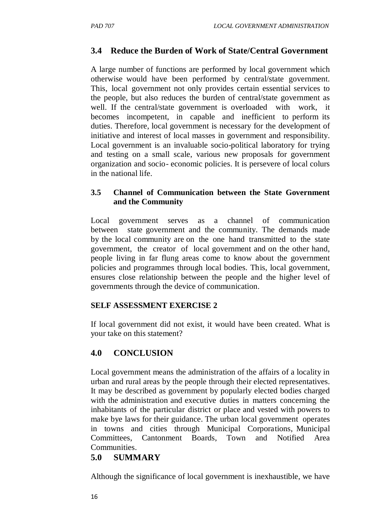# **3.4 Reduce the Burden of Work of State/Central Government**

A large number of functions are performed by local government which otherwise would have been performed by central/state government. This, local government not only provides certain essential services to the people, but also reduces the burden of central/state government as well. If the central/state government is overloaded with work, it becomes incompetent, in capable and inefficient to perform its duties. Therefore, local government is necessary for the development of initiative and interest of local masses in government and responsibility. Local government is an invaluable socio-political laboratory for trying and testing on a small scale, various new proposals for government organization and socio- economic policies. It is persevere of local colurs in the national life.

#### **3.5 Channel of Communication between the State Government and the Community**

Local government serves as a channel of communication between state government and the community. The demands made by the local community are on the one hand transmitted to the state government, the creator of local government and on the other hand, people living in far flung areas come to know about the government policies and programmes through local bodies. This, local government, ensures close relationship between the people and the higher level of governments through the device of communication.

#### **SELF ASSESSMENT EXERCISE 2**

If local government did not exist, it would have been created. What is your take on this statement?

# **4.0 CONCLUSION**

Local government means the administration of the affairs of a locality in urban and rural areas by the people through their elected representatives. It may be described as government by popularly elected bodies charged with the administration and executive duties in matters concerning the inhabitants of the particular district or place and vested with powers to make bye laws for their guidance. The urban local government operates in towns and cities through Municipal Corporations, Municipal Committees, Cantonment Boards, Town and Notified Area Communities.

# **5.0 SUMMARY**

Although the significance of local government is inexhaustible, we have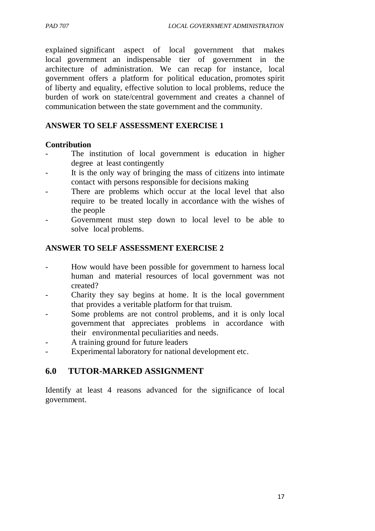explained significant aspect of local government that makes local government an indispensable tier of government in the architecture of administration. We can recap for instance, local government offers a platform for political education, promotes spirit of liberty and equality, effective solution to local problems, reduce the burden of work on state/central government and creates a channel of communication between the state government and the community.

#### **ANSWER TO SELF ASSESSMENT EXERCISE 1**

#### **Contribution**

- The institution of local government is education in higher degree at least contingently
- It is the only way of bringing the mass of citizens into intimate contact with persons responsible for decisions making
- There are problems which occur at the local level that also require to be treated locally in accordance with the wishes of the people
- Government must step down to local level to be able to solve local problems.

#### **ANSWER TO SELF ASSESSMENT EXERCISE 2**

- How would have been possible for government to harness local human and material resources of local government was not created?
- Charity they say begins at home. It is the local government that provides a veritable platform for that truism.
- Some problems are not control problems, and it is only local government that appreciates problems in accordance with their environmental peculiarities and needs.
- A training ground for future leaders
- Experimental laboratory for national development etc.

# **6.0 TUTOR-MARKED ASSIGNMENT**

Identify at least 4 reasons advanced for the significance of local government.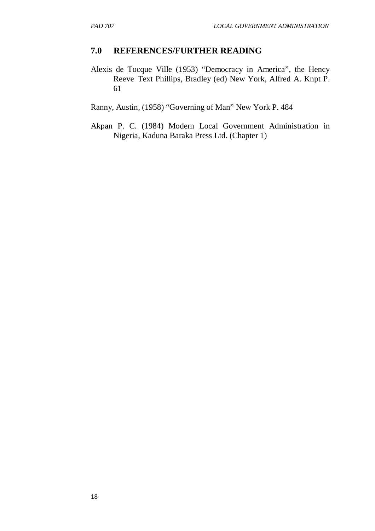#### **7.0 REFERENCES/FURTHER READING**

Alexis de Tocque Ville (1953) "Democracy in America", the Hency Reeve Text Phillips, Bradley (ed) New York, Alfred A. Knpt P. 61

Ranny, Austin, (1958) "Governing of Man" New York P. 484

Akpan P. C. (1984) Modern Local Government Administration in Nigeria, Kaduna Baraka Press Ltd. (Chapter 1)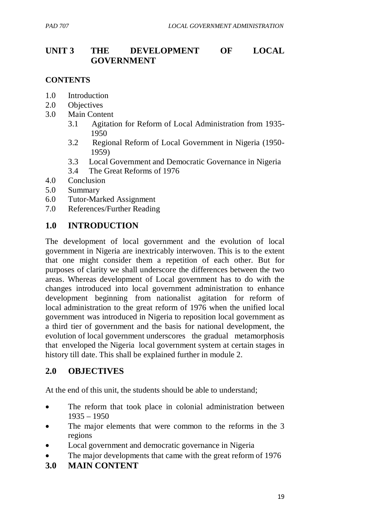# **UNIT 3 THE DEVELOPMENT OF LOCAL GOVERNMENT**

#### **CONTENTS**

- 1.0 Introduction
- 2.0 Objectives
- 3.0 Main Content
	- 3.1 Agitation for Reform of Local Administration from 1935- 1950
	- 3.2 Regional Reform of Local Government in Nigeria (1950- 1959)
	- 3.3 Local Government and Democratic Governance in Nigeria
	- 3.4 The Great Reforms of 1976
- 4.0 Conclusion
- 5.0 Summary
- 6.0 Tutor-Marked Assignment
- 7.0 References/Further Reading

### **1.0 INTRODUCTION**

The development of local government and the evolution of local government in Nigeria are inextricably interwoven. This is to the extent that one might consider them a repetition of each other. But for purposes of clarity we shall underscore the differences between the two areas. Whereas development of Local government has to do with the changes introduced into local government administration to enhance development beginning from nationalist agitation for reform of local administration to the great reform of 1976 when the unified local government was introduced in Nigeria to reposition local government as a third tier of government and the basis for national development, the evolution of local government underscores the gradual metamorphosis that enveloped the Nigeria local government system at certain stages in history till date. This shall be explained further in module 2.

# **2.0 OBJECTIVES**

At the end of this unit, the students should be able to understand;

- The reform that took place in colonial administration between 1935 – 1950
- The major elements that were common to the reforms in the 3 regions
- Local government and democratic governance in Nigeria
- The major developments that came with the great reform of 1976
- **3.0 MAIN CONTENT**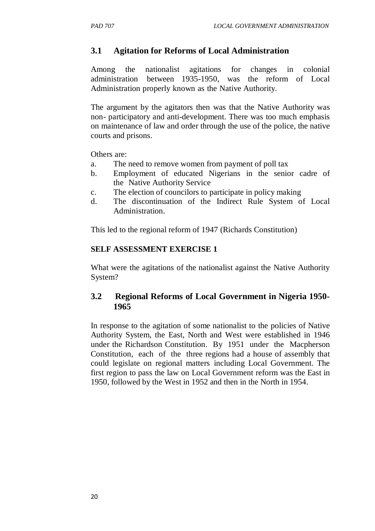# **3.1 Agitation for Reforms of Local Administration**

Among the nationalist agitations for changes in colonial administration between 1935-1950, was the reform of Local Administration properly known as the Native Authority.

The argument by the agitators then was that the Native Authority was non- participatory and anti-development. There was too much emphasis on maintenance of law and order through the use of the police, the native courts and prisons.

Others are:

- a. The need to remove women from payment of poll tax
- b. Employment of educated Nigerians in the senior cadre of the Native Authority Service
- c. The election of councilors to participate in policy making
- d. The discontinuation of the Indirect Rule System of Local Administration.

This led to the regional reform of 1947 (Richards Constitution)

# **SELF ASSESSMENT EXERCISE 1**

What were the agitations of the nationalist against the Native Authority System?

# **3.2 Regional Reforms of Local Government in Nigeria 1950- 1965**

In response to the agitation of some nationalist to the policies of Native Authority System, the East, North and West were established in 1946 under the Richardson Constitution. By 1951 under the Macpherson Constitution, each of the three regions had a house of assembly that could legislate on regional matters including Local Government. The first region to pass the law on Local Government reform was the East in 1950, followed by the West in 1952 and then in the North in 1954.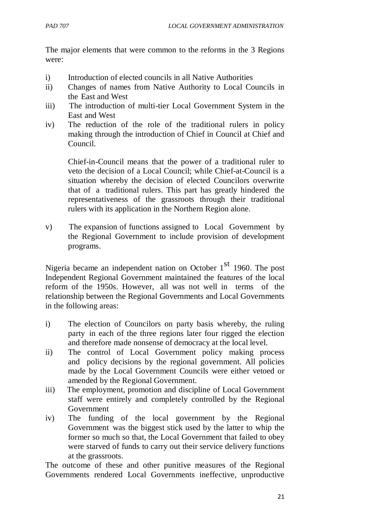The major elements that were common to the reforms in the 3 Regions were:

- i) Introduction of elected councils in all Native Authorities
- ii) Changes of names from Native Authority to Local Councils in the East and West
- iii) The introduction of multi-tier Local Government System in the East and West
- iv) The reduction of the role of the traditional rulers in policy making through the introduction of Chief in Council at Chief and Council.

Chief-in-Council means that the power of a traditional ruler to veto the decision of a Local Council; while Chief-at-Council is a situation whereby the decision of elected Councilors overwrite that of a traditional rulers. This part has greatly hindered the representativeness of the grassroots through their traditional rulers with its application in the Northern Region alone.

v) The expansion of functions assigned to Local Government by the Regional Government to include provision of development programs.

Nigeria became an independent nation on October  $1<sup>st</sup>$  1960. The post Independent Regional Government maintained the features of the local reform of the 1950s. However, all was not well in terms of the relationship between the Regional Governments and Local Governments in the following areas:

- i) The election of Councilors on party basis whereby, the ruling party in each of the three regions later four rigged the election and therefore made nonsense of democracy at the local level.
- ii) The control of Local Government policy making process and policy decisions by the regional government. All policies made by the Local Government Councils were either vetoed or amended by the Regional Government.
- iii) The employment, promotion and discipline of Local Government staff were entirely and completely controlled by the Regional Government
- iv) The funding of the local government by the Regional Government was the biggest stick used by the latter to whip the former so much so that, the Local Government that failed to obey were starved of funds to carry out their service delivery functions at the grassroots.

The outcome of these and other punitive measures of the Regional Governments rendered Local Governments ineffective, unproductive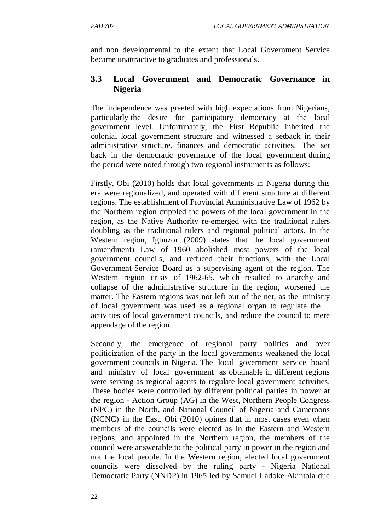and non developmental to the extent that Local Government Service became unattractive to graduates and professionals.

# **3.3 Local Government and Democratic Governance in Nigeria**

The independence was greeted with high expectations from Nigerians, particularly the desire for participatory democracy at the local government level. Unfortunately, the First Republic inherited the colonial local government structure and witnessed a setback in their administrative structure, finances and democratic activities. The set back in the democratic governance of the local government during the period were noted through two regional instruments as follows:

Firstly, Obi (2010) holds that local governments in Nigeria during this era were regionalized, and operated with different structure at different regions. The establishment of Provincial Administrative Law of 1962 by the Northern region crippled the powers of the local government in the region, as the Native Authority re-emerged with the traditional rulers doubling as the traditional rulers and regional political actors. In the Western region, Igbuzor (2009) states that the local government (amendment) Law of 1960 abolished most powers of the local government councils, and reduced their functions, with the Local Government Service Board as a supervising agent of the region. The Western region crisis of 1962-65, which resulted to anarchy and collapse of the administrative structure in the region, worsened the matter. The Eastern regions was not left out of the net, as the ministry of local government was used as a regional organ to regulate the activities of local government councils, and reduce the council to mere appendage of the region.

Secondly, the emergence of regional party politics and over politicization of the party in the local governments weakened the local government councils in Nigeria. The local government service board and ministry of local government as obtainable in different regions were serving as regional agents to regulate local government activities. These bodies were controlled by different political parties in power at the region - Action Group (AG) in the West, Northern People Congress (NPC) in the North, and National Council of Nigeria and Cameroons (NCNC) in the East. Obi (2010) opines that in most cases even when members of the councils were elected as in the Eastern and Western regions, and appointed in the Northern region, the members of the council were answerable to the political party in power in the region and not the local people. In the Western region, elected local government councils were dissolved by the ruling party - Nigeria National Democratic Party (NNDP) in 1965 led by Samuel Ladoke Akintola due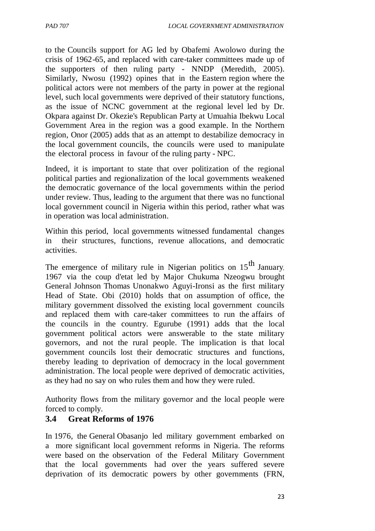to the Councils support for AG led by Obafemi Awolowo during the crisis of 1962-65, and replaced with care-taker committees made up of the supporters of then ruling party - NNDP (Meredith, 2005). Similarly, Nwosu (1992) opines that in the Eastern region where the political actors were not members of the party in power at the regional level, such local governments were deprived of their statutory functions, as the issue of NCNC government at the regional level led by Dr. Okpara against Dr. Okezie's Republican Party at Umuahia Ibekwu Local Government Area in the region was a good example. In the Northern region, Onor (2005) adds that as an attempt to destabilize democracy in the local government councils, the councils were used to manipulate the electoral process in favour of the ruling party - NPC.

Indeed, it is important to state that over politization of the regional political parties and regionalization of the local governments weakened the democratic governance of the local governments within the period under review. Thus, leading to the argument that there was no functional local government council in Nigeria within this period, rather what was in operation was local administration.

Within this period, local governments witnessed fundamental changes in their structures, functions, revenue allocations, and democratic activities.

The emergence of military rule in Nigerian politics on  $15<sup>th</sup>$  January, 1967 via the coup d'etat led by Major Chukuma Nzeogwu brought General Johnson Thomas Unonakwo Aguyi-Ironsi as the first military Head of State. Obi (2010) holds that on assumption of office, the military government dissolved the existing local government councils and replaced them with care-taker committees to run the affairs of the councils in the country. Egurube (1991) adds that the local government political actors were answerable to the state military governors, and not the rural people. The implication is that local government councils lost their democratic structures and functions, thereby leading to deprivation of democracy in the local government administration. The local people were deprived of democratic activities, as they had no say on who rules them and how they were ruled.

Authority flows from the military governor and the local people were forced to comply.

# **3.4 Great Reforms of 1976**

In 1976, the General Obasanjo led military government embarked on a more significant local government reforms in Nigeria. The reforms were based on the observation of the Federal Military Government that the local governments had over the years suffered severe deprivation of its democratic powers by other governments (FRN,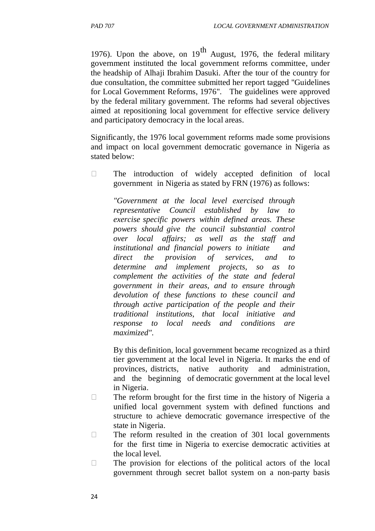1976). Upon the above, on  $19^{th}$  August, 1976, the federal military government instituted the local government reforms committee, under the headship of Alhaji Ibrahim Dasuki. After the tour of the country for due consultation, the committee submitted her report tagged "Guidelines for Local Government Reforms, 1976". The guidelines were approved by the federal military government. The reforms had several objectives aimed at repositioning local government for effective service delivery and participatory democracy in the local areas.

Significantly, the 1976 local government reforms made some provisions and impact on local government democratic governance in Nigeria as stated below:

 The introduction of widely accepted definition of local government in Nigeria as stated by FRN (1976) as follows:

*"Government at the local level exercised through representative Council established by law to exercise specific powers within defined areas. These powers should give the council substantial control over local affairs; as well as the staff and institutional and financial powers to initiate and direct the provision of services, and to determine and implement projects, so as to complement the activities of the state and federal government in their areas, and to ensure through devolution of these functions to these council and through active participation of the people and their traditional institutions, that local initiative and response to local needs and conditions are maximized".*

By this definition, local government became recognized as a third tier government at the local level in Nigeria. It marks the end of provinces, districts, native authority and administration, and the beginning of democratic government at the local level in Nigeria.

 The reform brought for the first time in the history of Nigeria a unified local government system with defined functions and structure to achieve democratic governance irrespective of the state in Nigeria.

 The reform resulted in the creation of 301 local governments for the first time in Nigeria to exercise democratic activities at the local level.

 The provision for elections of the political actors of the local government through secret ballot system on a non-party basis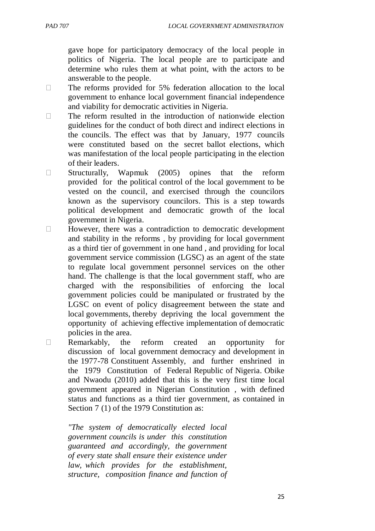gave hope for participatory democracy of the local people in politics of Nigeria. The local people are to participate and determine who rules them at what point, with the actors to be answerable to the people.

 The reforms provided for 5% federation allocation to the local government to enhance local government financial independence and viability for democratic activities in Nigeria.

 The reform resulted in the introduction of nationwide election guidelines for the conduct of both direct and indirect elections in the councils. The effect was that by January, 1977 councils were constituted based on the secret ballot elections, which was manifestation of the local people participating in the election of their leaders.

 Structurally, Wapmuk (2005) opines that the reform provided for the political control of the local government to be vested on the council, and exercised through the councilors known as the supervisory councilors. This is a step towards political development and democratic growth of the local government in Nigeria.

 However, there was a contradiction to democratic development and stability in the reforms , by providing for local government as a third tier of government in one hand , and providing for local government service commission (LGSC) as an agent of the state to regulate local government personnel services on the other hand. The challenge is that the local government staff, who are charged with the responsibilities of enforcing the local government policies could be manipulated or frustrated by the LGSC on event of policy disagreement between the state and local governments, thereby depriving the local government the opportunity of achieving effective implementation of democratic policies in the area.

 Remarkably, the reform created an opportunity for discussion of local government democracy and development in the 1977-78 Constituent Assembly, and further enshrined in the 1979 Constitution of Federal Republic of Nigeria. Obike and Nwaodu (2010) added that this is the very first time local government appeared in Nigerian Constitution , with defined status and functions as a third tier government, as contained in Section 7 (1) of the 1979 Constitution as:

*"The system of democratically elected local government councils is under this constitution guaranteed and accordingly, the government of every state shall ensure their existence under law, which provides for the establishment, structure, composition finance and function of*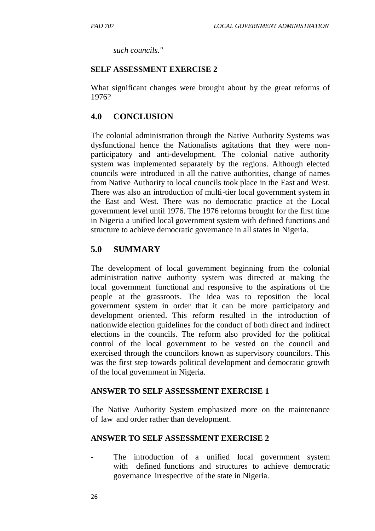*such councils."*

#### **SELF ASSESSMENT EXERCISE 2**

What significant changes were brought about by the great reforms of 1976?

# **4.0 CONCLUSION**

The colonial administration through the Native Authority Systems was dysfunctional hence the Nationalists agitations that they were nonparticipatory and anti-development. The colonial native authority system was implemented separately by the regions. Although elected councils were introduced in all the native authorities, change of names from Native Authority to local councils took place in the East and West. There was also an introduction of multi-tier local government system in the East and West. There was no democratic practice at the Local government level until 1976. The 1976 reforms brought for the first time in Nigeria a unified local government system with defined functions and structure to achieve democratic governance in all states in Nigeria.

# **5.0 SUMMARY**

The development of local government beginning from the colonial administration native authority system was directed at making the local government functional and responsive to the aspirations of the people at the grassroots. The idea was to reposition the local government system in order that it can be more participatory and development oriented. This reform resulted in the introduction of nationwide election guidelines for the conduct of both direct and indirect elections in the councils. The reform also provided for the political control of the local government to be vested on the council and exercised through the councilors known as supervisory councilors. This was the first step towards political development and democratic growth of the local government in Nigeria.

#### **ANSWER TO SELF ASSESSMENT EXERCISE 1**

The Native Authority System emphasized more on the maintenance of law and order rather than development.

#### **ANSWER TO SELF ASSESSMENT EXERCISE 2**

The introduction of a unified local government system with defined functions and structures to achieve democratic governance irrespective of the state in Nigeria.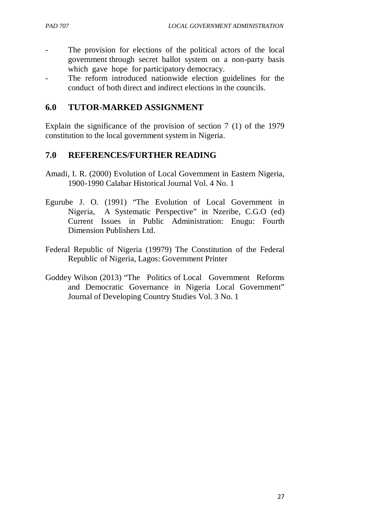- The provision for elections of the political actors of the local government through secret ballot system on a non-party basis which gave hope for participatory democracy.
- The reform introduced nationwide election guidelines for the conduct of both direct and indirect elections in the councils.

### **6.0 TUTOR-MARKED ASSIGNMENT**

Explain the significance of the provision of section 7 (1) of the 1979 constitution to the local government system in Nigeria.

### **7.0 REFERENCES/FURTHER READING**

- Amadi, I. R. (2000) Evolution of Local Government in Eastern Nigeria, 1900-1990 Calabar Historical Journal Vol. 4 No. 1
- Egurube J. O. (1991) "The Evolution of Local Government in Nigeria, A Systematic Perspective" in Nzeribe, C.G.O (ed) Current Issues in Public Administration: Enugu: Fourth Dimension Publishers Ltd.
- Federal Republic of Nigeria (19979) The Constitution of the Federal Republic of Nigeria, Lagos: Government Printer
- Goddey Wilson (2013) "The Politics of Local Government Reforms and Democratic Governance in Nigeria Local Government" Journal of Developing Country Studies Vol. 3 No. 1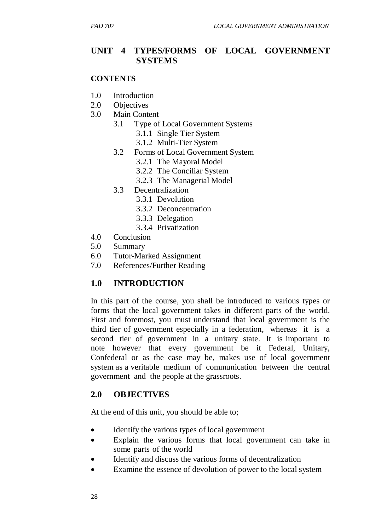### **UNIT 4 TYPES/FORMS OF LOCAL GOVERNMENT SYSTEMS**

#### **CONTENTS**

- 1.0 Introduction
- 2.0 Objectives
- 3.0 Main Content
	- 3.1 Type of Local Government Systems
		- 3.1.1 Single Tier System
		- 3.1.2 Multi-Tier System
	- 3.2 Forms of Local Government System
		- 3.2.1 The Mayoral Model
		- 3.2.2 The Conciliar System
		- 3.2.3 The Managerial Model
	- 3.3 Decentralization
		- 3.3.1 Devolution
		- 3.3.2 Deconcentration
		- 3.3.3 Delegation
		- 3.3.4 Privatization
- 4.0 Conclusion
- 5.0 Summary
- 6.0 Tutor-Marked Assignment
- 7.0 References/Further Reading

#### **1.0 INTRODUCTION**

In this part of the course, you shall be introduced to various types or forms that the local government takes in different parts of the world. First and foremost, you must understand that local government is the third tier of government especially in a federation, whereas it is a second tier of government in a unitary state. It is important to note however that every government be it Federal, Unitary, Confederal or as the case may be, makes use of local government system as a veritable medium of communication between the central government and the people at the grassroots.

#### **2.0 OBJECTIVES**

At the end of this unit, you should be able to;

- Identify the various types of local government
- Explain the various forms that local government can take in some parts of the world
- Identify and discuss the various forms of decentralization
- Examine the essence of devolution of power to the local system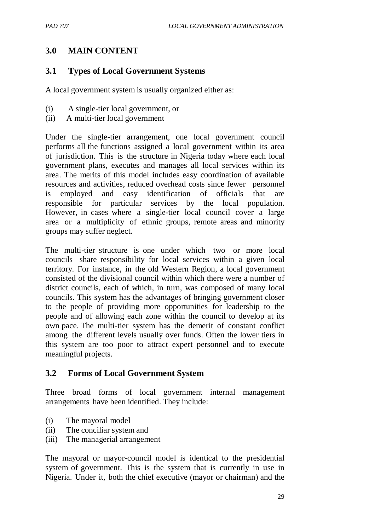# **3.0 MAIN CONTENT**

# **3.1 Types of Local Government Systems**

A local government system is usually organized either as:

- (i) A single-tier local government, or
- (ii) A multi-tier local government

Under the single-tier arrangement, one local government council performs all the functions assigned a local government within its area of jurisdiction. This is the structure in Nigeria today where each local government plans, executes and manages all local services within its area. The merits of this model includes easy coordination of available resources and activities, reduced overhead costs since fewer personnel is employed and easy identification of officials that are responsible for particular services by the local population. However, in cases where a single-tier local council cover a large area or a multiplicity of ethnic groups, remote areas and minority groups may suffer neglect.

The multi-tier structure is one under which two or more local councils share responsibility for local services within a given local territory. For instance, in the old Western Region, a local government consisted of the divisional council within which there were a number of district councils, each of which, in turn, was composed of many local councils. This system has the advantages of bringing government closer to the people of providing more opportunities for leadership to the people and of allowing each zone within the council to develop at its own pace. The multi-tier system has the demerit of constant conflict among the different levels usually over funds. Often the lower tiers in this system are too poor to attract expert personnel and to execute meaningful projects.

# **3.2 Forms of Local Government System**

Three broad forms of local government internal management arrangements have been identified. They include:

- (i) The mayoral model
- (ii) The conciliar system and
- (iii) The managerial arrangement

The mayoral or mayor-council model is identical to the presidential system of government. This is the system that is currently in use in Nigeria. Under it, both the chief executive (mayor or chairman) and the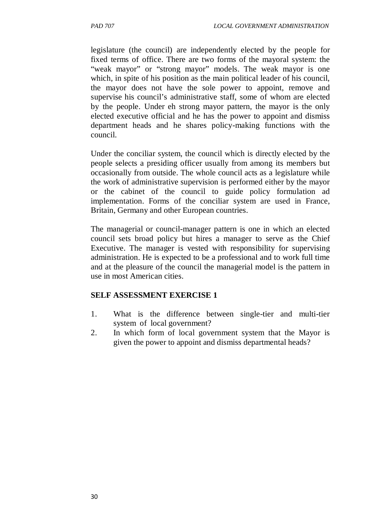legislature (the council) are independently elected by the people for fixed terms of office. There are two forms of the mayoral system: the "weak mayor" or "strong mayor" models. The weak mayor is one which, in spite of his position as the main political leader of his council, the mayor does not have the sole power to appoint, remove and supervise his council's administrative staff, some of whom are elected by the people. Under eh strong mayor pattern, the mayor is the only elected executive official and he has the power to appoint and dismiss department heads and he shares policy-making functions with the council.

Under the conciliar system, the council which is directly elected by the people selects a presiding officer usually from among its members but occasionally from outside. The whole council acts as a legislature while the work of administrative supervision is performed either by the mayor or the cabinet of the council to guide policy formulation ad implementation. Forms of the conciliar system are used in France, Britain, Germany and other European countries.

The managerial or council-manager pattern is one in which an elected council sets broad policy but hires a manager to serve as the Chief Executive. The manager is vested with responsibility for supervising administration. He is expected to be a professional and to work full time and at the pleasure of the council the managerial model is the pattern in use in most American cities.

### **SELF ASSESSMENT EXERCISE 1**

- 1. What is the difference between single-tier and multi-tier system of local government?
- 2. In which form of local government system that the Mayor is given the power to appoint and dismiss departmental heads?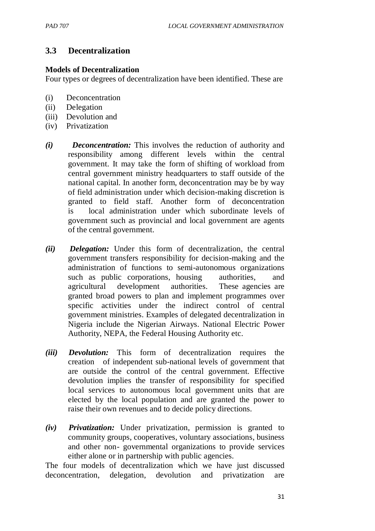# **3.3 Decentralization**

#### **Models of Decentralization**

Four types or degrees of decentralization have been identified. These are

- (i) Deconcentration
- (ii) Delegation
- (iii) Devolution and
- (iv) Privatization
- *(i) Deconcentration:* This involves the reduction of authority and responsibility among different levels within the central government. It may take the form of shifting of workload from central government ministry headquarters to staff outside of the national capital. In another form, deconcentration may be by way of field administration under which decision-making discretion is granted to field staff. Another form of deconcentration is local administration under which subordinate levels of government such as provincial and local government are agents of the central government.
- *(ii) Delegation:* Under this form of decentralization, the central government transfers responsibility for decision-making and the administration of functions to semi-autonomous organizations such as public corporations, housing authorities, and agricultural development authorities. These agencies are granted broad powers to plan and implement programmes over specific activities under the indirect control of central government ministries. Examples of delegated decentralization in Nigeria include the Nigerian Airways. National Electric Power Authority, NEPA, the Federal Housing Authority etc.
- *(iii) Devolution:* This form of decentralization requires the creation of independent sub-national levels of government that are outside the control of the central government. Effective devolution implies the transfer of responsibility for specified local services to autonomous local government units that are elected by the local population and are granted the power to raise their own revenues and to decide policy directions.
- *(iv) Privatization:* Under privatization, permission is granted to community groups, cooperatives, voluntary associations, business and other non- governmental organizations to provide services either alone or in partnership with public agencies.

The four models of decentralization which we have just discussed deconcentration, delegation, devolution and privatization are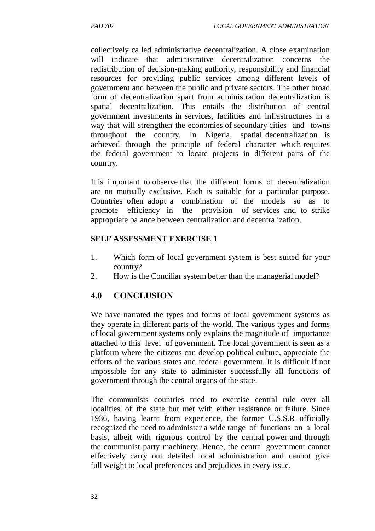collectively called administrative decentralization. A close examination will indicate that administrative decentralization concerns the redistribution of decision-making authority, responsibility and financial resources for providing public services among different levels of government and between the public and private sectors. The other broad form of decentralization apart from administration decentralization is spatial decentralization. This entails the distribution of central government investments in services, facilities and infrastructures in a way that will strengthen the economies of secondary cities and towns throughout the country. In Nigeria, spatial decentralization is achieved through the principle of federal character which requires the federal government to locate projects in different parts of the country.

It is important to observe that the different forms of decentralization are no mutually exclusive. Each is suitable for a particular purpose. Countries often adopt a combination of the models so as to promote efficiency in the provision of services and to strike appropriate balance between centralization and decentralization.

### **SELF ASSESSMENT EXERCISE 1**

- 1. Which form of local government system is best suited for your country?
- 2. How is the Conciliar system better than the managerial model?

# **4.0 CONCLUSION**

We have narrated the types and forms of local government systems as they operate in different parts of the world. The various types and forms of local government systems only explains the magnitude of importance attached to this level of government. The local government is seen as a platform where the citizens can develop political culture, appreciate the efforts of the various states and federal government. It is difficult if not impossible for any state to administer successfully all functions of government through the central organs of the state.

The communists countries tried to exercise central rule over all localities of the state but met with either resistance or failure. Since 1936, having learnt from experience, the former U.S.S.R officially recognized the need to administer a wide range of functions on a local basis, albeit with rigorous control by the central power and through the communist party machinery. Hence, the central government cannot effectively carry out detailed local administration and cannot give full weight to local preferences and prejudices in every issue.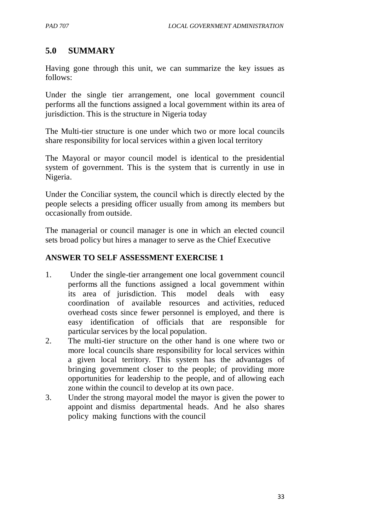# **5.0 SUMMARY**

Having gone through this unit, we can summarize the key issues as follows:

Under the single tier arrangement, one local government council performs all the functions assigned a local government within its area of jurisdiction. This is the structure in Nigeria today

The Multi-tier structure is one under which two or more local councils share responsibility for local services within a given local territory

The Mayoral or mayor council model is identical to the presidential system of government. This is the system that is currently in use in Nigeria.

Under the Conciliar system, the council which is directly elected by the people selects a presiding officer usually from among its members but occasionally from outside.

The managerial or council manager is one in which an elected council sets broad policy but hires a manager to serve as the Chief Executive

### **ANSWER TO SELF ASSESSMENT EXERCISE 1**

- 1. Under the single-tier arrangement one local government council performs all the functions assigned a local government within its area of jurisdiction. This model deals with easy coordination of available resources and activities, reduced overhead costs since fewer personnel is employed, and there is easy identification of officials that are responsible for particular services by the local population.
- 2. The multi-tier structure on the other hand is one where two or more local councils share responsibility for local services within a given local territory. This system has the advantages of bringing government closer to the people; of providing more opportunities for leadership to the people, and of allowing each zone within the council to develop at its own pace.
- 3. Under the strong mayoral model the mayor is given the power to appoint and dismiss departmental heads. And he also shares policy making functions with the council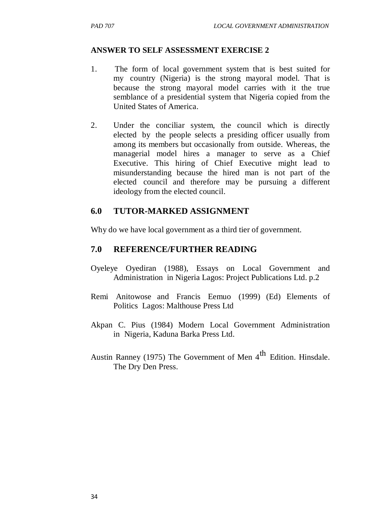# **ANSWER TO SELF ASSESSMENT EXERCISE 2**

- 1. The form of local government system that is best suited for my country (Nigeria) is the strong mayoral model. That is because the strong mayoral model carries with it the true semblance of a presidential system that Nigeria copied from the United States of America.
- 2. Under the conciliar system, the council which is directly elected by the people selects a presiding officer usually from among its members but occasionally from outside. Whereas, the managerial model hires a manager to serve as a Chief Executive. This hiring of Chief Executive might lead to misunderstanding because the hired man is not part of the elected council and therefore may be pursuing a different ideology from the elected council.

# **6.0 TUTOR-MARKED ASSIGNMENT**

Why do we have local government as a third tier of government.

# **7.0 REFERENCE/FURTHER READING**

- Oyeleye Oyediran (1988), Essays on Local Government and Administration in Nigeria Lagos: Project Publications Ltd. p.2
- Remi Anitowose and Francis Eemuo (1999) (Ed) Elements of Politics Lagos: Malthouse Press Ltd
- Akpan C. Pius (1984) Modern Local Government Administration in Nigeria, Kaduna Barka Press Ltd.
- Austin Ranney (1975) The Government of Men  $4<sup>th</sup>$  Edition. Hinsdale. The Dry Den Press.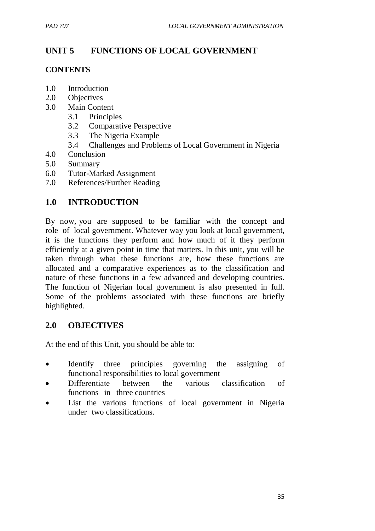# **UNIT 5 FUNCTIONS OF LOCAL GOVERNMENT**

### **CONTENTS**

- 1.0 Introduction
- 2.0 Objectives
- 3.0 Main Content
	- 3.1 Principles
		- 3.2 Comparative Perspective
		- 3.3 The Nigeria Example
		- 3.4 Challenges and Problems of Local Government in Nigeria
- 4.0 Conclusion
- 5.0 Summary
- 6.0 Tutor-Marked Assignment
- 7.0 References/Further Reading

### **1.0 INTRODUCTION**

By now, you are supposed to be familiar with the concept and role of local government. Whatever way you look at local government, it is the functions they perform and how much of it they perform efficiently at a given point in time that matters. In this unit, you will be taken through what these functions are, how these functions are allocated and a comparative experiences as to the classification and nature of these functions in a few advanced and developing countries. The function of Nigerian local government is also presented in full. Some of the problems associated with these functions are briefly highlighted.

### **2.0 OBJECTIVES**

At the end of this Unit, you should be able to:

- Identify three principles governing the assigning of functional responsibilities to local government
- Differentiate between the various classification of functions in three countries
- List the various functions of local government in Nigeria under two classifications.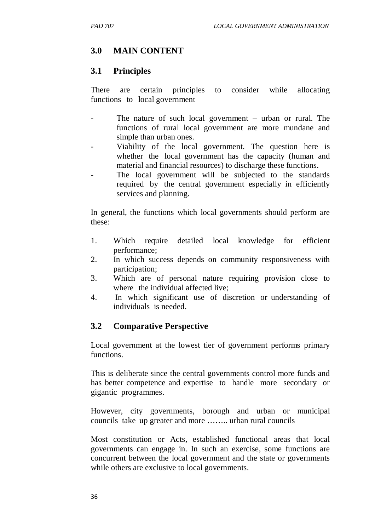# **3.0 MAIN CONTENT**

### **3.1 Principles**

There are certain principles to consider while allocating functions to local government

- The nature of such local government urban or rural. The functions of rural local government are more mundane and simple than urban ones.
- Viability of the local government. The question here is whether the local government has the capacity (human and material and financial resources) to discharge these functions.
- The local government will be subjected to the standards required by the central government especially in efficiently services and planning.

In general, the functions which local governments should perform are these:

- 1. Which require detailed local knowledge for efficient performance;
- 2. In which success depends on community responsiveness with participation;
- 3. Which are of personal nature requiring provision close to where the individual affected live:
- 4. In which significant use of discretion or understanding of individuals is needed.

# **3.2 Comparative Perspective**

Local government at the lowest tier of government performs primary functions.

This is deliberate since the central governments control more funds and has better competence and expertise to handle more secondary or gigantic programmes.

However, city governments, borough and urban or municipal councils take up greater and more …….. urban rural councils

Most constitution or Acts, established functional areas that local governments can engage in. In such an exercise, some functions are concurrent between the local government and the state or governments while others are exclusive to local governments.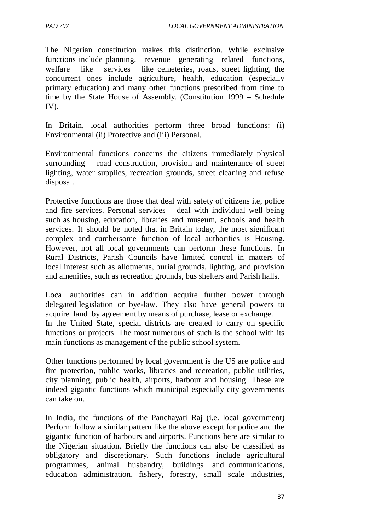The Nigerian constitution makes this distinction. While exclusive functions include planning, revenue generating related functions, welfare like services like cemeteries, roads, street lighting, the concurrent ones include agriculture, health, education (especially primary education) and many other functions prescribed from time to time by the State House of Assembly. (Constitution 1999 – Schedule IV).

In Britain, local authorities perform three broad functions: (i) Environmental (ii) Protective and (iii) Personal.

Environmental functions concerns the citizens immediately physical surrounding – road construction, provision and maintenance of street lighting, water supplies, recreation grounds, street cleaning and refuse disposal.

Protective functions are those that deal with safety of citizens i.e, police and fire services. Personal services – deal with individual well being such as housing, education, libraries and museum, schools and health services. It should be noted that in Britain today, the most significant complex and cumbersome function of local authorities is Housing. However, not all local governments can perform these functions. In Rural Districts, Parish Councils have limited control in matters of local interest such as allotments, burial grounds, lighting, and provision and amenities, such as recreation grounds, bus shelters and Parish halls.

Local authorities can in addition acquire further power through delegated legislation or bye-law. They also have general powers to acquire land by agreement by means of purchase, lease or exchange. In the United State, special districts are created to carry on specific functions or projects. The most numerous of such is the school with its main functions as management of the public school system.

Other functions performed by local government is the US are police and fire protection, public works, libraries and recreation, public utilities, city planning, public health, airports, harbour and housing. These are indeed gigantic functions which municipal especially city governments can take on.

In India, the functions of the Panchayati Raj (i.e. local government) Perform follow a similar pattern like the above except for police and the gigantic function of harbours and airports. Functions here are similar to the Nigerian situation. Briefly the functions can also be classified as obligatory and discretionary. Such functions include agricultural programmes, animal husbandry, buildings and communications, education administration, fishery, forestry, small scale industries,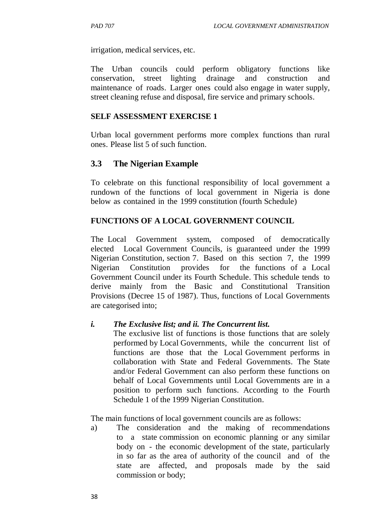irrigation, medical services, etc.

The Urban councils could perform obligatory functions like conservation, street lighting drainage and construction and maintenance of roads. Larger ones could also engage in water supply, street cleaning refuse and disposal, fire service and primary schools.

#### **SELF ASSESSMENT EXERCISE 1**

Urban local government performs more complex functions than rural ones. Please list 5 of such function.

#### **3.3 The Nigerian Example**

To celebrate on this functional responsibility of local government a rundown of the functions of local government in Nigeria is done below as contained in the 1999 constitution (fourth Schedule)

#### **FUNCTIONS OF A LOCAL GOVERNMENT COUNCIL**

The Local Government system, composed of democratically elected Local Government Councils, is guaranteed under the 1999 Nigerian Constitution, section 7. Based on this section 7, the 1999 Nigerian Constitution provides for the functions of a Local Government Council under its Fourth Schedule. This schedule tends to derive mainly from the Basic and Constitutional Transition Provisions (Decree 15 of 1987). Thus, functions of Local Governments are categorised into;

#### *i. The Exclusive list; and ii. The Concurrent list.*

The exclusive list of functions is those functions that are solely performed by Local Governments, while the concurrent list of functions are those that the Local Government performs in collaboration with State and Federal Governments. The State and/or Federal Government can also perform these functions on behalf of Local Governments until Local Governments are in a position to perform such functions. According to the Fourth Schedule 1 of the 1999 Nigerian Constitution.

The main functions of local government councils are as follows:

a) The consideration and the making of recommendations to a state commission on economic planning or any similar body on - the economic development of the state, particularly in so far as the area of authority of the council and of the state are affected, and proposals made by the said commission or body;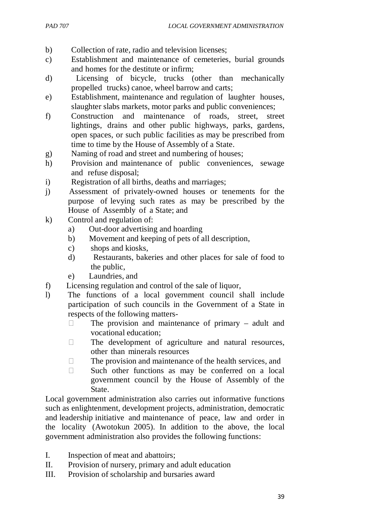- b) Collection of rate, radio and television licenses;
- c) Establishment and maintenance of cemeteries, burial grounds and homes for the destitute or infirm;
- d) Licensing of bicycle, trucks (other than mechanically propelled trucks) canoe, wheel barrow and carts;
- e) Establishment, maintenance and regulation of laughter houses, slaughter slabs markets, motor parks and public conveniences;
- f) Construction and maintenance of roads, street, street lightings, drains and other public highways, parks, gardens, open spaces, or such public facilities as may be prescribed from time to time by the House of Assembly of a State.
- g) Naming of road and street and numbering of houses;
- h) Provision and maintenance of public conveniences, sewage and refuse disposal;
- i) Registration of all births, deaths and marriages;
- j) Assessment of privately-owned houses or tenements for the purpose of levying such rates as may be prescribed by the House of Assembly of a State; and
- k) Control and regulation of:
	- a) Out-door advertising and hoarding
	- b) Movement and keeping of pets of all description,
	- c) shops and kiosks,
	- d) Restaurants, bakeries and other places for sale of food to the public,
	- e) Laundries, and
- f) Licensing regulation and control of the sale of liquor,
- l) The functions of a local government council shall include participation of such councils in the Government of a State in respects of the following matters-

 The provision and maintenance of primary – adult and vocational education;

 The development of agriculture and natural resources, other than minerals resources

 The provision and maintenance of the health services, and Such other functions as may be conferred on a local government council by the House of Assembly of the State.

Local government administration also carries out informative functions such as enlightenment, development projects, administration, democratic and leadership initiative and maintenance of peace, law and order in the locality (Awotokun 2005). In addition to the above, the local government administration also provides the following functions:

- I. Inspection of meat and abattoirs;
- II. Provision of nursery, primary and adult education
- III. Provision of scholarship and bursaries award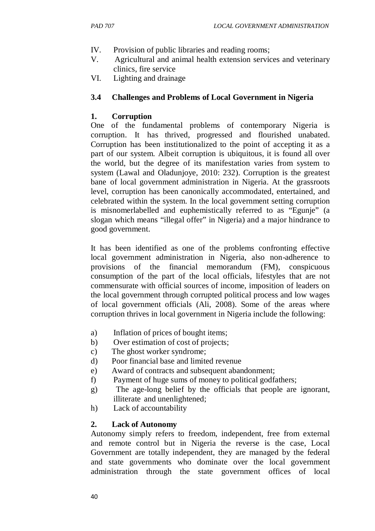- IV. Provision of public libraries and reading rooms;
- V. Agricultural and animal health extension services and veterinary clinics, fire service
- VI. Lighting and drainage

### **3.4 Challenges and Problems of Local Government in Nigeria**

### **1. Corruption**

One of the fundamental problems of contemporary Nigeria is corruption. It has thrived, progressed and flourished unabated. Corruption has been institutionalized to the point of accepting it as a part of our system. Albeit corruption is ubiquitous, it is found all over the world, but the degree of its manifestation varies from system to system (Lawal and Oladunjoye, 2010: 232). Corruption is the greatest bane of local government administration in Nigeria. At the grassroots level, corruption has been canonically accommodated, entertained, and celebrated within the system. In the local government setting corruption is misnomerlabelled and euphemistically referred to as "Egunje" (a slogan which means "illegal offer" in Nigeria) and a major hindrance to good government.

It has been identified as one of the problems confronting effective local government administration in Nigeria, also non-adherence to provisions of the financial memorandum (FM), conspicuous consumption of the part of the local officials, lifestyles that are not commensurate with official sources of income, imposition of leaders on the local government through corrupted political process and low wages of local government officials (Ali, 2008). Some of the areas where corruption thrives in local government in Nigeria include the following:

- a) Inflation of prices of bought items;
- b) Over estimation of cost of projects;
- c) The ghost worker syndrome;
- d) Poor financial base and limited revenue
- e) Award of contracts and subsequent abandonment;
- f) Payment of huge sums of money to political godfathers;
- g) The age-long belief by the officials that people are ignorant, illiterate and unenlightened;
- h) Lack of accountability

# **2. Lack of Autonomy**

Autonomy simply refers to freedom, independent, free from external and remote control but in Nigeria the reverse is the case, Local Government are totally independent, they are managed by the federal and state governments who dominate over the local government administration through the state government offices of local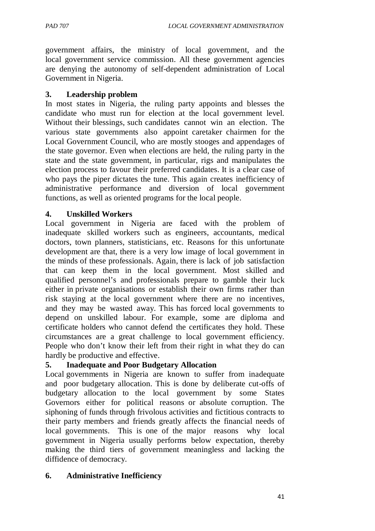government affairs, the ministry of local government, and the local government service commission. All these government agencies are denying the autonomy of self-dependent administration of Local Government in Nigeria.

### **3. Leadership problem**

In most states in Nigeria, the ruling party appoints and blesses the candidate who must run for election at the local government level. Without their blessings, such candidates cannot win an election. The various state governments also appoint caretaker chairmen for the Local Government Council, who are mostly stooges and appendages of the state governor. Even when elections are held, the ruling party in the state and the state government, in particular, rigs and manipulates the election process to favour their preferred candidates. It is a clear case of who pays the piper dictates the tune. This again creates inefficiency of administrative performance and diversion of local government functions, as well as oriented programs for the local people.

### **4. Unskilled Workers**

Local government in Nigeria are faced with the problem of inadequate skilled workers such as engineers, accountants, medical doctors, town planners, statisticians, etc. Reasons for this unfortunate development are that, there is a very low image of local government in the minds of these professionals. Again, there is lack of job satisfaction that can keep them in the local government. Most skilled and qualified personnel's and professionals prepare to gamble their luck either in private organisations or establish their own firms rather than risk staying at the local government where there are no incentives, and they may be wasted away. This has forced local governments to depend on unskilled labour. For example, some are diploma and certificate holders who cannot defend the certificates they hold. These circumstances are a great challenge to local government efficiency. People who don't know their left from their right in what they do can hardly be productive and effective.

### **5. Inadequate and Poor Budgetary Allocation**

Local governments in Nigeria are known to suffer from inadequate and poor budgetary allocation. This is done by deliberate cut-offs of budgetary allocation to the local government by some States Governors either for political reasons or absolute corruption. The siphoning of funds through frivolous activities and fictitious contracts to their party members and friends greatly affects the financial needs of local governments. This is one of the major reasons why local government in Nigeria usually performs below expectation, thereby making the third tiers of government meaningless and lacking the diffidence of democracy.

### **6. Administrative Inefficiency**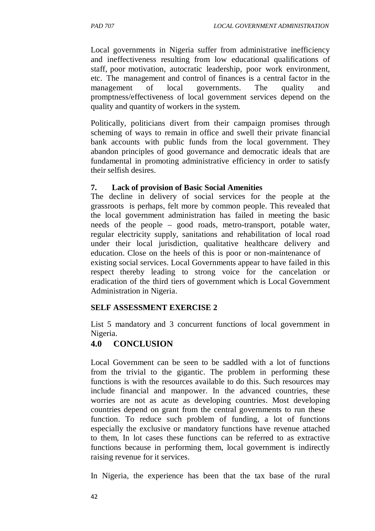Local governments in Nigeria suffer from administrative inefficiency and ineffectiveness resulting from low educational qualifications of staff, poor motivation, autocratic leadership, poor work environment, etc. The management and control of finances is a central factor in the management of local governments. The quality and promptness/effectiveness of local government services depend on the quality and quantity of workers in the system.

Politically, politicians divert from their campaign promises through scheming of ways to remain in office and swell their private financial bank accounts with public funds from the local government. They abandon principles of good governance and democratic ideals that are fundamental in promoting administrative efficiency in order to satisfy their selfish desires.

### **7. Lack of provision of Basic Social Amenities**

The decline in delivery of social services for the people at the grassroots is perhaps, felt more by common people. This revealed that the local government administration has failed in meeting the basic needs of the people – good roads, metro-transport, potable water, regular electricity supply, sanitations and rehabilitation of local road under their local jurisdiction, qualitative healthcare delivery and education. Close on the heels of this is poor or non-maintenance of existing social services. Local Governments appear to have failed in this respect thereby leading to strong voice for the cancelation or eradication of the third tiers of government which is Local Government Administration in Nigeria.

### **SELF ASSESSMENT EXERCISE 2**

List 5 mandatory and 3 concurrent functions of local government in Nigeria.

# **4.0 CONCLUSION**

Local Government can be seen to be saddled with a lot of functions from the trivial to the gigantic. The problem in performing these functions is with the resources available to do this. Such resources may include financial and manpower. In the advanced countries, these worries are not as acute as developing countries. Most developing countries depend on grant from the central governments to run these function. To reduce such problem of funding, a lot of functions especially the exclusive or mandatory functions have revenue attached to them, In lot cases these functions can be referred to as extractive functions because in performing them, local government is indirectly raising revenue for it services.

In Nigeria, the experience has been that the tax base of the rural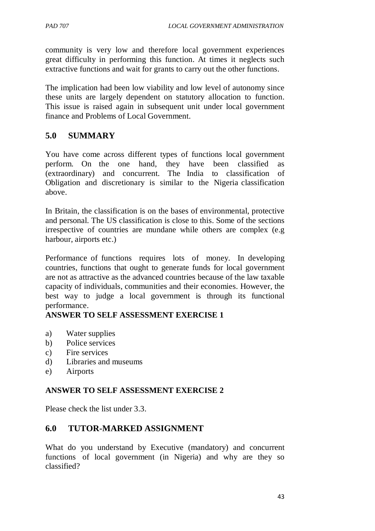community is very low and therefore local government experiences great difficulty in performing this function. At times it neglects such extractive functions and wait for grants to carry out the other functions.

The implication had been low viability and low level of autonomy since these units are largely dependent on statutory allocation to function. This issue is raised again in subsequent unit under local government finance and Problems of Local Government.

# **5.0 SUMMARY**

You have come across different types of functions local government perform. On the one hand, they have been classified as (extraordinary) and concurrent. The India to classification of Obligation and discretionary is similar to the Nigeria classification above.

In Britain, the classification is on the bases of environmental, protective and personal. The US classification is close to this. Some of the sections irrespective of countries are mundane while others are complex (e.g harbour, airports etc.)

Performance of functions requires lots of money. In developing countries, functions that ought to generate funds for local government are not as attractive as the advanced countries because of the law taxable capacity of individuals, communities and their economies. However, the best way to judge a local government is through its functional performance.

### **ANSWER TO SELF ASSESSMENT EXERCISE 1**

- a) Water supplies
- b) Police services
- c) Fire services
- d) Libraries and museums
- e) Airports

# **ANSWER TO SELF ASSESSMENT EXERCISE 2**

Please check the list under 3.3.

# **6.0 TUTOR-MARKED ASSIGNMENT**

What do you understand by Executive (mandatory) and concurrent functions of local government (in Nigeria) and why are they so classified?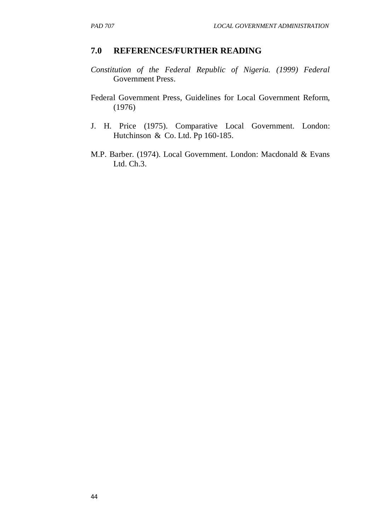#### **7.0 REFERENCES/FURTHER READING**

- *Constitution of the Federal Republic of Nigeria. (1999) Federal*  Government Press.
- Federal Government Press, Guidelines for Local Government Reform, (1976)
- J. H. Price (1975). Comparative Local Government. London: Hutchinson & Co. Ltd. Pp 160-185.
- M.P. Barber. (1974). Local Government. London: Macdonald & Evans Ltd. Ch.3.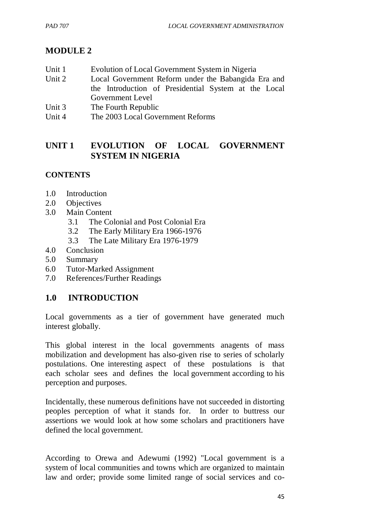# **MODULE 2**

- Unit 1 Evolution of Local Government System in Nigeria
- Unit 2 Local Government Reform under the Babangida Era and the Introduction of Presidential System at the Local Government Level
- Unit 3 The Fourth Republic
- Unit 4 The 2003 Local Government Reforms

# **UNIT 1 EVOLUTION OF LOCAL GOVERNMENT SYSTEM IN NIGERIA**

# **CONTENTS**

- 1.0 Introduction
- 2.0 Objectives
- 3.0 Main Content
	- 3.1 The Colonial and Post Colonial Era
	- 3.2 The Early Military Era 1966-1976
	- 3.3 The Late Military Era 1976-1979
- 4.0 Conclusion
- 5.0 Summary
- 6.0 Tutor-Marked Assignment
- 7.0 References/Further Readings

# **1.0 INTRODUCTION**

Local governments as a tier of government have generated much interest globally.

This global interest in the local governments anagents of mass mobilization and development has also-given rise to series of scholarly postulations. One interesting aspect of these postulations is that each scholar sees and defines the local government according to his perception and purposes.

Incidentally, these numerous definitions have not succeeded in distorting peoples perception of what it stands for. In order to buttress our assertions we would look at how some scholars and practitioners have defined the local government.

According to Orewa and Adewumi (1992) "Local government is a system of local communities and towns which are organized to maintain law and order; provide some limited range of social services and co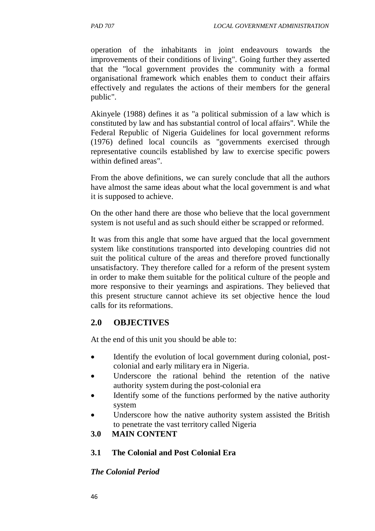operation of the inhabitants in joint endeavours towards the improvements of their conditions of living". Going further they asserted that the "local government provides the community with a formal organisational framework which enables them to conduct their affairs effectively and regulates the actions of their members for the general public".

Akinyele (1988) defines it as "a political submission of a law which is constituted by law and has substantial control of local affairs". While the Federal Republic of Nigeria Guidelines for local government reforms (1976) defined local councils as "governments exercised through representative councils established by law to exercise specific powers within defined areas".

From the above definitions, we can surely conclude that all the authors have almost the same ideas about what the local government is and what it is supposed to achieve.

On the other hand there are those who believe that the local government system is not useful and as such should either be scrapped or reformed.

It was from this angle that some have argued that the local government system like constitutions transported into developing countries did not suit the political culture of the areas and therefore proved functionally unsatisfactory. They therefore called for a reform of the present system in order to make them suitable for the political culture of the people and more responsive to their yearnings and aspirations. They believed that this present structure cannot achieve its set objective hence the loud calls for its reformations.

# **2.0 OBJECTIVES**

At the end of this unit you should be able to:

- Identify the evolution of local government during colonial, postcolonial and early military era in Nigeria.
- Underscore the rational behind the retention of the native authority system during the post-colonial era
- Identify some of the functions performed by the native authority system
- Underscore how the native authority system assisted the British to penetrate the vast territory called Nigeria

# **3.0 MAIN CONTENT**

# **3.1 The Colonial and Post Colonial Era**

# *The Colonial Period*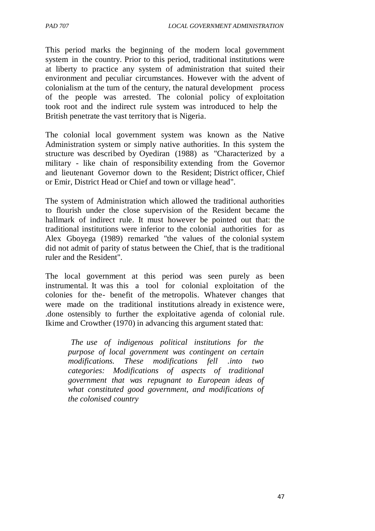This period marks the beginning of the modern local government system in the country. Prior to this period, traditional institutions were at liberty to practice any system of administration that suited their environment and peculiar circumstances. However with the advent of colonialism at the turn of the century, the natural development process of the people was arrested. The colonial policy of exploitation took root and the indirect rule system was introduced to help the British penetrate the vast territory that is Nigeria.

The colonial local government system was known as the Native Administration system or simply native authorities. In this system the structure was described by Oyediran (1988) as "Characterized by a military - like chain of responsibility extending from the Governor and lieutenant Governor down to the Resident; District officer, Chief or Emir, District Head or Chief and town or village head".

The system of Administration which allowed the traditional authorities to flourish under the close supervision of the Resident became the hallmark of indirect rule. It must however be pointed out that: the traditional institutions were inferior to the colonial authorities for as Alex Gboyega (1989) remarked "the values of the colonial system did not admit of parity of status between the Chief, that is the traditional ruler and the Resident".

The local government at this period was seen purely as been instrumental. It was this a tool for colonial exploitation of the colonies for the- benefit of the metropolis. Whatever changes that were made on the traditional institutions already in existence were, .done ostensibly to further the exploitative agenda of colonial rule. Ikime and Crowther (1970) in advancing this argument stated that:

*The use of indigenous political institutions for the purpose of local government was contingent on certain modifications. These modifications fell .into two categories: Modifications of aspects of traditional government that was repugnant to European ideas of what constituted good government, and modifications of the colonised country*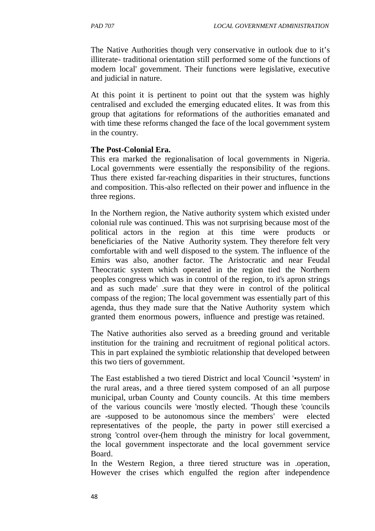The Native Authorities though very conservative in outlook due to it's illiterate- traditional orientation still performed some of the functions of modern local' government. Their functions were legislative, executive and judicial in nature.

At this point it is pertinent to point out that the system was highly centralised and excluded the emerging educated elites. It was from this group that agitations for reformations of the authorities emanated and with time these reforms changed the face of the local government system in the country.

#### **The Post-Colonial Era.**

This era marked the regionalisation of local governments in Nigeria. Local governments were essentially the responsibility of the regions. Thus there existed far-reaching disparities in their structures, functions and composition. This-also reflected on their power and influence in the three regions.

In the Northern region, the Native authority system which existed under colonial rule was continued. This was not surprising because most of the political actors in the region at this time were products or beneficiaries of the Native Authority system. They therefore felt very comfortable with and well disposed to the system. The influence of the Emirs was also, another factor. The Aristocratic and near Feudal Theocratic system which operated in the region tied the Northern peoples congress which was in control of the region, to it's apron strings and as such made' .sure that they were in control of the political compass of the region; The local government was essentially part of this agenda, thus they made sure that the Native Authority system which granted them enormous powers, influence and prestige was retained.

The Native authorities also served as a breeding ground and veritable institution for the training and recruitment of regional political actors. This in part explained the symbiotic relationship that developed between this two tiers of government.

The East established a two tiered District and local 'Council '•system' in the rural areas, and a three tiered system composed of an all purpose municipal, urban County and County councils. At this time members of the various councils were 'mostly elected. 'Though these 'councils are -supposed to be autonomous since the members' were elected representatives of the people, the party in power still exercised a strong 'control over-(hem through the ministry for local government, the local government inspectorate and the local government service Board.

In the Western Region, a three tiered structure was in .operation, However the crises which engulfed the region after independence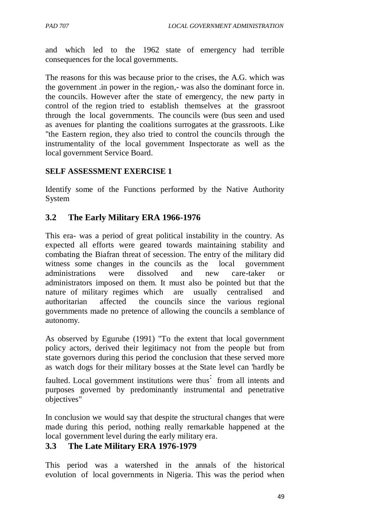and which led to the 1962 state of emergency had terrible consequences for the local governments.

The reasons for this was because prior to the crises, the A.G. which was the government .in power in the region,- was also the dominant force in. the councils. However after the state of emergency, the new party in control of the region tried to establish themselves at the grassroot through the local governments. The councils were (bus seen and used as avenues for planting the coalitions surrogates at the grassroots. Like "the Eastern region, they also tried to control the councils through the instrumentality of the local government Inspectorate as well as the local government Service Board.

### **SELF ASSESSMENT EXERCISE 1**

Identify some of the Functions performed by the Native Authority System

# **3.2 The Early Military ERA 1966-1976**

This era- was a period of great political instability in the country. As expected all efforts were geared towards maintaining stability and combating the Biafran threat of secession. The entry of the military did witness some changes in the councils as the local government administrations were dissolved and new care-taker or administrators imposed on them. It must also be pointed but that the nature of military regimes which are usually centralised and authoritarian affected the councils since the various regional governments made no pretence of allowing the councils a semblance of autonomy.

As observed by Egurube (1991) "To the extent that local government policy actors, derived their legitimacy not from the people but from state governors during this period the conclusion that these served more as watch dogs for their military bosses at the State level can 'hardly be

faulted. Local government institutions were thus: from all intents and purposes governed by predominantly instrumental and penetrative objectives"

In conclusion we would say that despite the structural changes that were made during this period, nothing really remarkable happened at the local government level during the early military era.

# **3.3 The Late Military ERA 1976-1979**

This period was a watershed in the annals of the historical evolution of local governments in Nigeria. This was the period when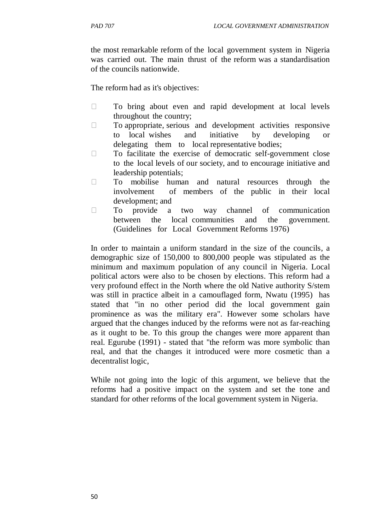the most remarkable reform of the local government system in Nigeria was carried out. The main thrust of the reform was a standardisation of the councils nationwide.

The reform had as it's objectives:

 To bring about even and rapid development at local levels throughout the country;

 To appropriate, serious and development activities responsive to local wishes and initiative by developing or delegating them to local representative bodies;

 To facilitate the exercise of democratic self-government close to the local levels of our society, and to encourage initiative and leadership potentials;

 To mobilise human and natural resources through the involvement of members of the public in their local development; and

 To provide a two way channel of communication between the local communities and the government. (Guidelines for Local Government Reforms 1976)

In order to maintain a uniform standard in the size of the councils, a demographic size of 150,000 to 800,000 people was stipulated as the minimum and maximum population of any council in Nigeria. Local political actors were also to be chosen by elections. This reform had a very profound effect in the North where the old Native authority S/stem was still in practice albeit in a camouflaged form, Nwatu (1995) has stated that "in no other period did the local government gain prominence as was the military era". However some scholars have argued that the changes induced by the reforms were not as far-reaching as it ought to be. To this group the changes were more apparent than real. Egurube (1991) - stated that "the reform was more symbolic than real, and that the changes it introduced were more cosmetic than a decentralist logic,

While not going into the logic of this argument, we believe that the reforms had a positive impact on the system and set the tone and standard for other reforms of the local government system in Nigeria.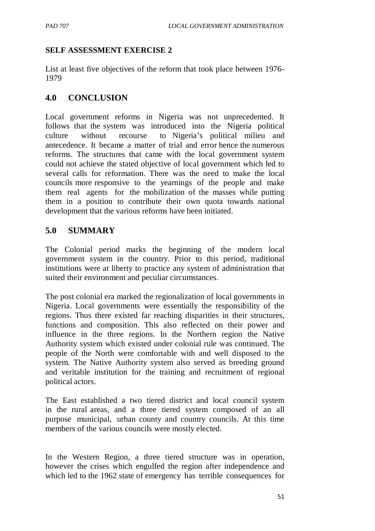# **SELF ASSESSMENT EXERCISE 2**

List at least five objectives of the reform that took place between 1976- 1979

# **4.0 CONCLUSION**

Local government reforms in Nigeria was not unprecedented. It follows that the system was introduced into the Nigeria political culture without recourse to Nigeria's political milieu and antecedence. It became a matter of trial and error hence the numerous reforms. The structures that came with the local government system could not achieve the stated objective of local government which led to several calls for reformation. There was the need to make the local councils more responsive to the yearnings of the people and make them real agents for the mobilization of the masses while putting them in a position to contribute their own quota towards national development that the various reforms have been initiated.

# **5.0 SUMMARY**

The Colonial period marks the beginning of the modern local government system in the country. Prior to this period, traditional institutions were at liberty to practice any system of administration that suited their environment and peculiar circumstances.

The post colonial era marked the regionalization of local governments in Nigeria. Local governments were essentially the responsibility of the regions. Thus there existed far reaching disparities in their structures, functions and composition. This also reflected on their power and influence in the three regions. In the Northern region the Native Authority system which existed under colonial rule was continued. The people of the North were comfortable with and well disposed to the system. The Native Authority system also served as breeding ground and veritable institution for the training and recruitment of regional political actors.

The East established a two tiered district and local council system in the rural areas, and a three tiered system composed of an all purpose municipal, urban county and country councils. At this time members of the various councils were mostly elected.

In the Western Region, a three tiered structure was in operation, however the crises which engulfed the region after independence and which led to the 1962 state of emergency has terrible consequences for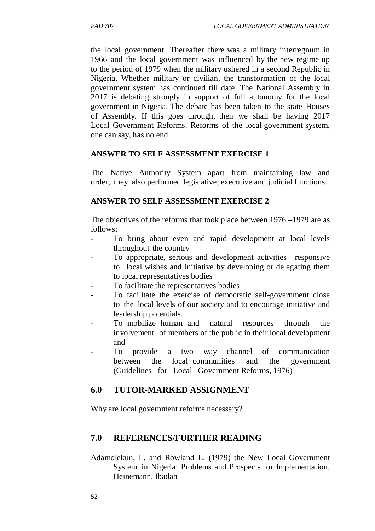the local government. Thereafter there was a military interregnum in 1966 and the local government was influenced by the new regime up to the period of 1979 when the military ushered in a second Republic in Nigeria. Whether military or civilian, the transformation of the local government system has continued till date. The National Assembly in 2017 is debating strongly in support of full autonomy for the local government in Nigeria. The debate has been taken to the state Houses of Assembly. If this goes through, then we shall be having 2017 Local Government Reforms. Reforms of the local government system, one can say, has no end.

### **ANSWER TO SELF ASSESSMENT EXERCISE 1**

The Native Authority System apart from maintaining law and order, they also performed legislative, executive and judicial functions.

### **ANSWER TO SELF ASSESSMENT EXERCISE 2**

The objectives of the reforms that took place between 1976 –1979 are as follows:

- To bring about even and rapid development at local levels throughout the country
- To appropriate, serious and development activities responsive to local wishes and initiative by developing or delegating them to local representatives bodies
- To facilitate the representatives bodies
- To facilitate the exercise of democratic self-government close to the local levels of our society and to encourage initiative and leadership potentials.
- To mobilize human and natural resources through the involvement of members of the public in their local development and
- To provide a two way channel of communication between the local communities and the government (Guidelines for Local Government Reforms, 1976)

# **6.0 TUTOR-MARKED ASSIGNMENT**

Why are local government reforms necessary?

# **7.0 REFERENCES/FURTHER READING**

Adamolekun, L. and Rowland L. (1979) the New Local Government System in Nigeria: Problems and Prospects for Implementation, Heinemann, Ibadan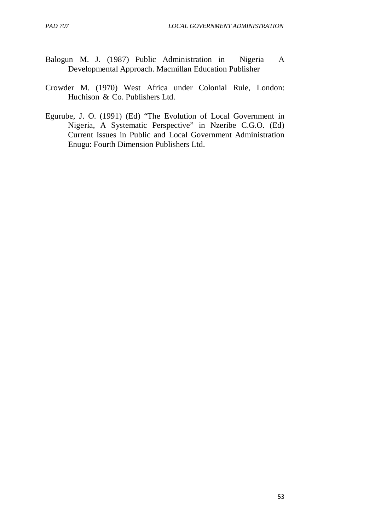- Balogun M. J. (1987) Public Administration in Nigeria A Developmental Approach. Macmillan Education Publisher
- Crowder M. (1970) West Africa under Colonial Rule, London: Huchison & Co. Publishers Ltd.
- Egurube, J. O. (1991) (Ed) "The Evolution of Local Government in Nigeria, A Systematic Perspective" in Nzeribe C.G.O. (Ed) Current Issues in Public and Local Government Administration Enugu: Fourth Dimension Publishers Ltd.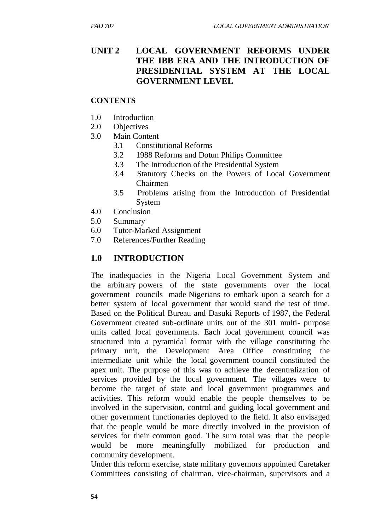# **UNIT 2 LOCAL GOVERNMENT REFORMS UNDER THE IBB ERA AND THE INTRODUCTION OF PRESIDENTIAL SYSTEM AT THE LOCAL GOVERNMENT LEVEL**

#### **CONTENTS**

- 1.0 Introduction
- 2.0 Objectives
- 3.0 Main Content
	- 3.1 Constitutional Reforms
	- 3.2 1988 Reforms and Dotun Philips Committee
	- 3.3 The Introduction of the Presidential System
	- 3.4 Statutory Checks on the Powers of Local Government Chairmen
	- 3.5 Problems arising from the Introduction of Presidential System
- 4.0 Conclusion
- 5.0 Summary
- 6.0 Tutor-Marked Assignment
- 7.0 References/Further Reading

### **1.0 INTRODUCTION**

The inadequacies in the Nigeria Local Government System and the arbitrary powers of the state governments over the local government councils made Nigerians to embark upon a search for a better system of local government that would stand the test of time. Based on the Political Bureau and Dasuki Reports of 1987, the Federal Government created sub-ordinate units out of the 301 multi- purpose units called local governments. Each local government council was structured into a pyramidal format with the village constituting the primary unit, the Development Area Office constituting the intermediate unit while the local government council constituted the apex unit. The purpose of this was to achieve the decentralization of services provided by the local government. The villages were to become the target of state and local government programmes and activities. This reform would enable the people themselves to be involved in the supervision, control and guiding local government and other government functionaries deployed to the field. It also envisaged that the people would be more directly involved in the provision of services for their common good. The sum total was that the people would be more meaningfully mobilized for production and community development.

Under this reform exercise, state military governors appointed Caretaker Committees consisting of chairman, vice-chairman, supervisors and a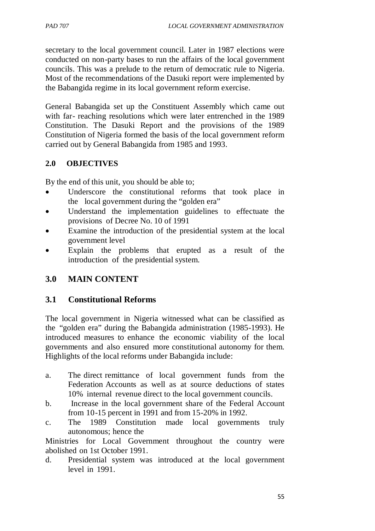secretary to the local government council. Later in 1987 elections were conducted on non-party bases to run the affairs of the local government councils. This was a prelude to the return of democratic rule to Nigeria. Most of the recommendations of the Dasuki report were implemented by the Babangida regime in its local government reform exercise.

General Babangida set up the Constituent Assembly which came out with far- reaching resolutions which were later entrenched in the 1989 Constitution. The Dasuki Report and the provisions of the 1989 Constitution of Nigeria formed the basis of the local government reform carried out by General Babangida from 1985 and 1993.

### **2.0 OBJECTIVES**

By the end of this unit, you should be able to;

- Underscore the constitutional reforms that took place in the local government during the "golden era"
- Understand the implementation guidelines to effectuate the provisions of Decree No. 10 of 1991
- Examine the introduction of the presidential system at the local government level
- Explain the problems that erupted as a result of the introduction of the presidential system.

# **3.0 MAIN CONTENT**

# **3.1 Constitutional Reforms**

The local government in Nigeria witnessed what can be classified as the "golden era" during the Babangida administration (1985-1993). He introduced measures to enhance the economic viability of the local governments and also ensured more constitutional autonomy for them. Highlights of the local reforms under Babangida include:

- a. The direct remittance of local government funds from the Federation Accounts as well as at source deductions of states 10% internal revenue direct to the local government councils.
- b. Increase in the local government share of the Federal Account from 10-15 percent in 1991 and from 15-20% in 1992.
- c. The 1989 Constitution made local governments truly autonomous; hence the

Ministries for Local Government throughout the country were abolished on 1st October 1991.

d. Presidential system was introduced at the local government level in 1991.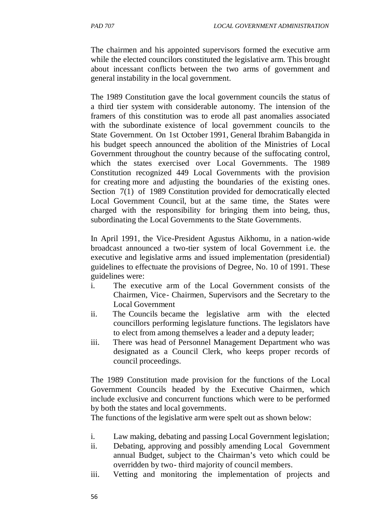The chairmen and his appointed supervisors formed the executive arm while the elected councilors constituted the legislative arm. This brought about incessant conflicts between the two arms of government and general instability in the local government.

The 1989 Constitution gave the local government councils the status of a third tier system with considerable autonomy. The intension of the framers of this constitution was to erode all past anomalies associated with the subordinate existence of local government councils to the State Government. On 1st October 1991, General Ibrahim Babangida in his budget speech announced the abolition of the Ministries of Local Government throughout the country because of the suffocating control, which the states exercised over Local Governments. The 1989 Constitution recognized 449 Local Governments with the provision for creating more and adjusting the boundaries of the existing ones. Section 7(1) of 1989 Constitution provided for democratically elected Local Government Council, but at the same time, the States were charged with the responsibility for bringing them into being, thus, subordinating the Local Governments to the State Governments.

In April 1991, the Vice-President Agustus Aikhomu, in a nation-wide broadcast announced a two-tier system of local Government i.e. the executive and legislative arms and issued implementation (presidential) guidelines to effectuate the provisions of Degree, No. 10 of 1991. These guidelines were:

- i. The executive arm of the Local Government consists of the Chairmen, Vice- Chairmen, Supervisors and the Secretary to the Local Government
- ii. The Councils became the legislative arm with the elected councillors performing legislature functions. The legislators have to elect from among themselves a leader and a deputy leader;
- iii. There was head of Personnel Management Department who was designated as a Council Clerk, who keeps proper records of council proceedings.

The 1989 Constitution made provision for the functions of the Local Government Councils headed by the Executive Chairmen, which include exclusive and concurrent functions which were to be performed by both the states and local governments.

The functions of the legislative arm were spelt out as shown below:

- i. Law making, debating and passing Local Government legislation;
- ii. Debating, approving and possibly amending Local Government annual Budget, subject to the Chairman's veto which could be overridden by two- third majority of council members.
- iii. Vetting and monitoring the implementation of projects and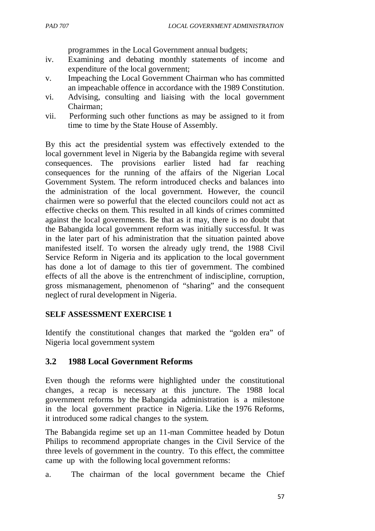programmes in the Local Government annual budgets;

- iv. Examining and debating monthly statements of income and expenditure of the local government;
- v. Impeaching the Local Government Chairman who has committed an impeachable offence in accordance with the 1989 Constitution.
- vi. Advising, consulting and liaising with the local government Chairman;
- vii. Performing such other functions as may be assigned to it from time to time by the State House of Assembly.

By this act the presidential system was effectively extended to the local government level in Nigeria by the Babangida regime with several consequences. The provisions earlier listed had far reaching consequences for the running of the affairs of the Nigerian Local Government System. The reform introduced checks and balances into the administration of the local government. However, the council chairmen were so powerful that the elected councilors could not act as effective checks on them. This resulted in all kinds of crimes committed against the local governments. Be that as it may, there is no doubt that the Babangida local government reform was initially successful. It was in the later part of his administration that the situation painted above manifested itself. To worsen the already ugly trend, the 1988 Civil Service Reform in Nigeria and its application to the local government has done a lot of damage to this tier of government. The combined effects of all the above is the entrenchment of indiscipline, corruption, gross mismanagement, phenomenon of "sharing" and the consequent neglect of rural development in Nigeria.

#### **SELF ASSESSMENT EXERCISE 1**

Identify the constitutional changes that marked the "golden era" of Nigeria local government system

### **3.2 1988 Local Government Reforms**

Even though the reforms were highlighted under the constitutional changes, a recap is necessary at this juncture. The 1988 local government reforms by the Babangida administration is a milestone in the local government practice in Nigeria. Like the 1976 Reforms, it introduced some radical changes to the system.

The Babangida regime set up an 11-man Committee headed by Dotun Philips to recommend appropriate changes in the Civil Service of the three levels of government in the country. To this effect, the committee came up with the following local government reforms:

a. The chairman of the local government became the Chief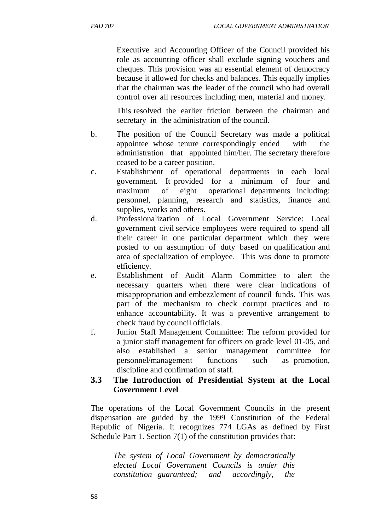Executive and Accounting Officer of the Council provided his role as accounting officer shall exclude signing vouchers and cheques. This provision was an essential element of democracy because it allowed for checks and balances. This equally implies that the chairman was the leader of the council who had overall control over all resources including men, material and money.

 This resolved the earlier friction between the chairman and secretary in the administration of the council.

- b. The position of the Council Secretary was made a political appointee whose tenure correspondingly ended with the administration that appointed him/her. The secretary therefore ceased to be a career position.
- c. Establishment of operational departments in each local government. It provided for a minimum of four and maximum of eight operational departments including: personnel, planning, research and statistics, finance and supplies, works and others.
- d. Professionalization of Local Government Service: Local government civil service employees were required to spend all their career in one particular department which they were posted to on assumption of duty based on qualification and area of specialization of employee. This was done to promote efficiency.
- e. Establishment of Audit Alarm Committee to alert the necessary quarters when there were clear indications of misappropriation and embezzlement of council funds. This was part of the mechanism to check corrupt practices and to enhance accountability. It was a preventive arrangement to check fraud by council officials.
- f. Junior Staff Management Committee: The reform provided for a junior staff management for officers on grade level 01-05, and also established a senior management committee for personnel/management functions such as promotion, discipline and confirmation of staff.

# **3.3 The Introduction of Presidential System at the Local Government Level**

The operations of the Local Government Councils in the present dispensation are guided by the 1999 Constitution of the Federal Republic of Nigeria. It recognizes 774 LGAs as defined by First Schedule Part 1. Section 7(1) of the constitution provides that:

*The system of Local Government by democratically elected Local Government Councils is under this constitution guaranteed; and accordingly, the*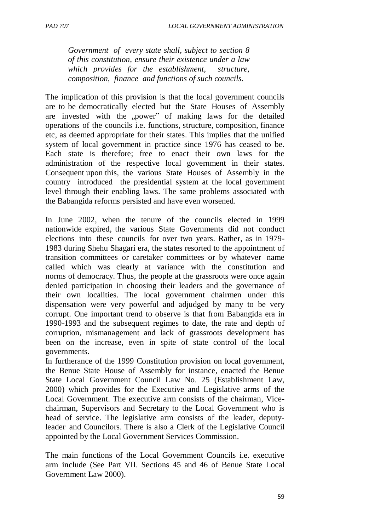*Government of every state shall, subject to section 8 of this constitution, ensure their existence under a law which provides for the establishment, structure, composition, finance and functions of such councils.*

The implication of this provision is that the local government councils are to be democratically elected but the State Houses of Assembly are invested with the "power" of making laws for the detailed operations of the councils i.e. functions, structure, composition, finance etc, as deemed appropriate for their states. This implies that the unified system of local government in practice since 1976 has ceased to be. Each state is therefore; free to enact their own laws for the administration of the respective local government in their states. Consequent upon this, the various State Houses of Assembly in the country introduced the presidential system at the local government level through their enabling laws. The same problems associated with the Babangida reforms persisted and have even worsened.

In June 2002, when the tenure of the councils elected in 1999 nationwide expired, the various State Governments did not conduct elections into these councils for over two years. Rather, as in 1979- 1983 during Shehu Shagari era, the states resorted to the appointment of transition committees or caretaker committees or by whatever name called which was clearly at variance with the constitution and norms of democracy. Thus, the people at the grassroots were once again denied participation in choosing their leaders and the governance of their own localities. The local government chairmen under this dispensation were very powerful and adjudged by many to be very corrupt. One important trend to observe is that from Babangida era in 1990-1993 and the subsequent regimes to date, the rate and depth of corruption, mismanagement and lack of grassroots development has been on the increase, even in spite of state control of the local governments.

In furtherance of the 1999 Constitution provision on local government, the Benue State House of Assembly for instance, enacted the Benue State Local Government Council Law No. 25 (Establishment Law, 2000) which provides for the Executive and Legislative arms of the Local Government. The executive arm consists of the chairman, Vicechairman, Supervisors and Secretary to the Local Government who is head of service. The legislative arm consists of the leader, deputyleader and Councilors. There is also a Clerk of the Legislative Council appointed by the Local Government Services Commission.

The main functions of the Local Government Councils i.e. executive arm include (See Part VII. Sections 45 and 46 of Benue State Local Government Law 2000).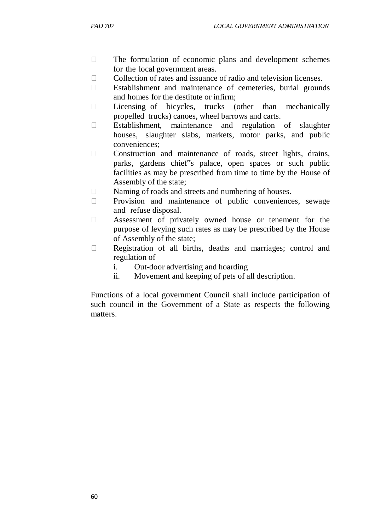The formulation of economic plans and development schemes for the local government areas.

Collection of rates and issuance of radio and television licenses.

 Establishment and maintenance of cemeteries, burial grounds and homes for the destitute or infirm;

 Licensing of bicycles, trucks (other than mechanically propelled trucks) canoes, wheel barrows and carts.

 Establishment, maintenance and regulation of slaughter houses, slaughter slabs, markets, motor parks, and public conveniences;

 Construction and maintenance of roads, street lights, drains, parks, gardens chief"s palace, open spaces or such public facilities as may be prescribed from time to time by the House of Assembly of the state;

Naming of roads and streets and numbering of houses.

 Provision and maintenance of public conveniences, sewage and refuse disposal.

 Assessment of privately owned house or tenement for the purpose of levying such rates as may be prescribed by the House of Assembly of the state;

 Registration of all births, deaths and marriages; control and regulation of

- i. Out-door advertising and hoarding
- ii. Movement and keeping of pets of all description.

Functions of a local government Council shall include participation of such council in the Government of a State as respects the following matters.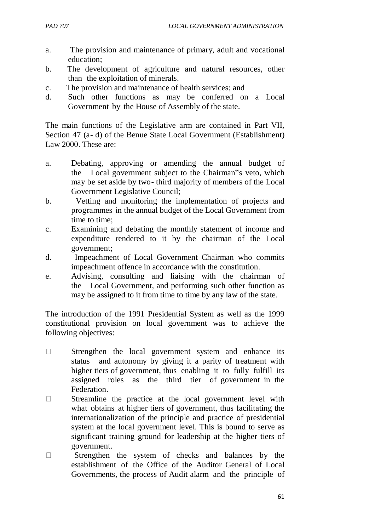- a. The provision and maintenance of primary, adult and vocational education;
- b. The development of agriculture and natural resources, other than the exploitation of minerals.
- c. The provision and maintenance of health services; and
- d. Such other functions as may be conferred on a Local Government by the House of Assembly of the state.

The main functions of the Legislative arm are contained in Part VII, Section 47 (a- d) of the Benue State Local Government (Establishment) Law 2000. These are:

- a. Debating, approving or amending the annual budget of the Local government subject to the Chairman"s veto, which may be set aside by two- third majority of members of the Local Government Legislative Council;
- b. Vetting and monitoring the implementation of projects and programmes in the annual budget of the Local Government from time to time;
- c. Examining and debating the monthly statement of income and expenditure rendered to it by the chairman of the Local government;
- d. Impeachment of Local Government Chairman who commits impeachment offence in accordance with the constitution.
- e. Advising, consulting and liaising with the chairman of the Local Government, and performing such other function as may be assigned to it from time to time by any law of the state.

The introduction of the 1991 Presidential System as well as the 1999 constitutional provision on local government was to achieve the following objectives:

> Strengthen the local government system and enhance its status and autonomy by giving it a parity of treatment with higher tiers of government, thus enabling it to fully fulfill its assigned roles as the third tier of government in the Federation.

> Streamline the practice at the local government level with what obtains at higher tiers of government, thus facilitating the internationalization of the principle and practice of presidential system at the local government level. This is bound to serve as significant training ground for leadership at the higher tiers of government.

> Strengthen the system of checks and balances by the establishment of the Office of the Auditor General of Local Governments, the process of Audit alarm and the principle of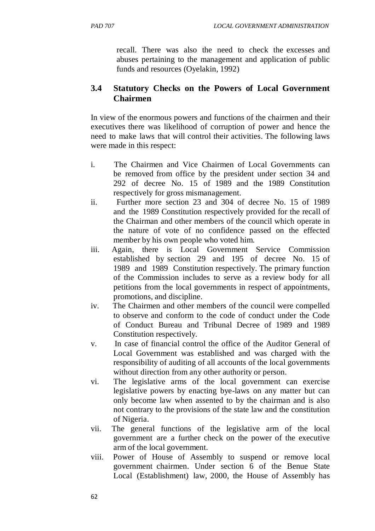recall. There was also the need to check the excesses and abuses pertaining to the management and application of public funds and resources (Oyelakin, 1992)

# **3.4 Statutory Checks on the Powers of Local Government Chairmen**

In view of the enormous powers and functions of the chairmen and their executives there was likelihood of corruption of power and hence the need to make laws that will control their activities. The following laws were made in this respect:

- i. The Chairmen and Vice Chairmen of Local Governments can be removed from office by the president under section 34 and 292 of decree No. 15 of 1989 and the 1989 Constitution respectively for gross mismanagement.
- ii. Further more section 23 and 304 of decree No. 15 of 1989 and the 1989 Constitution respectively provided for the recall of the Chairman and other members of the council which operate in the nature of vote of no confidence passed on the effected member by his own people who voted him.
- iii. Again, there is Local Government Service Commission established by section 29 and 195 of decree No. 15 of 1989 and 1989 Constitution respectively. The primary function of the Commission includes to serve as a review body for all petitions from the local governments in respect of appointments, promotions, and discipline.
- iv. The Chairmen and other members of the council were compelled to observe and conform to the code of conduct under the Code of Conduct Bureau and Tribunal Decree of 1989 and 1989 Constitution respectively.
- v. In case of financial control the office of the Auditor General of Local Government was established and was charged with the responsibility of auditing of all accounts of the local governments without direction from any other authority or person.
- vi. The legislative arms of the local government can exercise legislative powers by enacting bye-laws on any matter but can only become law when assented to by the chairman and is also not contrary to the provisions of the state law and the constitution of Nigeria.
- vii. The general functions of the legislative arm of the local government are a further check on the power of the executive arm of the local government.
- viii. Power of House of Assembly to suspend or remove local government chairmen. Under section 6 of the Benue State Local (Establishment) law, 2000, the House of Assembly has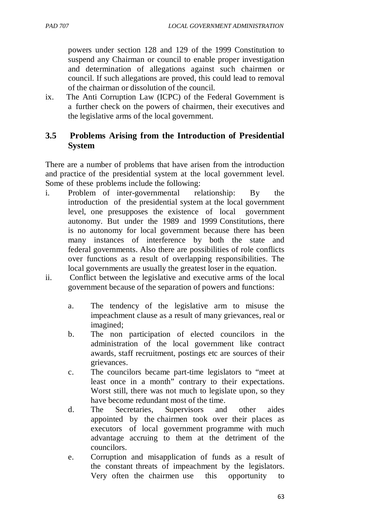powers under section 128 and 129 of the 1999 Constitution to suspend any Chairman or council to enable proper investigation and determination of allegations against such chairmen or council. If such allegations are proved, this could lead to removal of the chairman or dissolution of the council.

ix. The Anti Corruption Law (ICPC) of the Federal Government is a further check on the powers of chairmen, their executives and the legislative arms of the local government.

## **3.5 Problems Arising from the Introduction of Presidential System**

There are a number of problems that have arisen from the introduction and practice of the presidential system at the local government level. Some of these problems include the following:

- i. Problem of inter-governmental relationship: By the introduction of the presidential system at the local government level, one presupposes the existence of local government autonomy. But under the 1989 and 1999 Constitutions, there is no autonomy for local government because there has been many instances of interference by both the state and federal governments. Also there are possibilities of role conflicts over functions as a result of overlapping responsibilities. The local governments are usually the greatest loser in the equation.
- ii. Conflict between the legislative and executive arms of the local government because of the separation of powers and functions:
	- a. The tendency of the legislative arm to misuse the impeachment clause as a result of many grievances, real or imagined;
	- b. The non participation of elected councilors in the administration of the local government like contract awards, staff recruitment, postings etc are sources of their grievances.
	- c. The councilors became part-time legislators to "meet at least once in a month" contrary to their expectations. Worst still, there was not much to legislate upon, so they have become redundant most of the time.
	- d. The Secretaries, Supervisors and other aides appointed by the chairmen took over their places as executors of local government programme with much advantage accruing to them at the detriment of the councilors.
	- e. Corruption and misapplication of funds as a result of the constant threats of impeachment by the legislators. Very often the chairmen use this opportunity to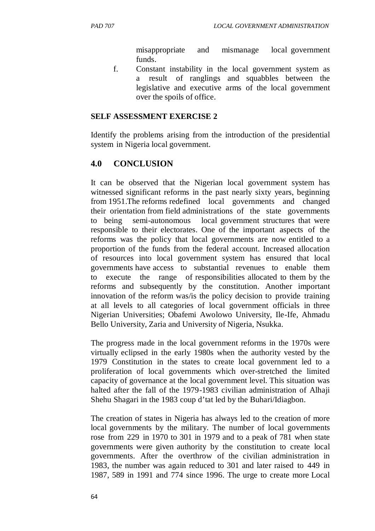misappropriate and mismanage local government funds.

f. Constant instability in the local government system as a result of ranglings and squabbles between the legislative and executive arms of the local government over the spoils of office.

#### **SELF ASSESSMENT EXERCISE 2**

Identify the problems arising from the introduction of the presidential system in Nigeria local government.

## **4.0 CONCLUSION**

It can be observed that the Nigerian local government system has witnessed significant reforms in the past nearly sixty years, beginning from 1951.The reforms redefined local governments and changed their orientation from field administrations of the state governments to being semi-autonomous local government structures that were responsible to their electorates. One of the important aspects of the reforms was the policy that local governments are now entitled to a proportion of the funds from the federal account. Increased allocation of resources into local government system has ensured that local governments have access to substantial revenues to enable them to execute the range of responsibilities allocated to them by the reforms and subsequently by the constitution. Another important innovation of the reform was/is the policy decision to provide training at all levels to all categories of local government officials in three Nigerian Universities; Obafemi Awolowo University, Ile-Ife, Ahmadu Bello University, Zaria and University of Nigeria, Nsukka.

The progress made in the local government reforms in the 1970s were virtually eclipsed in the early 1980s when the authority vested by the 1979 Constitution in the states to create local government led to a proliferation of local governments which over-stretched the limited capacity of governance at the local government level. This situation was halted after the fall of the 1979-1983 civilian administration of Alhaji Shehu Shagari in the 1983 coup d'tat led by the Buhari/Idiagbon.

The creation of states in Nigeria has always led to the creation of more local governments by the military. The number of local governments rose from 229 in 1970 to 301 in 1979 and to a peak of 781 when state governments were given authority by the constitution to create local governments. After the overthrow of the civilian administration in 1983, the number was again reduced to 301 and later raised to 449 in 1987, 589 in 1991 and 774 since 1996. The urge to create more Local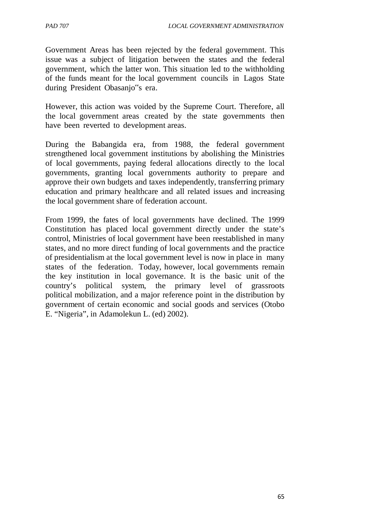Government Areas has been rejected by the federal government. This issue was a subject of litigation between the states and the federal government, which the latter won. This situation led to the withholding of the funds meant for the local government councils in Lagos State during President Obasanjo"s era.

However, this action was voided by the Supreme Court. Therefore, all the local government areas created by the state governments then have been reverted to development areas.

During the Babangida era, from 1988, the federal government strengthened local government institutions by abolishing the Ministries of local governments, paying federal allocations directly to the local governments, granting local governments authority to prepare and approve their own budgets and taxes independently, transferring primary education and primary healthcare and all related issues and increasing the local government share of federation account.

From 1999, the fates of local governments have declined. The 1999 Constitution has placed local government directly under the state's control, Ministries of local government have been reestablished in many states, and no more direct funding of local governments and the practice of presidentialism at the local government level is now in place in many states of the federation. Today, however, local governments remain the key institution in local governance. It is the basic unit of the country's political system, the primary level of grassroots political mobilization, and a major reference point in the distribution by government of certain economic and social goods and services (Otobo E. "Nigeria", in Adamolekun L. (ed) 2002).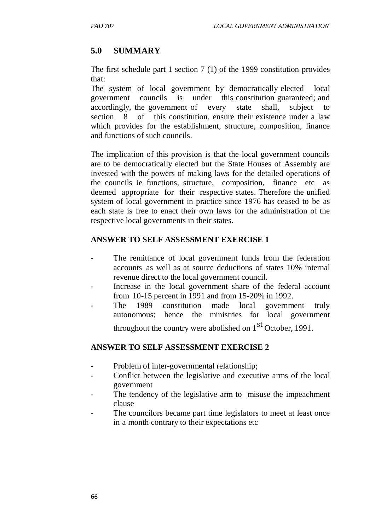# **5.0 SUMMARY**

The first schedule part 1 section 7 (1) of the 1999 constitution provides that:

The system of local government by democratically elected local government councils is under this constitution guaranteed; and accordingly, the government of every state shall, subject to section 8 of this constitution, ensure their existence under a law which provides for the establishment, structure, composition, finance and functions of such councils.

The implication of this provision is that the local government councils are to be democratically elected but the State Houses of Assembly are invested with the powers of making laws for the detailed operations of the councils ie functions, structure, composition, finance etc as deemed appropriate for their respective states. Therefore the unified system of local government in practice since 1976 has ceased to be as each state is free to enact their own laws for the administration of the respective local governments in their states.

## **ANSWER TO SELF ASSESSMENT EXERCISE 1**

- The remittance of local government funds from the federation accounts as well as at source deductions of states 10% internal revenue direct to the local government council.
- Increase in the local government share of the federal account from 10-15 percent in 1991 and from 15-20% in 1992.
- The 1989 constitution made local government truly autonomous; hence the ministries for local government throughout the country were abolished on  $1<sup>st</sup>$  October, 1991.

**ANSWER TO SELF ASSESSMENT EXERCISE 2** 

- Problem of inter-governmental relationship;
- Conflict between the legislative and executive arms of the local government
- The tendency of the legislative arm to misuse the impeachment clause
- The councilors became part time legislators to meet at least once in a month contrary to their expectations etc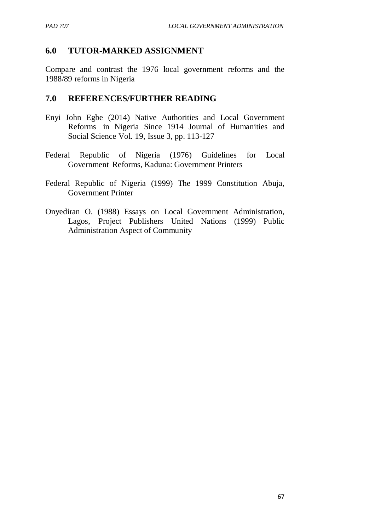### **6.0 TUTOR-MARKED ASSIGNMENT**

Compare and contrast the 1976 local government reforms and the 1988/89 reforms in Nigeria

### **7.0 REFERENCES/FURTHER READING**

- Enyi John Egbe (2014) Native Authorities and Local Government Reforms in Nigeria Since 1914 Journal of Humanities and Social Science Vol. 19, Issue 3, pp. 113-127
- Federal Republic of Nigeria (1976) Guidelines for Local Government Reforms, Kaduna: Government Printers
- Federal Republic of Nigeria (1999) The 1999 Constitution Abuja, Government Printer
- Onyediran O. (1988) Essays on Local Government Administration, Lagos, Project Publishers United Nations (1999) Public Administration Aspect of Community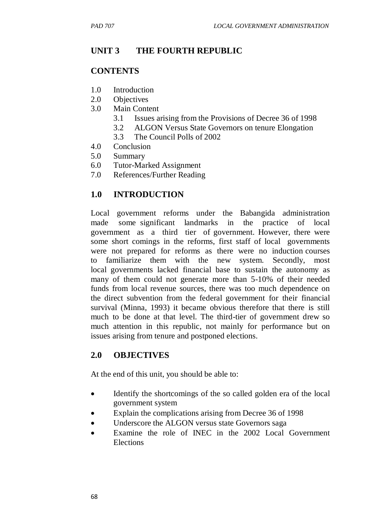## **UNIT 3 THE FOURTH REPUBLIC**

### **CONTENTS**

- 1.0 Introduction
- 2.0 Objectives
- 3.0 Main Content
	- 3.1 Issues arising from the Provisions of Decree 36 of 1998
	- 3.2 ALGON Versus State Governors on tenure Elongation
	- 3.3 The Council Polls of 2002
- 4.0 Conclusion
- 5.0 Summary
- 6.0 Tutor-Marked Assignment
- 7.0 References/Further Reading

### **1.0 INTRODUCTION**

Local government reforms under the Babangida administration made some significant landmarks in the practice of local government as a third tier of government. However, there were some short comings in the reforms, first staff of local governments were not prepared for reforms as there were no induction courses to familiarize them with the new system. Secondly, most local governments lacked financial base to sustain the autonomy as many of them could not generate more than 5-10% of their needed funds from local revenue sources, there was too much dependence on the direct subvention from the federal government for their financial survival (Minna, 1993) it became obvious therefore that there is still much to be done at that level. The third-tier of government drew so much attention in this republic, not mainly for performance but on issues arising from tenure and postponed elections.

#### **2.0 OBJECTIVES**

At the end of this unit, you should be able to:

- Identify the shortcomings of the so called golden era of the local government system
- Explain the complications arising from Decree 36 of 1998
- Underscore the ALGON versus state Governors saga
- Examine the role of INEC in the 2002 Local Government Elections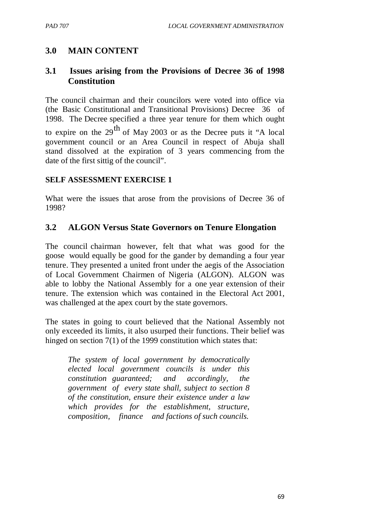# **3.0 MAIN CONTENT**

## **3.1 Issues arising from the Provisions of Decree 36 of 1998 Constitution**

The council chairman and their councilors were voted into office via (the Basic Constitutional and Transitional Provisions) Decree 36 of 1998. The Decree specified a three year tenure for them which ought to expire on the  $29<sup>th</sup>$  of May 2003 or as the Decree puts it "A local government council or an Area Council in respect of Abuja shall stand dissolved at the expiration of 3 years commencing from the date of the first sittig of the council".

#### **SELF ASSESSMENT EXERCISE 1**

What were the issues that arose from the provisions of Decree 36 of 1998?

### **3.2 ALGON Versus State Governors on Tenure Elongation**

The council chairman however, felt that what was good for the goose would equally be good for the gander by demanding a four year tenure. They presented a united front under the aegis of the Association of Local Government Chairmen of Nigeria (ALGON). ALGON was able to lobby the National Assembly for a one year extension of their tenure. The extension which was contained in the Electoral Act 2001, was challenged at the apex court by the state governors.

The states in going to court believed that the National Assembly not only exceeded its limits, it also usurped their functions. Their belief was hinged on section 7(1) of the 1999 constitution which states that:

*The system of local government by democratically elected local government councils is under this constitution guaranteed; and accordingly, the government of every state shall, subject to section 8 of the constitution, ensure their existence under a law which provides for the establishment, structure, composition, finance and factions of such councils.*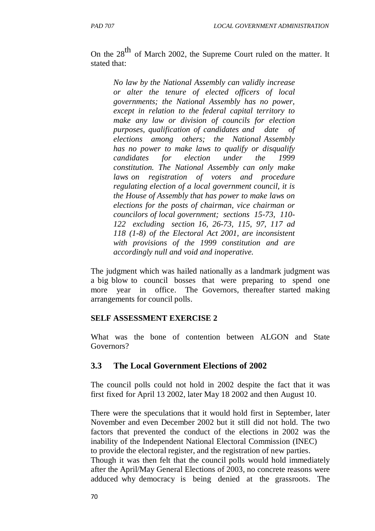On the 28<sup>th</sup> of March 2002, the Supreme Court ruled on the matter. It stated that:

*No law by the National Assembly can validly increase or alter the tenure of elected officers of local governments; the National Assembly has no power, except in relation to the federal capital territory to make any law or division of councils for election purposes, qualification of candidates and date of elections among others; the National Assembly has no power to make laws to qualify or disqualify candidates for election under the 1999 constitution. The National Assembly can only make laws on registration of voters and procedure regulating election of a local government council, it is the House of Assembly that has power to make laws on elections for the posts of chairman, vice chairman or councilors of local government; sections 15-73, 110- 122 excluding section 16, 26-73, 115, 97, 117 ad 118 (1-8) of the Electoral Act 2001, are inconsistent with provisions of the 1999 constitution and are accordingly null and void and inoperative.*

The judgment which was hailed nationally as a landmark judgment was a big blow to council bosses that were preparing to spend one more year in office. The Governors, thereafter started making arrangements for council polls.

#### **SELF ASSESSMENT EXERCISE 2**

What was the bone of contention between ALGON and State Governors?

## **3.3 The Local Government Elections of 2002**

The council polls could not hold in 2002 despite the fact that it was first fixed for April 13 2002, later May 18 2002 and then August 10.

There were the speculations that it would hold first in September, later November and even December 2002 but it still did not hold. The two factors that prevented the conduct of the elections in 2002 was the inability of the Independent National Electoral Commission (INEC) to provide the electoral register, and the registration of new parties. Though it was then felt that the council polls would hold immediately after the April/May General Elections of 2003, no concrete reasons were adduced why democracy is being denied at the grassroots. The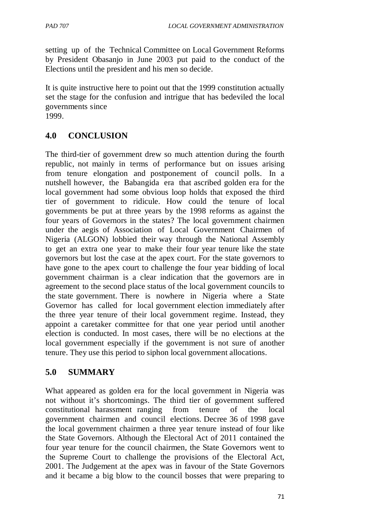setting up of the Technical Committee on Local Government Reforms by President Obasanjo in June 2003 put paid to the conduct of the Elections until the president and his men so decide.

It is quite instructive here to point out that the 1999 constitution actually set the stage for the confusion and intrigue that has bedeviled the local governments since

1999.

# **4.0 CONCLUSION**

The third-tier of government drew so much attention during the fourth republic, not mainly in terms of performance but on issues arising from tenure elongation and postponement of council polls. In a nutshell however, the Babangida era that ascribed golden era for the local government had some obvious loop holds that exposed the third tier of government to ridicule. How could the tenure of local governments be put at three years by the 1998 reforms as against the four years of Governors in the states? The local government chairmen under the aegis of Association of Local Government Chairmen of Nigeria (ALGON) lobbied their way through the National Assembly to get an extra one year to make their four year tenure like the state governors but lost the case at the apex court. For the state governors to have gone to the apex court to challenge the four year bidding of local government chairman is a clear indication that the governors are in agreement to the second place status of the local government councils to the state government. There is nowhere in Nigeria where a State Governor has called for local government election immediately after the three year tenure of their local government regime. Instead, they appoint a caretaker committee for that one year period until another election is conducted. In most cases, there will be no elections at the local government especially if the government is not sure of another tenure. They use this period to siphon local government allocations.

## **5.0 SUMMARY**

What appeared as golden era for the local government in Nigeria was not without it's shortcomings. The third tier of government suffered constitutional harassment ranging from tenure of the local government chairmen and council elections. Decree 36 of 1998 gave the local government chairmen a three year tenure instead of four like the State Governors. Although the Electoral Act of 2011 contained the four year tenure for the council chairmen, the State Governors went to the Supreme Court to challenge the provisions of the Electoral Act, 2001. The Judgement at the apex was in favour of the State Governors and it became a big blow to the council bosses that were preparing to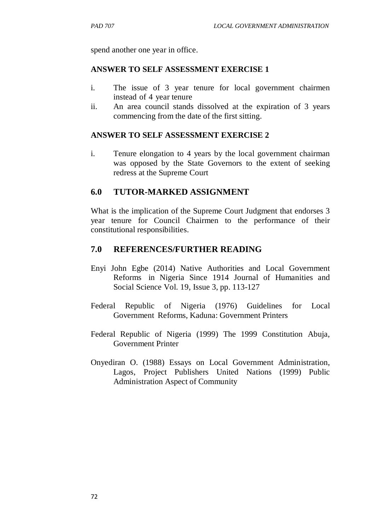spend another one year in office.

### **ANSWER TO SELF ASSESSMENT EXERCISE 1**

- i. The issue of 3 year tenure for local government chairmen instead of 4 year tenure
- ii. An area council stands dissolved at the expiration of 3 years commencing from the date of the first sitting.

### **ANSWER TO SELF ASSESSMENT EXERCISE 2**

i. Tenure elongation to 4 years by the local government chairman was opposed by the State Governors to the extent of seeking redress at the Supreme Court

# **6.0 TUTOR-MARKED ASSIGNMENT**

What is the implication of the Supreme Court Judgment that endorses 3 year tenure for Council Chairmen to the performance of their constitutional responsibilities.

## **7.0 REFERENCES/FURTHER READING**

- Enyi John Egbe (2014) Native Authorities and Local Government Reforms in Nigeria Since 1914 Journal of Humanities and Social Science Vol. 19, Issue 3, pp. 113-127
- Federal Republic of Nigeria (1976) Guidelines for Local Government Reforms, Kaduna: Government Printers
- Federal Republic of Nigeria (1999) The 1999 Constitution Abuja, Government Printer
- Onyediran O. (1988) Essays on Local Government Administration, Lagos, Project Publishers United Nations (1999) Public Administration Aspect of Community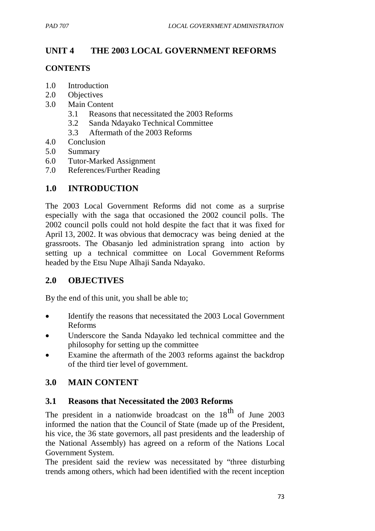## **UNIT 4 THE 2003 LOCAL GOVERNMENT REFORMS**

#### **CONTENTS**

- 1.0 Introduction
- 2.0 Objectives
- 3.0 Main Content
	- 3.1 Reasons that necessitated the 2003 Reforms
	- 3.2 Sanda Ndayako Technical Committee
	- 3.3 Aftermath of the 2003 Reforms
- 4.0 Conclusion
- 5.0 Summary
- 6.0 Tutor-Marked Assignment
- 7.0 References/Further Reading

### **1.0 INTRODUCTION**

The 2003 Local Government Reforms did not come as a surprise especially with the saga that occasioned the 2002 council polls. The 2002 council polls could not hold despite the fact that it was fixed for April 13, 2002. It was obvious that democracy was being denied at the grassroots. The Obasanjo led administration sprang into action by setting up a technical committee on Local Government Reforms headed by the Etsu Nupe Alhaji Sanda Ndayako.

## **2.0 OBJECTIVES**

By the end of this unit, you shall be able to;

- Identify the reasons that necessitated the 2003 Local Government Reforms
- Underscore the Sanda Ndayako led technical committee and the philosophy for setting up the committee
- Examine the aftermath of the 2003 reforms against the backdrop of the third tier level of government.

#### **3.0 MAIN CONTENT**

#### **3.1 Reasons that Necessitated the 2003 Reforms**

The president in a nationwide broadcast on the  $18<sup>th</sup>$  of June 2003 informed the nation that the Council of State (made up of the President, his vice, the 36 state governors, all past presidents and the leadership of the National Assembly) has agreed on a reform of the Nations Local Government System.

The president said the review was necessitated by "three disturbing trends among others, which had been identified with the recent inception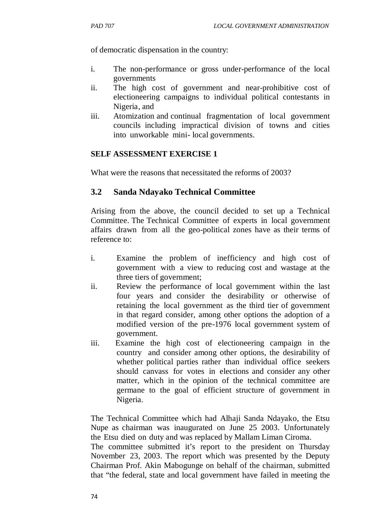of democratic dispensation in the country:

- i. The non-performance or gross under-performance of the local governments
- ii. The high cost of government and near-prohibitive cost of electioneering campaigns to individual political contestants in Nigeria, and
- iii. Atomization and continual fragmentation of local government councils including impractical division of towns and cities into unworkable mini- local governments.

### **SELF ASSESSMENT EXERCISE 1**

What were the reasons that necessitated the reforms of 2003?

## **3.2 Sanda Ndayako Technical Committee**

Arising from the above, the council decided to set up a Technical Committee. The Technical Committee of experts in local government affairs drawn from all the geo-political zones have as their terms of reference to:

- i. Examine the problem of inefficiency and high cost of government with a view to reducing cost and wastage at the three tiers of government;
- ii. Review the performance of local government within the last four years and consider the desirability or otherwise of retaining the local government as the third tier of government in that regard consider, among other options the adoption of a modified version of the pre-1976 local government system of government.
- iii. Examine the high cost of electioneering campaign in the country and consider among other options, the desirability of whether political parties rather than individual office seekers should canvass for votes in elections and consider any other matter, which in the opinion of the technical committee are germane to the goal of efficient structure of government in Nigeria.

The Technical Committee which had Alhaji Sanda Ndayako, the Etsu Nupe as chairman was inaugurated on June 25 2003. Unfortunately the Etsu died on duty and was replaced by Mallam Liman Ciroma.

The committee submitted it's report to the president on Thursday November 23, 2003. The report which was presented by the Deputy Chairman Prof. Akin Mabogunge on behalf of the chairman, submitted that "the federal, state and local government have failed in meeting the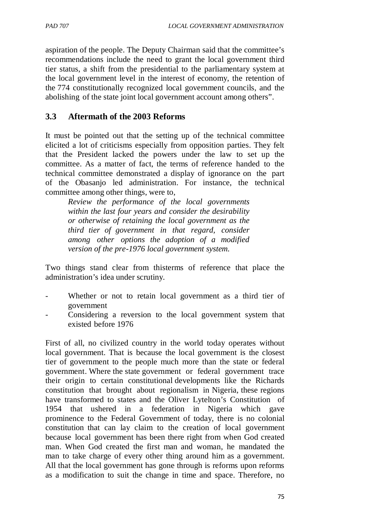aspiration of the people. The Deputy Chairman said that the committee's recommendations include the need to grant the local government third tier status, a shift from the presidential to the parliamentary system at the local government level in the interest of economy, the retention of the 774 constitutionally recognized local government councils, and the abolishing of the state joint local government account among others".

## **3.3 Aftermath of the 2003 Reforms**

It must be pointed out that the setting up of the technical committee elicited a lot of criticisms especially from opposition parties. They felt that the President lacked the powers under the law to set up the committee. As a matter of fact, the terms of reference handed to the technical committee demonstrated a display of ignorance on the part of the Obasanjo led administration. For instance, the technical committee among other things, were to,

*Review the performance of the local governments within the last four years and consider the desirability or otherwise of retaining the local government as the third tier of government in that regard, consider among other options the adoption of a modified version of the pre-1976 local government system.*

Two things stand clear from thisterms of reference that place the administration's idea under scrutiny.

- Whether or not to retain local government as a third tier of government
- Considering a reversion to the local government system that existed before 1976

First of all, no civilized country in the world today operates without local government. That is because the local government is the closest tier of government to the people much more than the state or federal government. Where the state government or federal government trace their origin to certain constitutional developments like the Richards constitution that brought about regionalism in Nigeria, these regions have transformed to states and the Oliver Lytelton's Constitution of 1954 that ushered in a federation in Nigeria which gave prominence to the Federal Government of today, there is no colonial constitution that can lay claim to the creation of local government because local government has been there right from when God created man. When God created the first man and woman, he mandated the man to take charge of every other thing around him as a government. All that the local government has gone through is reforms upon reforms as a modification to suit the change in time and space. Therefore, no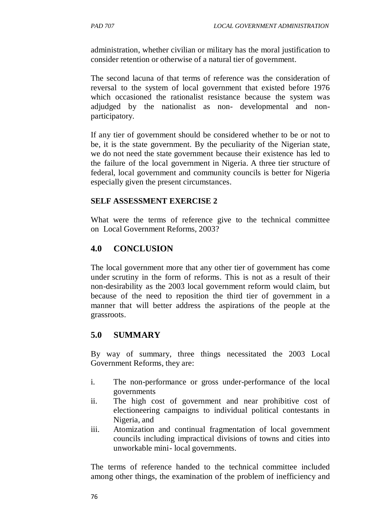administration, whether civilian or military has the moral justification to consider retention or otherwise of a natural tier of government.

The second lacuna of that terms of reference was the consideration of reversal to the system of local government that existed before 1976 which occasioned the rationalist resistance because the system was adjudged by the nationalist as non- developmental and nonparticipatory.

If any tier of government should be considered whether to be or not to be, it is the state government. By the peculiarity of the Nigerian state, we do not need the state government because their existence has led to the failure of the local government in Nigeria. A three tier structure of federal, local government and community councils is better for Nigeria especially given the present circumstances.

### **SELF ASSESSMENT EXERCISE 2**

What were the terms of reference give to the technical committee on Local Government Reforms, 2003?

# **4.0 CONCLUSION**

The local government more that any other tier of government has come under scrutiny in the form of reforms. This is not as a result of their non-desirability as the 2003 local government reform would claim, but because of the need to reposition the third tier of government in a manner that will better address the aspirations of the people at the grassroots.

## **5.0 SUMMARY**

By way of summary, three things necessitated the 2003 Local Government Reforms, they are:

- i. The non-performance or gross under-performance of the local governments
- ii. The high cost of government and near prohibitive cost of electioneering campaigns to individual political contestants in Nigeria, and
- iii. Atomization and continual fragmentation of local government councils including impractical divisions of towns and cities into unworkable mini- local governments.

The terms of reference handed to the technical committee included among other things, the examination of the problem of inefficiency and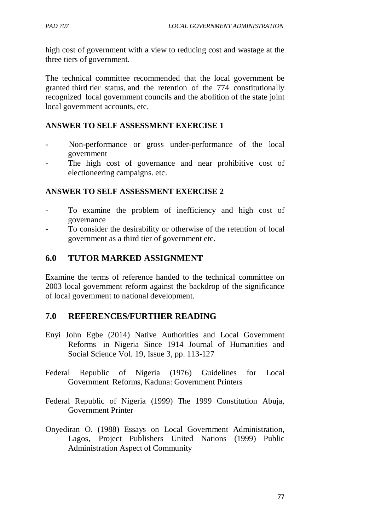high cost of government with a view to reducing cost and wastage at the three tiers of government.

The technical committee recommended that the local government be granted third tier status, and the retention of the 774 constitutionally recognized local government councils and the abolition of the state joint local government accounts, etc.

#### **ANSWER TO SELF ASSESSMENT EXERCISE 1**

- Non-performance or gross under-performance of the local government
- The high cost of governance and near prohibitive cost of electioneering campaigns. etc.

#### **ANSWER TO SELF ASSESSMENT EXERCISE 2**

- To examine the problem of inefficiency and high cost of governance
- To consider the desirability or otherwise of the retention of local government as a third tier of government etc.

## **6.0 TUTOR MARKED ASSIGNMENT**

Examine the terms of reference handed to the technical committee on 2003 local government reform against the backdrop of the significance of local government to national development.

## **7.0 REFERENCES/FURTHER READING**

- Enyi John Egbe (2014) Native Authorities and Local Government Reforms in Nigeria Since 1914 Journal of Humanities and Social Science Vol. 19, Issue 3, pp. 113-127
- Federal Republic of Nigeria (1976) Guidelines for Local Government Reforms, Kaduna: Government Printers
- Federal Republic of Nigeria (1999) The 1999 Constitution Abuja, Government Printer
- Onyediran O. (1988) Essays on Local Government Administration, Lagos, Project Publishers United Nations (1999) Public Administration Aspect of Community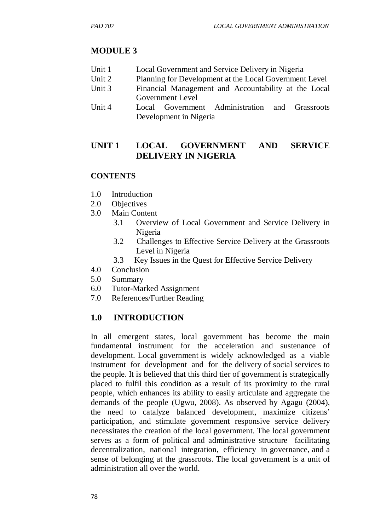# **MODULE 3**

- Unit 1 Local Government and Service Delivery in Nigeria
- Unit 2 Planning for Development at the Local Government Level
- Unit 3 Financial Management and Accountability at the Local Government Level
- Unit 4 Local Government Administration and Grassroots Development in Nigeria

# **UNIT 1 LOCAL GOVERNMENT AND SERVICE DELIVERY IN NIGERIA**

# **CONTENTS**

- 1.0 Introduction
- 2.0 Objectives
- 3.0 Main Content
	- 3.1 Overview of Local Government and Service Delivery in Nigeria
	- 3.2 Challenges to Effective Service Delivery at the Grassroots Level in Nigeria
	- 3.3 Key Issues in the Quest for Effective Service Delivery
- 4.0 Conclusion
- 5.0 Summary
- 6.0 Tutor-Marked Assignment
- 7.0 References/Further Reading

# **1.0 INTRODUCTION**

In all emergent states, local government has become the main fundamental instrument for the acceleration and sustenance of development. Local government is widely acknowledged as a viable instrument for development and for the delivery of social services to the people. It is believed that this third tier of government is strategically placed to fulfil this condition as a result of its proximity to the rural people, which enhances its ability to easily articulate and aggregate the demands of the people (Ugwu, 2008). As observed by Agagu (2004), the need to catalyze balanced development, maximize citizens' participation, and stimulate government responsive service delivery necessitates the creation of the local government. The local government serves as a form of political and administrative structure facilitating decentralization, national integration, efficiency in governance, and a sense of belonging at the grassroots. The local government is a unit of administration all over the world.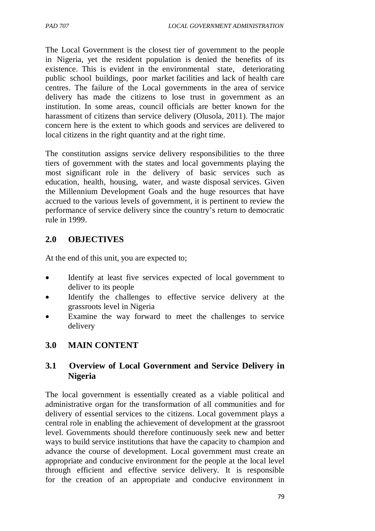The Local Government is the closest tier of government to the people in Nigeria, yet the resident population is denied the benefits of its existence. This is evident in the environmental state, deteriorating public school buildings, poor market facilities and lack of health care centres. The failure of the Local governments in the area of service delivery has made the citizens to lose trust in government as an institution. In some areas, council officials are better known for the harassment of citizens than service delivery (Olusola, 2011). The major concern here is the extent to which goods and services are delivered to local citizens in the right quantity and at the right time.

The constitution assigns service delivery responsibilities to the three tiers of government with the states and local governments playing the most significant role in the delivery of basic services such as education, health, housing, water, and waste disposal services. Given the Millennium Development Goals and the huge resources that have accrued to the various levels of government, it is pertinent to review the performance of service delivery since the country's return to democratic rule in 1999.

# **2.0 OBJECTIVES**

At the end of this unit, you are expected to;

- Identify at least five services expected of local government to deliver to its people
- Identify the challenges to effective service delivery at the grassroots level in Nigeria
- Examine the way forward to meet the challenges to service delivery

# **3.0 MAIN CONTENT**

# **3.1 Overview of Local Government and Service Delivery in Nigeria**

The local government is essentially created as a viable political and administrative organ for the transformation of all communities and for delivery of essential services to the citizens. Local government plays a central role in enabling the achievement of development at the grassroot level. Governments should therefore continuously seek new and better ways to build service institutions that have the capacity to champion and advance the course of development. Local government must create an appropriate and conducive environment for the people at the local level through efficient and effective service delivery. It is responsible for the creation of an appropriate and conducive environment in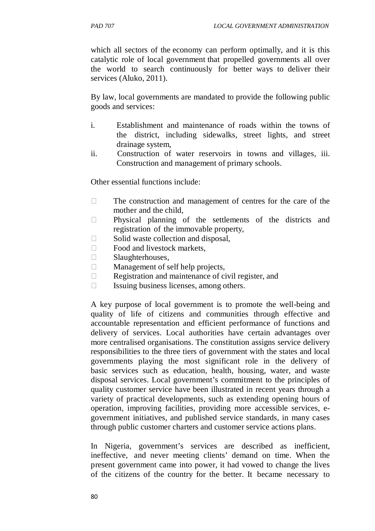which all sectors of the economy can perform optimally, and it is this catalytic role of local government that propelled governments all over the world to search continuously for better ways to deliver their services (Aluko, 2011).

By law, local governments are mandated to provide the following public goods and services:

- i. Establishment and maintenance of roads within the towns of the district, including sidewalks, street lights, and street drainage system,
- ii. Construction of water reservoirs in towns and villages, iii. Construction and management of primary schools.

Other essential functions include:

 The construction and management of centres for the care of the mother and the child, Physical planning of the settlements of the districts and registration of the immovable property, Solid waste collection and disposal, Food and livestock markets, Slaughterhouses, Management of self help projects, Registration and maintenance of civil register, and Issuing business licenses, among others.

A key purpose of local government is to promote the well-being and quality of life of citizens and communities through effective and accountable representation and efficient performance of functions and delivery of services. Local authorities have certain advantages over more centralised organisations. The constitution assigns service delivery responsibilities to the three tiers of government with the states and local governments playing the most significant role in the delivery of basic services such as education, health, housing, water, and waste disposal services. Local government's commitment to the principles of quality customer service have been illustrated in recent years through a variety of practical developments, such as extending opening hours of operation, improving facilities, providing more accessible services, egovernment initiatives, and published service standards, in many cases through public customer charters and customer service actions plans.

In Nigeria, government's services are described as inefficient, ineffective, and never meeting clients' demand on time. When the present government came into power, it had vowed to change the lives of the citizens of the country for the better. It became necessary to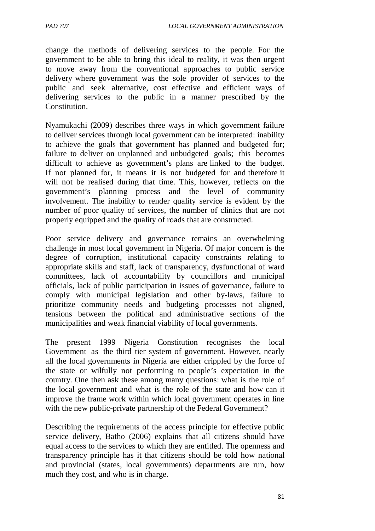change the methods of delivering services to the people. For the government to be able to bring this ideal to reality, it was then urgent to move away from the conventional approaches to public service delivery where government was the sole provider of services to the public and seek alternative, cost effective and efficient ways of delivering services to the public in a manner prescribed by the Constitution.

Nyamukachi (2009) describes three ways in which government failure to deliver services through local government can be interpreted: inability to achieve the goals that government has planned and budgeted for; failure to deliver on unplanned and unbudgeted goals; this becomes difficult to achieve as government's plans are linked to the budget. If not planned for, it means it is not budgeted for and therefore it will not be realised during that time. This, however, reflects on the government's planning process and the level of community involvement. The inability to render quality service is evident by the number of poor quality of services, the number of clinics that are not properly equipped and the quality of roads that are constructed.

Poor service delivery and governance remains an overwhelming challenge in most local government in Nigeria. Of major concern is the degree of corruption, institutional capacity constraints relating to appropriate skills and staff, lack of transparency, dysfunctional of ward committees, lack of accountability by councillors and municipal officials, lack of public participation in issues of governance, failure to comply with municipal legislation and other by-laws, failure to prioritize community needs and budgeting processes not aligned, tensions between the political and administrative sections of the municipalities and weak financial viability of local governments.

The present 1999 Nigeria Constitution recognises the local Government as the third tier system of government. However, nearly all the local governments in Nigeria are either crippled by the force of the state or wilfully not performing to people's expectation in the country. One then ask these among many questions: what is the role of the local government and what is the role of the state and how can it improve the frame work within which local government operates in line with the new public-private partnership of the Federal Government?

Describing the requirements of the access principle for effective public service delivery, Batho (2006) explains that all citizens should have equal access to the services to which they are entitled. The openness and transparency principle has it that citizens should be told how national and provincial (states, local governments) departments are run, how much they cost, and who is in charge.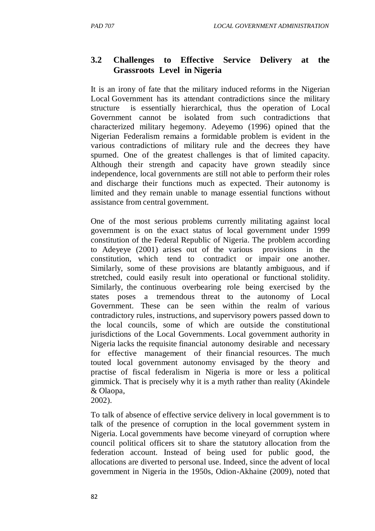# **3.2 Challenges to Effective Service Delivery at the Grassroots Level in Nigeria**

It is an irony of fate that the military induced reforms in the Nigerian Local Government has its attendant contradictions since the military structure is essentially hierarchical, thus the operation of Local Government cannot be isolated from such contradictions that characterized military hegemony. Adeyemo (1996) opined that the Nigerian Federalism remains a formidable problem is evident in the various contradictions of military rule and the decrees they have spurned. One of the greatest challenges is that of limited capacity. Although their strength and capacity have grown steadily since independence, local governments are still not able to perform their roles and discharge their functions much as expected. Their autonomy is limited and they remain unable to manage essential functions without assistance from central government.

One of the most serious problems currently militating against local government is on the exact status of local government under 1999 constitution of the Federal Republic of Nigeria. The problem according to Adeyeye (2001) arises out of the various provisions in the constitution, which tend to contradict or impair one another. Similarly, some of these provisions are blatantly ambiguous, and if stretched, could easily result into operational or functional stolidity. Similarly, the continuous overbearing role being exercised by the states poses a tremendous threat to the autonomy of Local Government. These can be seen within the realm of various contradictory rules, instructions, and supervisory powers passed down to the local councils, some of which are outside the constitutional jurisdictions of the Local Governments. Local government authority in Nigeria lacks the requisite financial autonomy desirable and necessary for effective management of their financial resources. The much touted local government autonomy envisaged by the theory and practise of fiscal federalism in Nigeria is more or less a political gimmick. That is precisely why it is a myth rather than reality (Akindele & Olaopa,

2002).

To talk of absence of effective service delivery in local government is to talk of the presence of corruption in the local government system in Nigeria. Local governments have become vineyard of corruption where council political officers sit to share the statutory allocation from the federation account. Instead of being used for public good, the allocations are diverted to personal use. Indeed, since the advent of local government in Nigeria in the 1950s, Odion-Akhaine (2009), noted that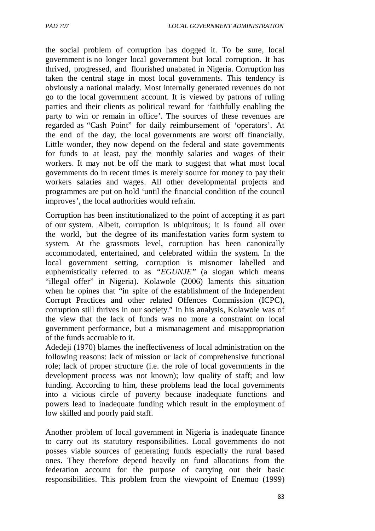the social problem of corruption has dogged it. To be sure, local government is no longer local government but local corruption. It has thrived, progressed, and flourished unabated in Nigeria. Corruption has taken the central stage in most local governments. This tendency is obviously a national malady. Most internally generated revenues do not go to the local government account. It is viewed by patrons of ruling parties and their clients as political reward for 'faithfully enabling the party to win or remain in office'. The sources of these revenues are regarded as "Cash Point" for daily reimbursement of 'operators'. At the end of the day, the local governments are worst off financially. Little wonder, they now depend on the federal and state governments for funds to at least, pay the monthly salaries and wages of their workers. It may not be off the mark to suggest that what most local governments do in recent times is merely source for money to pay their workers salaries and wages. All other developmental projects and programmes are put on hold 'until the financial condition of the council improves', the local authorities would refrain.

Corruption has been institutionalized to the point of accepting it as part of our system. Albeit, corruption is ubiquitous; it is found all over the world, but the degree of its manifestation varies form system to system. At the grassroots level, corruption has been canonically accommodated, entertained, and celebrated within the system. In the local government setting, corruption is misnomer labelled and euphemistically referred to as *"EGUNJE"* (a slogan which means "illegal offer" in Nigeria). Kolawole (2006) laments this situation when he opines that "in spite of the establishment of the Independent Corrupt Practices and other related Offences Commission (ICPC), corruption still thrives in our society." In his analysis, Kolawole was of the view that the lack of funds was no more a constraint on local government performance, but a mismanagement and misappropriation of the funds accruable to it.

Adedeji (1970) blames the ineffectiveness of local administration on the following reasons: lack of mission or lack of comprehensive functional role; lack of proper structure (i.e. the role of local governments in the development process was not known); low quality of staff; and low funding. According to him, these problems lead the local governments into a vicious circle of poverty because inadequate functions and powers lead to inadequate funding which result in the employment of low skilled and poorly paid staff.

Another problem of local government in Nigeria is inadequate finance to carry out its statutory responsibilities. Local governments do not posses viable sources of generating funds especially the rural based ones. They therefore depend heavily on fund allocations from the federation account for the purpose of carrying out their basic responsibilities. This problem from the viewpoint of Enemuo (1999)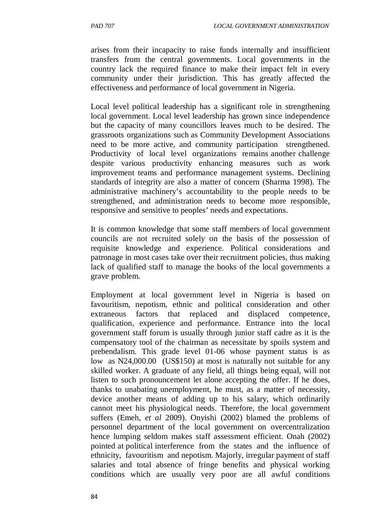arises from their incapacity to raise funds internally and insufficient transfers from the central governments. Local governments in the country lack the required finance to make their impact felt in every community under their jurisdiction. This has greatly affected the effectiveness and performance of local government in Nigeria.

Local level political leadership has a significant role in strengthening local government. Local level leadership has grown since independence but the capacity of many councillors leaves much to be desired. The grassroots organizations such as Community Development Associations need to be more active, and community participation strengthened. Productivity of local level organizations remains another challenge despite various productivity enhancing measures such as work improvement teams and performance management systems. Declining standards of integrity are also a matter of concern (Sharma 1998). The administrative machinery's accountability to the people needs to be strengthened, and administration needs to become more responsible, responsive and sensitive to peoples' needs and expectations.

It is common knowledge that some staff members of local government councils are not recruited solely on the basis of the possession of requisite knowledge and experience. Political considerations and patronage in most cases take over their recruitment policies, thus making lack of qualified staff to manage the books of the local governments a grave problem.

Employment at local government level in Nigeria is based on favouritism, nepotism, ethnic and political consideration and other extraneous factors that replaced and displaced competence, qualification, experience and performance. Entrance into the local government staff forum is usually through junior staff cadre as it is the compensatory tool of the chairman as necessitate by spoils system and prebendalism. This grade level 01-06 whose payment status is as low as N24,000.00 (US\$150) at most is naturally not suitable for any skilled worker. A graduate of any field, all things being equal, will not listen to such pronouncement let alone accepting the offer. If he does, thanks to unabating unemployment, he must, as a matter of necessity, device another means of adding up to his salary, which ordinarily cannot meet his physiological needs. Therefore, the local government suffers (Emeh, *et al* 2009). Onyishi (2002) blamed the problems of personnel department of the local government on overcentralization hence lumping seldom makes staff assessment efficient. Onah (2002) pointed at political interference from the states and the influence of ethnicity, favouritism and nepotism. Majorly, irregular payment of staff salaries and total absence of fringe benefits and physical working conditions which are usually very poor are all awful conditions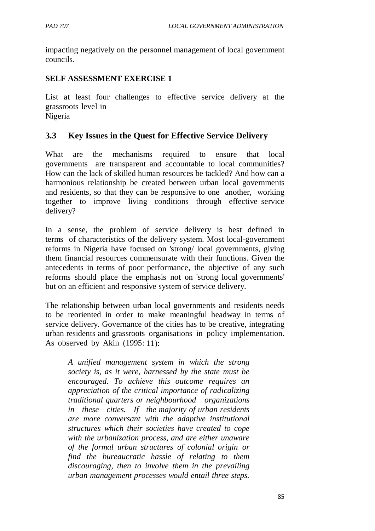impacting negatively on the personnel management of local government councils.

### **SELF ASSESSMENT EXERCISE 1**

List at least four challenges to effective service delivery at the grassroots level in Nigeria

## **3.3 Key Issues in the Quest for Effective Service Delivery**

What are the mechanisms required to ensure that local governments are transparent and accountable to local communities? How can the lack of skilled human resources be tackled? And how can a harmonious relationship be created between urban local governments and residents, so that they can be responsive to one another, working together to improve living conditions through effective service delivery?

In a sense, the problem of service delivery is best defined in terms of characteristics of the delivery system. Most local-government reforms in Nigeria have focused on 'strong/ local governments, giving them financial resources commensurate with their functions. Given the antecedents in terms of poor performance, the objective of any such reforms should place the emphasis not on 'strong local governments' but on an efficient and responsive system of service delivery.

The relationship between urban local governments and residents needs to be reoriented in order to make meaningful headway in terms of service delivery. Governance of the cities has to be creative, integrating urban residents and grassroots organisations in policy implementation. As observed by Akin (1995: 11):

*A unified management system in which the strong society is, as it were, harnessed by the state must be encouraged. To achieve this outcome requires an appreciation of the critical importance of radicalizing traditional quarters or neighbourhood organizations in these cities. If the majority of urban residents are more conversant with the adaptive institutional structures which their societies have created to cope with the urbanization process, and are either unaware of the formal urban structures of colonial origin or find the bureaucratic hassle of relating to them discouraging, then to involve them in the prevailing urban management processes would entail three steps.*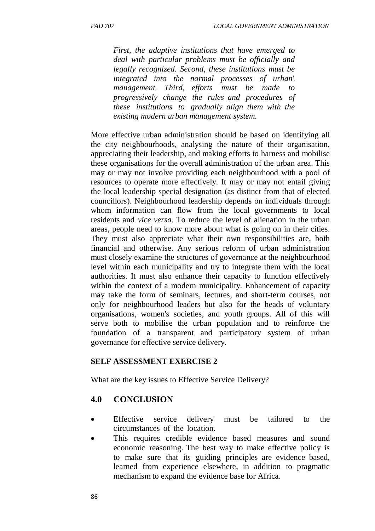*First, the adaptive institutions that have emerged to deal with particular problems must be officially and legally recognized. Second, these institutions must be integrated into the normal processes of urban\ management. Third, efforts must be made to progressively change the rules and procedures of these institutions to gradually align them with the existing modern urban management system.*

More effective urban administration should be based on identifying all the city neighbourhoods, analysing the nature of their organisation, appreciating their leadership, and making efforts to harness and mobilise these organisations for the overall administration of the urban area. This may or may not involve providing each neighbourhood with a pool of resources to operate more effectively. It may or may not entail giving the local leadership special designation (as distinct from that of elected councillors). Neighbourhood leadership depends on individuals through whom information can flow from the local governments to local residents and *vice versa.* To reduce the level of alienation in the urban areas, people need to know more about what is going on in their cities. They must also appreciate what their own responsibilities are, both financial and otherwise. Any serious reform of urban administration must closely examine the structures of governance at the neighbourhood level within each municipality and try to integrate them with the local authorities. It must also enhance their capacity to function effectively within the context of a modern municipality. Enhancement of capacity may take the form of seminars, lectures, and short-term courses, not only for neighbourhood leaders but also for the heads of voluntary organisations, women's societies, and youth groups. All of this will serve both to mobilise the urban population and to reinforce the foundation of a transparent and participatory system of urban governance for effective service delivery.

#### **SELF ASSESSMENT EXERCISE 2**

What are the key issues to Effective Service Delivery?

## **4.0 CONCLUSION**

- Effective service delivery must be tailored to the circumstances of the location.
- This requires credible evidence based measures and sound economic reasoning. The best way to make effective policy is to make sure that its guiding principles are evidence based, learned from experience elsewhere, in addition to pragmatic mechanism to expand the evidence base for Africa.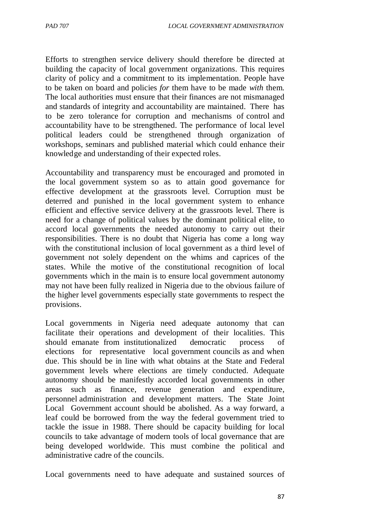Efforts to strengthen service delivery should therefore be directed at building the capacity of local government organizations. This requires clarity of policy and a commitment to its implementation. People have to be taken on board and policies *for* them have to be made *with* them. The local authorities must ensure that their finances are not mismanaged and standards of integrity and accountability are maintained. There has to be zero tolerance for corruption and mechanisms of control and accountability have to be strengthened. The performance of local level political leaders could be strengthened through organization of workshops, seminars and published material which could enhance their knowledge and understanding of their expected roles.

Accountability and transparency must be encouraged and promoted in the local government system so as to attain good governance for effective development at the grassroots level. Corruption must be deterred and punished in the local government system to enhance efficient and effective service delivery at the grassroots level. There is need for a change of political values by the dominant political elite, to accord local governments the needed autonomy to carry out their responsibilities. There is no doubt that Nigeria has come a long way with the constitutional inclusion of local government as a third level of government not solely dependent on the whims and caprices of the states. While the motive of the constitutional recognition of local governments which in the main is to ensure local government autonomy may not have been fully realized in Nigeria due to the obvious failure of the higher level governments especially state governments to respect the provisions.

Local governments in Nigeria need adequate autonomy that can facilitate their operations and development of their localities. This should emanate from institutionalized democratic process of elections for representative local government councils as and when due. This should be in line with what obtains at the State and Federal government levels where elections are timely conducted. Adequate autonomy should be manifestly accorded local governments in other areas such as finance, revenue generation and expenditure, personnel administration and development matters. The State Joint Local Government account should be abolished. As a way forward, a leaf could be borrowed from the way the federal government tried to tackle the issue in 1988. There should be capacity building for local councils to take advantage of modern tools of local governance that are being developed worldwide. This must combine the political and administrative cadre of the councils.

Local governments need to have adequate and sustained sources of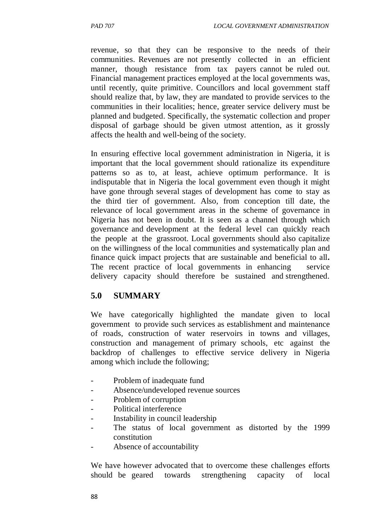revenue, so that they can be responsive to the needs of their communities. Revenues are not presently collected in an efficient manner, though resistance from tax payers cannot be ruled out. Financial management practices employed at the local governments was, until recently, quite primitive. Councillors and local government staff should realize that, by law, they are mandated to provide services to the communities in their localities; hence, greater service delivery must be planned and budgeted. Specifically, the systematic collection and proper disposal of garbage should be given utmost attention, as it grossly affects the health and well-being of the society.

In ensuring effective local government administration in Nigeria, it is important that the local government should rationalize its expenditure patterns so as to, at least, achieve optimum performance. It is indisputable that in Nigeria the local government even though it might have gone through several stages of development has come to stay as the third tier of government. Also, from conception till date, the relevance of local government areas in the scheme of governance in Nigeria has not been in doubt. It is seen as a channel through which governance and development at the federal level can quickly reach the people at the grassroot. Local governments should also capitalize on the willingness of the local communities and systematically plan and finance quick impact projects that are sustainable and beneficial to all**.**  The recent practice of local governments in enhancing service delivery capacity should therefore be sustained and strengthened.

## **5.0 SUMMARY**

We have categorically highlighted the mandate given to local government to provide such services as establishment and maintenance of roads, construction of water reservoirs in towns and villages, construction and management of primary schools, etc against the backdrop of challenges to effective service delivery in Nigeria among which include the following;

- Problem of inadequate fund
- Absence/undeveloped revenue sources
- Problem of corruption
- Political interference
- Instability in council leadership
- The status of local government as distorted by the 1999 constitution
- Absence of accountability

We have however advocated that to overcome these challenges efforts should be geared towards strengthening capacity of local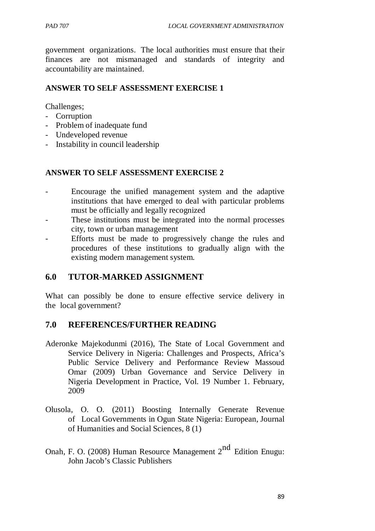government organizations. The local authorities must ensure that their finances are not mismanaged and standards of integrity and accountability are maintained.

#### **ANSWER TO SELF ASSESSMENT EXERCISE 1**

Challenges;

- Corruption
- Problem of inadequate fund
- Undeveloped revenue
- Instability in council leadership

#### **ANSWER TO SELF ASSESSMENT EXERCISE 2**

- Encourage the unified management system and the adaptive institutions that have emerged to deal with particular problems must be officially and legally recognized
- These institutions must be integrated into the normal processes city, town or urban management
- Efforts must be made to progressively change the rules and procedures of these institutions to gradually align with the existing modern management system.

### **6.0 TUTOR-MARKED ASSIGNMENT**

What can possibly be done to ensure effective service delivery in the local government?

#### **7.0 REFERENCES/FURTHER READING**

- Aderonke Majekodunmi (2016), The State of Local Government and Service Delivery in Nigeria: Challenges and Prospects, Africa's Public Service Delivery and Performance Review Massoud Omar (2009) Urban Governance and Service Delivery in Nigeria Development in Practice, Vol. 19 Number 1. February, 2009
- Olusola, O. O. (2011) Boosting Internally Generate Revenue of Local Governments in Ogun State Nigeria: European, Journal of Humanities and Social Sciences, 8 (1)
- Onah, F. O. (2008) Human Resource Management 2<sup>nd</sup> Edition Enugu: John Jacob's Classic Publishers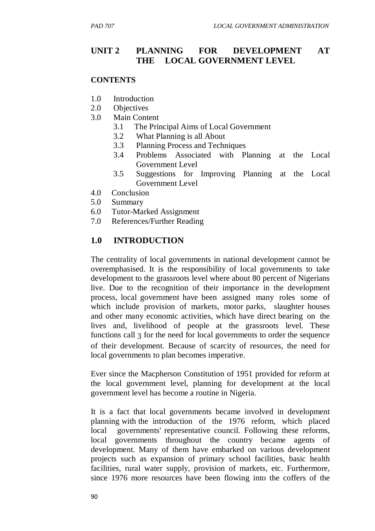## **UNIT 2 PLANNING FOR DEVELOPMENT AT THE LOCAL GOVERNMENT LEVEL**

#### **CONTENTS**

- 1.0 Introduction
- 2.0 Objectives
- 3.0 Main Content
	- 3.1 The Principal Aims of Local Government
	- 3.2 What Planning is all About
	- 3.3 Planning Process and Techniques
	- 3.4 Problems Associated with Planning at the Local Government Level
	- 3.5 Suggestions for Improving Planning at the Local Government Level
- 4.0 Conclusion
- 5.0 Summary
- 6.0 Tutor-Marked Assignment
- 7.0 References/Further Reading

#### **1.0 INTRODUCTION**

The centrality of local governments in national development cannot be overemphasised. It is the responsibility of local governments to take development to the grassroots level where about 80 percent of Nigerians live. Due to the recognition of their importance in the development process, local government have been assigned many roles some of which include provision of markets, motor parks, slaughter houses and other many economic activities, which have direct bearing on the lives and, livelihood of people at the grassroots level. These functions call 3 for the need for local governments to order the sequence of their development. Because of scarcity of resources, the need for local governments to plan becomes imperative.

Ever since the Macpherson Constitution of 1951 provided for reform at the local government level, planning for development at the local government level has become a routine in Nigeria.

It is a fact that local governments became involved in development planning with the introduction of the 1976 reform, which placed local governments' representative council. Following these reforms, local governments throughout the country became agents of development. Many of them have embarked on various development projects such as expansion of primary school facilities, basic health facilities, rural water supply, provision of markets, etc. Furthermore, since 1976 more resources have been flowing into the coffers of the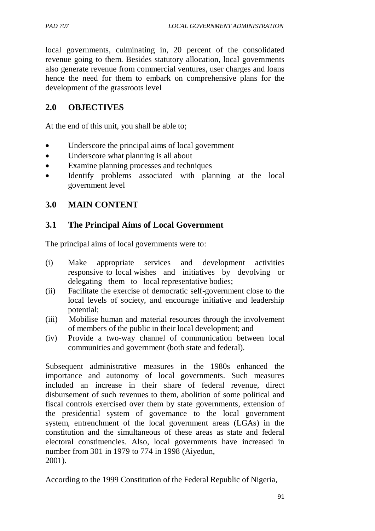local governments, culminating in, 20 percent of the consolidated revenue going to them. Besides statutory allocation, local governments also generate revenue from commercial ventures, user charges and loans hence the need for them to embark on comprehensive plans for the development of the grassroots level

### **2.0 OBJECTIVES**

At the end of this unit, you shall be able to;

- Underscore the principal aims of local government
- Underscore what planning is all about
- Examine planning processes and techniques
- Identify problems associated with planning at the local government level

### **3.0 MAIN CONTENT**

### **3.1 The Principal Aims of Local Government**

The principal aims of local governments were to:

- (i) Make appropriate services and development activities responsive to local wishes and initiatives by devolving or delegating them to local representative bodies;
- (ii) Facilitate the exercise of democratic self-government close to the local levels of society, and encourage initiative and leadership potential;
- (iii) Mobilise human and material resources through the involvement of members of the public in their local development; and
- (iv) Provide a two-way channel of communication between local communities and government (both state and federal).

Subsequent administrative measures in the 1980s enhanced the importance and autonomy of local governments. Such measures included an increase in their share of federal revenue, direct disbursement of such revenues to them, abolition of some political and fiscal controls exercised over them by state governments, extension of the presidential system of governance to the local government system, entrenchment of the local government areas (LGAs) in the constitution and the simultaneous of these areas as state and federal electoral constituencies. Also, local governments have increased in number from 301 in 1979 to 774 in 1998 (Aiyedun, 2001).

According to the 1999 Constitution of the Federal Republic of Nigeria,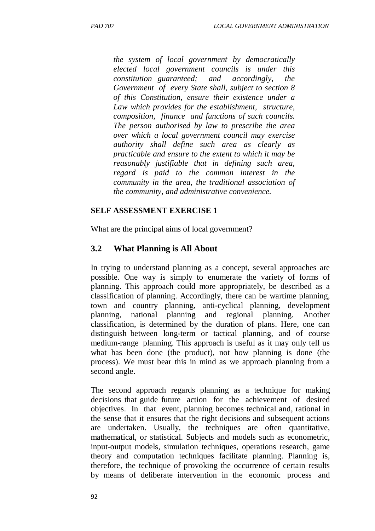*the system of local government by democratically elected local government councils is under this constitution guaranteed; and accordingly, the Government of every State shall, subject to section 8 of this Constitution, ensure their existence under a Law which provides for the establishment, structure, composition, finance and functions of such councils. The person authorised by law to prescribe the area over which a local government council may exercise authority shall define such area as clearly as practicable and ensure to the extent to which it may be reasonably justifiable that in defining such area, regard is paid to the common interest in the community in the area, the traditional association of the community, and administrative convenience.*

#### **SELF ASSESSMENT EXERCISE 1**

What are the principal aims of local government?

#### **3.2 What Planning is All About**

In trying to understand planning as a concept, several approaches are possible. One way is simply to enumerate the variety of forms of planning. This approach could more appropriately, be described as a classification of planning. Accordingly, there can be wartime planning, town and country planning, anti-cyclical planning, development planning, national planning and regional planning. Another classification, is determined by the duration of plans. Here, one can distinguish between long-term or tactical planning, and of course medium-range planning. This approach is useful as it may only tell us what has been done (the product), not how planning is done (the process). We must bear this in mind as we approach planning from a second angle.

The second approach regards planning as a technique for making decisions that guide future action for the achievement of desired objectives. In that event, planning becomes technical and, rational in the sense that it ensures that the right decisions and subsequent actions are undertaken. Usually, the techniques are often quantitative, mathematical, or statistical. Subjects and models such as econometric, input-output models, simulation techniques, operations research, game theory and computation techniques facilitate planning. Planning is, therefore, the technique of provoking the occurrence of certain results by means of deliberate intervention in the economic process and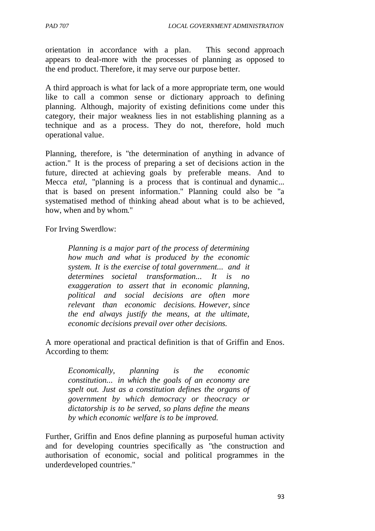orientation in accordance with a plan. This second approach appears to deal-more with the processes of planning as opposed to the end product. Therefore, it may serve our purpose better.

A third approach is what for lack of a more appropriate term, one would like to call a common sense or dictionary approach to defining planning. Although, majority of existing definitions come under this category, their major weakness lies in not establishing planning as a technique and as a process. They do not, therefore, hold much operational value.

Planning, therefore, is "the determination of anything in advance of action." It is the process of preparing a set of decisions action in the future, directed at achieving goals by preferable means. And to Mecca *etal,* "planning is a process that is continual and dynamic... that is based on present information." Planning could also be "a systematised method of thinking ahead about what is to be achieved, how, when and by whom."

For Irving Swerdlow:

*Planning is a major part of the process of determining how much and what is produced by the economic system. It is the exercise of total government... and it determines societal transformation... It is no exaggeration to assert that in economic planning, political and social decisions are often more relevant than economic decisions. However, since the end always justify the means, at the ultimate, economic decisions prevail over other decisions.*

A more operational and practical definition is that of Griffin and Enos. According to them:

*Economically, planning is the economic constitution... in which the goals of an economy are spelt out. Just as a constitution defines the organs of government by which democracy or theocracy or dictatorship is to be served, so plans define the means by which economic welfare is to be improved.*

Further, Griffin and Enos define planning as purposeful human activity and for developing countries specifically as "the construction and authorisation of economic, social and political programmes in the underdeveloped countries."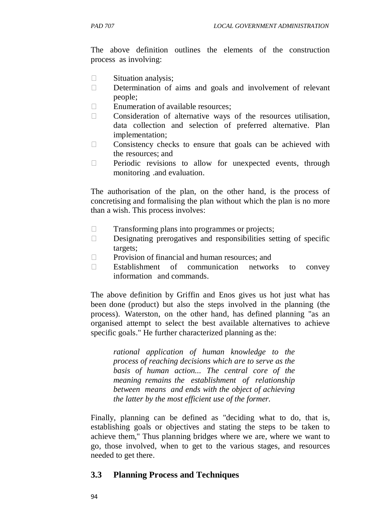The above definition outlines the elements of the construction process as involving:

Situation analysis;

 Determination of aims and goals and involvement of relevant people;

Enumeration of available resources;

 Consideration of alternative ways of the resources utilisation, data collection and selection of preferred alternative. Plan implementation;

 Consistency checks to ensure that goals can be achieved with the resources; and

 Periodic revisions to allow for unexpected events, through monitoring .and evaluation.

The authorisation of the plan, on the other hand, is the process of concretising and formalising the plan without which the plan is no more than a wish. This process involves:

 Transforming plans into programmes or projects; Designating prerogatives and responsibilities setting of specific targets; Provision of financial and human resources; and Establishment of communication networks to convey

information and commands.

The above definition by Griffin and Enos gives us hot just what has been done (product) but also the steps involved in the planning (the process). Waterston, on the other hand, has defined planning "as an organised attempt to select the best available alternatives to achieve specific goals." He further characterized planning as the:

*rational application of human knowledge to the process of reaching decisions which are to serve as the basis of human action... The central core of the meaning remains the establishment of relationship between means and ends with the object of achieving the latter by the most efficient use of the former.*

Finally, planning can be defined as "deciding what to do, that is, establishing goals or objectives and stating the steps to be taken to achieve them," Thus planning bridges where we are, where we want to go, those involved, when to get to the various stages, and resources needed to get there.

#### **3.3 Planning Process and Techniques**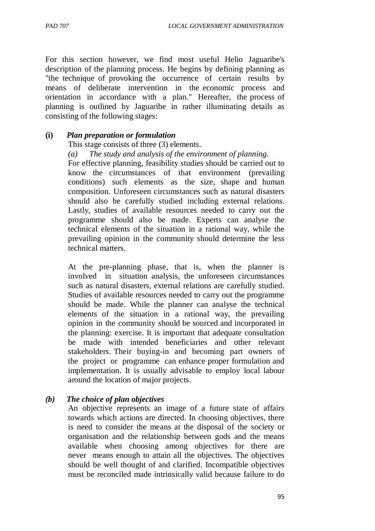For this section however, we find most useful Helio Jaguaribe's description of the planning process. He begins by defining planning as "the technique of provoking the occurrence of certain results by means of deliberate intervention in the economic process and orientation in accordance with a plan." Hereafter, the process of planning is outlined by Jaguaribe in rather illuminating details as consisting of the following stages:

#### **(i)** *Plan preparation or formulation*

This stage consists of three (3) elements.

*(a) The study and analysis of the environment of planning.*

For effective planning, feasibility studies should be carried out to know the circumstances of that environment (prevailing conditions) such elements as the size, shape and human composition. Unforeseen circumstances such as natural disasters should also be carefully studied including external relations. Lastly, studies of available resources needed to carry out the programme should also be made. Experts can analyse the technical elements of the situation in a rational way, while the prevailing opinion in the community should determine the less technical matters.

At the pre-planning phase, that is, when the planner is involved in situation analysis, the unforeseen circumstances such as natural disasters, external relations are carefully studied. Studies of available resources needed to carry out the programme should be made. While the planner can analyse the technical elements of the situation in a rational way, the prevailing opinion in the community should be sourced and incorporated in the planning: exercise. It is important that adequate consultation be made with intended beneficiaries and other relevant stakeholders. Their buying-in and becoming part owners of the project or programme can enhance proper formulation and implementation. It is usually advisable to employ local labour around the location of major projects.

#### *(b) The choice of plan objectives*

An objective represents an image of a future state of affairs towards which actions are directed. In choosing objectives, there is need to consider the means at the disposal of the society or organisation and the relationship between gods and the means available when choosing among objectives for there are never means enough to attain all the objectives. The objectives should be well thought of and clarified. Incompatible objectives must be reconciled made intrinsically valid because failure to do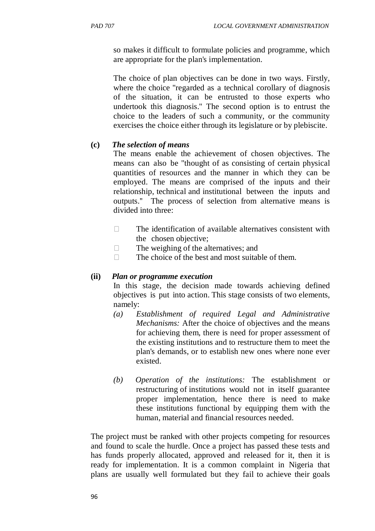so makes it difficult to formulate policies and programme, which are appropriate for the plan's implementation.

The choice of plan objectives can be done in two ways. Firstly, where the choice "regarded as a technical corollary of diagnosis of the situation, it can be entrusted to those experts who undertook this diagnosis." The second option is to entrust the choice to the leaders of such a community, or the community exercises the choice either through its legislature or by plebiscite.

#### **(c)** *The selection of means*

The means enable the achievement of chosen objectives. The means can also be "thought of as consisting of certain physical quantities of resources and the manner in which they can be employed. The means are comprised of the inputs and their relationship, technical and institutional between the inputs and outputs.'' The process of selection from alternative means is divided into three:

> The identification of available alternatives consistent with the chosen objective; The weighing of the alternatives; and The choice of the best and most suitable of them.

#### **(ii)** *Plan or programme execution*

In this stage, the decision made towards achieving defined objectives is put into action. This stage consists of two elements, namely:

- *(a) Establishment of required Legal and Administrative Mechanisms:* After the choice of objectives and the means for achieving them, there is need for proper assessment of the existing institutions and to restructure them to meet the plan's demands, or to establish new ones where none ever existed.
- *(b) Operation of the institutions:* The establishment or restructuring of institutions would not in itself guarantee proper implementation, hence there is need to make these institutions functional by equipping them with the human, material and financial resources needed.

The project must be ranked with other projects competing for resources and found to scale the hurdle. Once a project has passed these tests and has funds properly allocated, approved and released for it, then it is ready for implementation. It is a common complaint in Nigeria that plans are usually well formulated but they fail to achieve their goals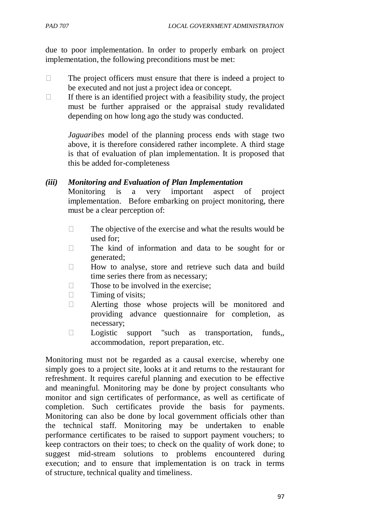due to poor implementation. In order to properly embark on project implementation, the following preconditions must be met:

 The project officers must ensure that there is indeed a project to be executed and not just a project idea or concept.

 If there is an identified project with a feasibility study, the project must be further appraised or the appraisal study revalidated depending on how long ago the study was conducted.

*Jaguaribes* model of the planning process ends with stage two above, it is therefore considered rather incomplete. A third stage is that of evaluation of plan implementation. It is proposed that this be added for-completeness

#### *(iii) Monitoring and Evaluation of Plan Implementation*

Monitoring is a very important aspect of project implementation. Before embarking on project monitoring, there must be a clear perception of:

> The objective of the exercise and what the results would be used for;

> The kind of information and data to be sought for or generated;

> How to analyse, store and retrieve such data and build time series there from as necessary;

Those to be involved in the exercise;

Timing of visits;

 Alerting those whose projects will be monitored and providing advance questionnaire for completion, as necessary;

Logistic support "such as transportation, funds, accommodation, report preparation, etc.

Monitoring must not be regarded as a causal exercise, whereby one simply goes to a project site, looks at it and returns to the restaurant for refreshment. It requires careful planning and execution to be effective and meaningful. Monitoring may be done by project consultants who monitor and sign certificates of performance, as well as certificate of completion. Such certificates provide the basis for payments. Monitoring can also be done by local government officials other than the technical staff. Monitoring may be undertaken to enable performance certificates to be raised to support payment vouchers; to keep contractors on their toes; to check on the quality of work done; to suggest mid-stream solutions to problems encountered during execution; and to ensure that implementation is on track in terms of structure, technical quality and timeliness.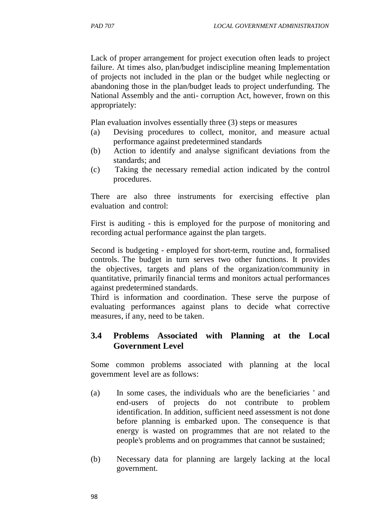Lack of proper arrangement for project execution often leads to project failure. At times also, plan/budget indiscipline meaning Implementation of projects not included in the plan or the budget while neglecting or abandoning those in the plan/budget leads to project underfunding. The National Assembly and the anti- corruption Act, however, frown on this appropriately:

Plan evaluation involves essentially three (3) steps or measures

- (a) Devising procedures to collect, monitor, and measure actual performance against predetermined standards
- (b) Action to identify and analyse significant deviations from the standards; and
- (c) Taking the necessary remedial action indicated by the control procedures.

There are also three instruments for exercising effective plan evaluation and control:

First is auditing - this is employed for the purpose of monitoring and recording actual performance against the plan targets.

Second is budgeting - employed for short-term, routine and, formalised controls. The budget in turn serves two other functions. It provides the objectives, targets and plans of the organization/community in quantitative, primarily financial terms and monitors actual performances against predetermined standards.

Third is information and coordination. These serve the purpose of evaluating performances against plans to decide what corrective measures, if any, need to be taken.

## **3.4 Problems Associated with Planning at the Local Government Level**

Some common problems associated with planning at the local government level are as follows:

- (a) In some cases, the individuals who are the beneficiaries ' and end-users of projects do not contribute to problem identification. In addition, sufficient need assessment is not done before planning is embarked upon. The consequence is that energy is wasted on programmes that are not related to the people's problems and on programmes that cannot be sustained;
- (b) Necessary data for planning are largely lacking at the local government.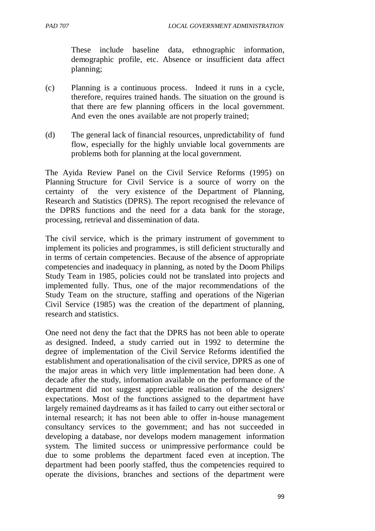These include baseline data, ethnographic information, demographic profile, etc. Absence or insufficient data affect planning;

- (c) Planning is a continuous process. Indeed it runs in a cycle, therefore, requires trained hands. The situation on the ground is that there are few planning officers in the local government. And even the ones available are not properly trained;
- (d) The general lack of financial resources, unpredictability of fund flow, especially for the highly unviable local governments are problems both for planning at the local government.

The Ayida Review Panel on the Civil Service Reforms (1995) on Planning Structure for Civil Service is a source of worry on the certainty of the very existence of the Department of Planning, Research and Statistics (DPRS). The report recognised the relevance of the DPRS functions and the need for a data bank for the storage, processing, retrieval and dissemination of data.

The civil service, which is the primary instrument of government to implement its policies and programmes, is still deficient structurally and in terms of certain competencies. Because of the absence of appropriate competencies and inadequacy in planning, as noted by the Doom Philips Study Team in 1985, policies could not be translated into projects and implemented fully. Thus, one of the major recommendations of the Study Team on the structure, staffing and operations of the Nigerian Civil Service (1985) was the creation of the department of planning, research and statistics.

One need not deny the fact that the DPRS has not been able to operate as designed. Indeed, a study carried out in 1992 to determine the degree of implementation of the Civil Service Reforms identified the establishment and operationalisation of the civil service, DPRS as one of the major areas in which very little implementation had been done. A decade after the study, information available on the performance of the department did not suggest appreciable realisation of the designers' expectations. Most of the functions assigned to the department have largely remained daydreams as it has failed to carry out either sectoral or internal research; it has not been able to offer in-house management consultancy services to the government; and has not succeeded in developing a database, nor develops modern management information system. The limited success or unimpressive performance could be due to some problems the department faced even at inception. The department had been poorly staffed, thus the competencies required to operate the divisions, branches and sections of the department were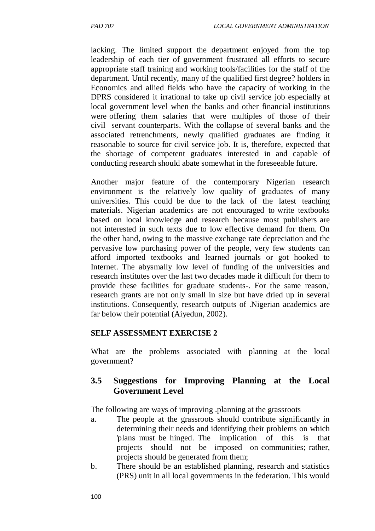lacking. The limited support the department enjoyed from the top leadership of each tier of government frustrated all efforts to secure appropriate staff training and working tools/facilities for the staff of the department. Until recently, many of the qualified first degree? holders in Economics and allied fields who have the capacity of working in the DPRS considered it irrational to take up civil service job especially at local government level when the banks and other financial institutions were offering them salaries that were multiples of those of their civil servant counterparts. With the collapse of several banks and the associated retrenchments, newly qualified graduates are finding it reasonable to source for civil service job. It is, therefore, expected that the shortage of competent graduates interested in and capable of conducting research should abate somewhat in the foreseeable future.

Another major feature of the contemporary Nigerian research environment is the relatively low quality of graduates of many universities. This could be due to the lack of the latest teaching materials. Nigerian academics are not encouraged to write textbooks based on local knowledge and research because most publishers are not interested in such texts due to low effective demand for them. On the other hand, owing to the massive exchange rate depreciation and the pervasive low purchasing power of the people, very few students can afford imported textbooks and learned journals or got hooked to Internet. The abysmally low level of funding of the universities and research institutes over the last two decades made it difficult for them to provide these facilities for graduate students-. For the same reason,' research grants are not only small in size but have dried up in several institutions. Consequently, research outputs of .Nigerian academics are far below their potential (Aiyedun, 2002).

# **SELF ASSESSMENT EXERCISE 2**

What are the problems associated with planning at the local government?

# **3.5 Suggestions for Improving Planning at the Local Government Level**

The following are ways of improving .planning at the grassroots

- a. The people at the grassroots should contribute significantly in determining their needs and identifying their problems on which 'plans must be hinged. The implication of this is that projects should not be imposed on communities; rather, projects should be generated from them;
- b. There should be an established planning, research and statistics (PRS) unit in all local governments in the federation. This would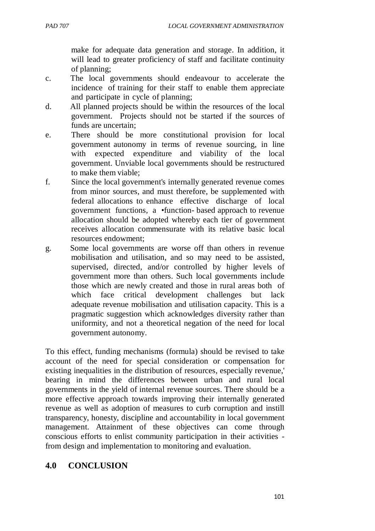make for adequate data generation and storage. In addition, it will lead to greater proficiency of staff and facilitate continuity of planning;

- c. The local governments should endeavour to accelerate the incidence of training for their staff to enable them appreciate and participate in cycle of planning;
- d. All planned projects should be within the resources of the local government. Projects should not be started if the sources of funds are uncertain;
- e. There should be more constitutional provision for local government autonomy in terms of revenue sourcing, in line with expected expenditure and viability of the local government. Unviable local governments should be restructured to make them viable;
- f. Since the local government's internally generated revenue comes from minor sources, and must therefore, be supplemented with federal allocations to enhance effective discharge of local government functions, a •function- based approach to revenue allocation should be adopted whereby each tier of government receives allocation commensurate with its relative basic local resources endowment;
- g. Some local governments are worse off than others in revenue mobilisation and utilisation, and so may need to be assisted, supervised, directed, and/or controlled by higher levels of government more than others. Such local governments include those which are newly created and those in rural areas both of which face critical development challenges but lack adequate revenue mobilisation and utilisation capacity. This is a pragmatic suggestion which acknowledges diversity rather than uniformity, and not a theoretical negation of the need for local government autonomy.

To this effect, funding mechanisms (formula) should be revised to take account of the need for special consideration or compensation for existing inequalities in the distribution of resources, especially revenue,' bearing in mind the differences between urban and rural local governments in the yield of internal revenue sources. There should be a more effective approach towards improving their internally generated revenue as well as adoption of measures to curb corruption and instill transparency, honesty, discipline and accountability in local government management. Attainment of these objectives can come through conscious efforts to enlist community participation in their activities from design and implementation to monitoring and evaluation.

# **4.0 CONCLUSION**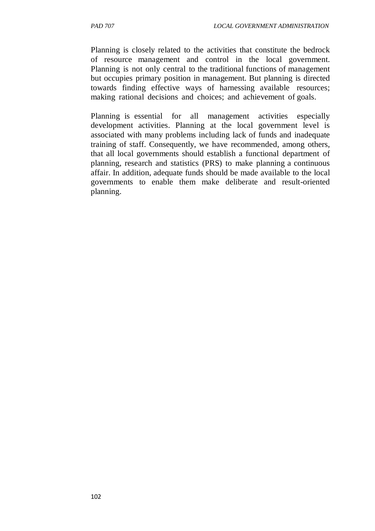Planning is closely related to the activities that constitute the bedrock of resource management and control in the local government. Planning is not only central to the traditional functions of management but occupies primary position in management. But planning is directed towards finding effective ways of harnessing available resources; making rational decisions and choices; and achievement of goals.

Planning is essential for all management activities especially development activities. Planning at the local government level is associated with many problems including lack of funds and inadequate training of staff. Consequently, we have recommended, among others, that all local governments should establish a functional department of planning, research and statistics (PRS) to make planning a continuous affair. In addition, adequate funds should be made available to the local governments to enable them make deliberate and result-oriented planning.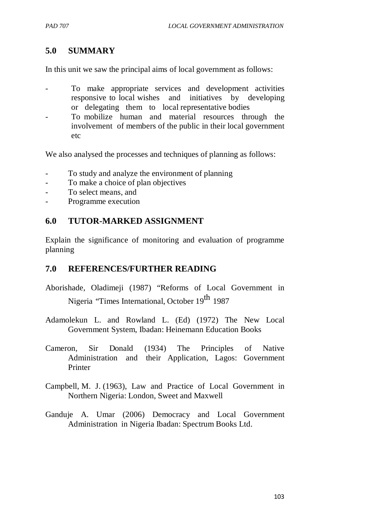## **5.0 SUMMARY**

In this unit we saw the principal aims of local government as follows:

- To make appropriate services and development activities responsive to local wishes and initiatives by developing or delegating them to local representative bodies
- To mobilize human and material resources through the involvement of members of the public in their local government etc

We also analysed the processes and techniques of planning as follows:

- To study and analyze the environment of planning
- To make a choice of plan objectives
- To select means, and
- Programme execution

## **6.0 TUTOR-MARKED ASSIGNMENT**

Explain the significance of monitoring and evaluation of programme planning

## **7.0 REFERENCES/FURTHER READING**

- Aborishade, Oladimeji (1987) "Reforms of Local Government in Nigeria "Times International, October 19<sup>th</sup> 1987
- Adamolekun L. and Rowland L. (Ed) (1972) The New Local Government System, Ibadan: Heinemann Education Books
- Cameron, Sir Donald (1934) The Principles of Native Administration and their Application, Lagos: Government Printer
- Campbell, M. J. (1963), Law and Practice of Local Government in Northern Nigeria: London, Sweet and Maxwell
- Ganduje A. Umar (2006) Democracy and Local Government Administration in Nigeria Ibadan: Spectrum Books Ltd.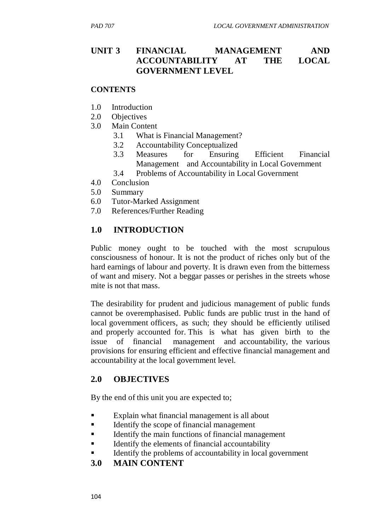# **UNIT 3 FINANCIAL MANAGEMENT AND ACCOUNTABILITY AT THE LOCAL GOVERNMENT LEVEL**

## **CONTENTS**

- 1.0 Introduction
- 2.0 Objectives
- 3.0 Main Content
	- 3.1 What is Financial Management?
	- 3.2 Accountability Conceptualized
	- 3.3 Measures for Ensuring Efficient Financial Management and Accountability in Local Government
	- 3.4 Problems of Accountability in Local Government
- 4.0 Conclusion
- 5.0 Summary
- 6.0 Tutor-Marked Assignment
- 7.0 References/Further Reading

# **1.0 INTRODUCTION**

Public money ought to be touched with the most scrupulous consciousness of honour. It is not the product of riches only but of the hard earnings of labour and poverty. It is drawn even from the bitterness of want and misery. Not a beggar passes or perishes in the streets whose mite is not that mass.

The desirability for prudent and judicious management of public funds cannot be overemphasised. Public funds are public trust in the hand of local government officers, as such; they should be efficiently utilised and properly accounted for. This is what has given birth to the issue of financial management and accountability, the various provisions for ensuring efficient and effective financial management and accountability at the local government level.

# **2.0 OBJECTIVES**

By the end of this unit you are expected to;

- Explain what financial management is all about
- Identify the scope of financial management
- Identify the main functions of financial management
- Identify the elements of financial accountability
- Identify the problems of accountability in local government
- **3.0 MAIN CONTENT**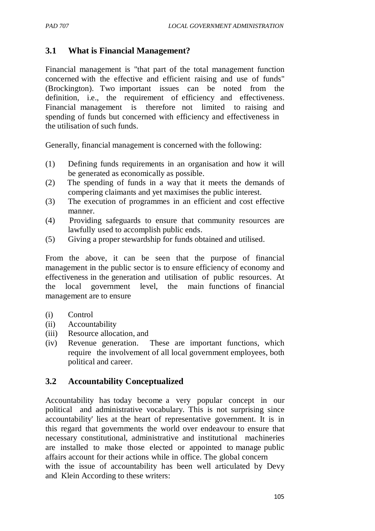# **3.1 What is Financial Management?**

Financial management is "that part of the total management function concerned with the effective and efficient raising and use of funds" (Brockington). Two important issues can be noted from the definition, i.e., the requirement of efficiency and effectiveness. Financial management is therefore not limited to raising and spending of funds but concerned with efficiency and effectiveness in the utilisation of such funds.

Generally, financial management is concerned with the following:

- (1) Defining funds requirements in an organisation and how it will be generated as economically as possible.
- (2) The spending of funds in a way that it meets the demands of compering claimants and yet maximises the public interest.
- (3) The execution of programmes in an efficient and cost effective manner.
- (4) Providing safeguards to ensure that community resources are lawfully used to accomplish public ends.
- (5) Giving a proper stewardship for funds obtained and utilised.

From the above, it can be seen that the purpose of financial management in the public sector is to ensure efficiency of economy and effectiveness in the generation and utilisation of public resources. At the local government level, the main functions of financial management are to ensure

- (i) Control
- (ii) Accountability
- (iii) Resource allocation, and
- (iv) Revenue generation. These are important functions, which require the involvement of all local government employees, both political and career.

# **3.2 Accountability Conceptualized**

Accountability has today become a very popular concept in our political and administrative vocabulary. This is not surprising since accountability' lies at the heart of representative government. It is in this regard that governments the world over endeavour to ensure that necessary constitutional, administrative and institutional machineries are installed to make those elected or appointed to manage public affairs account for their actions while in office. The global concern with the issue of accountability has been well articulated by Devy and Klein According to these writers: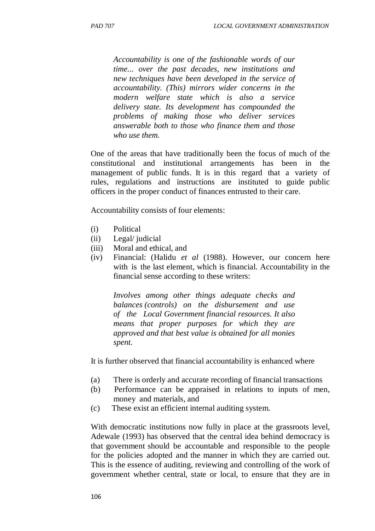*Accountability is one of the fashionable words of our time... over the past decades, new institutions and new techniques have been developed in the service of accountability. (This) mirrors wider concerns in the modern welfare state which is also a service delivery state. Its development has compounded the problems of making those who deliver services answerable both to those who finance them and those who use them.*

One of the areas that have traditionally been the focus of much of the constitutional and institutional arrangements has been in the management of public funds. It is in this regard that a variety of rules, regulations and instructions are instituted to guide public officers in the proper conduct of finances entrusted to their care.

Accountability consists of four elements:

- (i) Political
- (ii) Legal/ judicial
- (iii) Moral and ethical, and
- (iv) Financial: (Halidu *et al* (1988). However, our concern here with is the last element, which is financial. Accountability in the financial sense according to these writers:

*Involves among other things adequate checks and balances (controls) on the disbursement and use of the Local Government financial resources. It also means that proper purposes for which they are approved and that best value is obtained for all monies spent.*

It is further observed that financial accountability is enhanced where

- (a) There is orderly and accurate recording of financial transactions
- (b) Performance can be appraised in relations to inputs of men, money and materials, and
- (c) These exist an efficient internal auditing system.

With democratic institutions now fully in place at the grassroots level, Adewale (1993) has observed that the central idea behind democracy is that government should be accountable and responsible to the people for the policies adopted and the manner in which they are carried out. This is the essence of auditing, reviewing and controlling of the work of government whether central, state or local, to ensure that they are in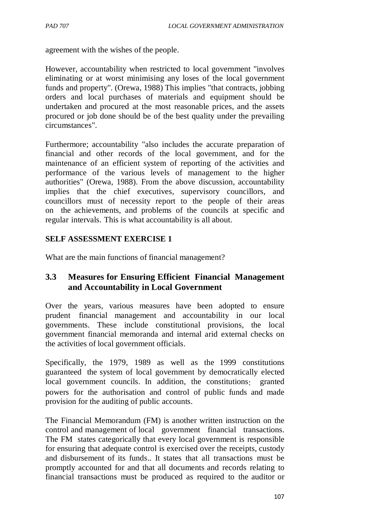agreement with the wishes of the people.

However, accountability when restricted to local government "involves eliminating or at worst minimising any loses of the local government funds and property". (Orewa, 1988) This implies "that contracts, jobbing orders and local purchases of materials and equipment should be undertaken and procured at the most reasonable prices, and the assets procured or job done should be of the best quality under the prevailing circumstances".

Furthermore; accountability "also includes the accurate preparation of financial and other records of the local government, and for the maintenance of an efficient system of reporting of the activities and performance of the various levels of management to the higher authorities" (Orewa, 1988). From the above discussion, accountability implies that the chief executives, supervisory councillors, and councillors must of necessity report to the people of their areas on the achievements, and problems of the councils at specific and regular intervals. This is what accountability is all about.

## **SELF ASSESSMENT EXERCISE 1**

What are the main functions of financial management?

## **3.3 Measures for Ensuring Efficient Financial Management and Accountability in Local Government**

Over the years, various measures have been adopted to ensure prudent financial management and accountability in our local governments. These include constitutional provisions, the local government financial memoranda and internal arid external checks on the activities of local government officials.

Specifically, the 1979, 1989 as well as the 1999 constitutions guaranteed the system of local government by democratically elected local government councils. In addition, the constitutions: granted powers for the authorisation and control of public funds and made provision for the auditing of public accounts.

The Financial Memorandum (FM) is another written instruction on the control and management of local government financial transactions. The FM states categorically that every local government is responsible for ensuring that adequate control is exercised over the receipts, custody and disbursement of its funds.*.* It states that all transactions must be promptly accounted for and that all documents and records relating to financial transactions must be produced as required to the auditor or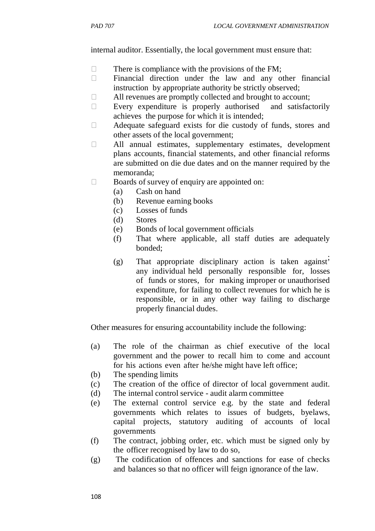internal auditor. Essentially, the local government must ensure that:

There is compliance with the provisions of the FM;

 Financial direction under the law and any other financial instruction by appropriate authority be strictly observed;

All revenues are promptly collected and brought to account;

 Every expenditure is properly authorised and satisfactorily achieves the purpose for which it is intended;

 Adequate safeguard exists for die custody of funds, stores and other assets of the local government;

 All annual estimates, supplementary estimates, development plans accounts, financial statements, and other financial reforms are submitted on die due dates and on the manner required by the memoranda;

Boards of survey of enquiry are appointed on:

- (a) Cash on hand
- (b) Revenue earning books
- (c) Losses of funds
- (d) Stores
- (e) Bonds of local government officials
- (f) That where applicable, all staff duties are adequately bonded;
- (g) That appropriate disciplinary action is taken against' any individual held personally responsible for, losses of funds or stores, for making improper or unauthorised expenditure, for failing to collect revenues for which he is responsible, or in any other way failing to discharge properly financial dudes.

Other measures for ensuring accountability include the following:

- (a) The role of the chairman as chief executive of the local government and the power to recall him to come and account for his actions even after he/she might have left office;
- (b) The spending limits
- (c) The creation of the office of director of local government audit.
- (d) The internal control service audit alarm committee
- (e) The external control service e.g. by the state and federal governments which relates to issues of budgets, byelaws, capital projects, statutory auditing of accounts of local governments
- (f) The contract, jobbing order, etc. which must be signed only by the officer recognised by law to do so,
- (g) The codification of offences and sanctions for ease of checks and balances so that no officer will feign ignorance of the law.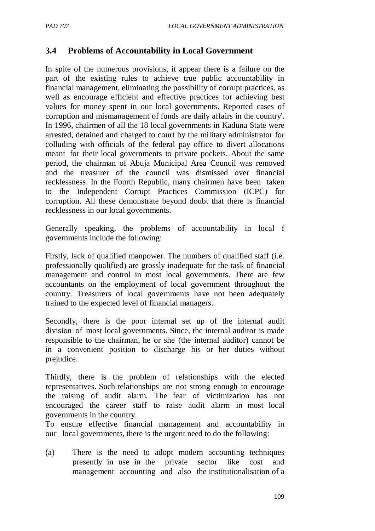## **3.4 Problems of Accountability in Local Government**

In spite of the numerous provisions, it appear there is a failure on the part of the existing rules to achieve true public accountability in financial management, eliminating the possibility of corrupt practices, as well as encourage efficient and effective practices for achieving best values for money spent in our local governments. Reported cases of corruption and mismanagement of funds are daily affairs in the country'. In 1996, chairmen of all the 18 local governments in Kaduna State were arrested, detained and charged to court by the military administrator for colluding with officials of the federal pay office to divert allocations meant for their local governments to private pockets. About the same period, the chairman of Abuja Municipal Area Council was removed and the treasurer of the council was dismissed over financial recklessness. In the Fourth Republic, many chairmen have been taken to the Independent Corrupt Practices Commission (ICPC) for corruption. All these demonstrate beyond doubt that there is financial recklessness in our local governments.

Generally speaking, the problems of accountability in local f governments include the following:

Firstly, lack of qualified manpower. The numbers of qualified staff (i.e. professionally qualified) are grossly inadequate for the task of financial management and control in most local governments. There are few accountants on the employment of local government throughout the country. Treasurers of local governments have not been adequately trained to the expected level of financial managers.

Secondly, there is the poor internal set up of the internal audit division of most local governments. Since, the internal auditor is made responsible to the chairman, he or she (the internal auditor) cannot be in a convenient position to discharge his or her duties without prejudice.

Thirdly, there is the problem of relationships with the elected representatives. Such relationships are not strong enough to encourage the raising of audit alarm. The fear of victimization has not encouraged the career staff to raise audit alarm in most local governments in the country.

To ensure effective financial management and accountability in our local governments, there is the urgent need to do the following:

(a) There is the need to adopt modern accounting techniques presently in use in the private sector like cost and management accounting and also the institutionalisation of a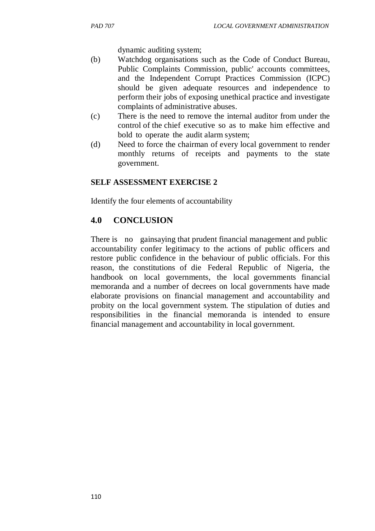dynamic auditing system;

- (b) Watchdog organisations such as the Code of Conduct Bureau, Public Complaints Commission, public' accounts committees, and the Independent Corrupt Practices Commission (ICPC) should be given adequate resources and independence to perform their jobs of exposing unethical practice and investigate complaints of administrative abuses.
- (c) There is the need to remove the internal auditor from under the control of the chief executive so as to make him effective and bold to operate the audit alarm system;
- (d) Need to force the chairman of every local government to render monthly returns of receipts and payments to the state government.

## **SELF ASSESSMENT EXERCISE 2**

Identify the four elements of accountability

# **4.0 CONCLUSION**

There is no gainsaying that prudent financial management and public accountability confer legitimacy to the actions of public officers and restore public confidence in the behaviour of public officials. For this reason, the constitutions of die Federal Republic of Nigeria, the handbook on local governments, the local governments financial memoranda and a number of decrees on local governments have made elaborate provisions on financial management and accountability and probity on the local government system. The stipulation of duties and responsibilities in the financial memoranda is intended to ensure financial management and accountability in local government.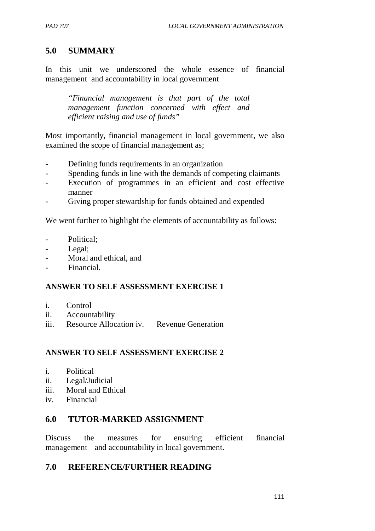# **5.0 SUMMARY**

In this unit we underscored the whole essence of financial management and accountability in local government

*"Financial management is that part of the total management function concerned with effect and efficient raising and use of funds"*

Most importantly, financial management in local government, we also examined the scope of financial management as;

- Defining funds requirements in an organization
- Spending funds in line with the demands of competing claimants
- Execution of programmes in an efficient and cost effective manner
- Giving proper stewardship for funds obtained and expended

We went further to highlight the elements of accountability as follows:

- Political;
- Legal;
- Moral and ethical, and
- Financial.

## **ANSWER TO SELF ASSESSMENT EXERCISE 1**

- i. Control
- ii. Accountability
- iii. Resource Allocation iv. Revenue Generation

#### **ANSWER TO SELF ASSESSMENT EXERCISE 2**

- i. Political
- ii. Legal/Judicial
- iii. Moral and Ethical
- iv. Financial

## **6.0 TUTOR-MARKED ASSIGNMENT**

Discuss the measures for ensuring efficient financial management and accountability in local government.

## **7.0 REFERENCE/FURTHER READING**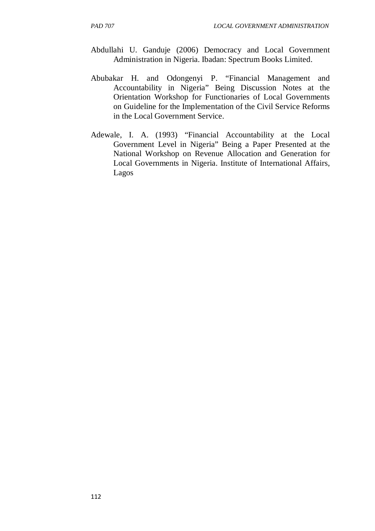- Abdullahi U. Ganduje (2006) Democracy and Local Government Administration in Nigeria. Ibadan: Spectrum Books Limited.
- Abubakar H. and Odongenyi P. "Financial Management and Accountability in Nigeria" Being Discussion Notes at the Orientation Workshop for Functionaries of Local Governments on Guideline for the Implementation of the Civil Service Reforms in the Local Government Service.
- Adewale, I. A. (1993) "Financial Accountability at the Local Government Level in Nigeria" Being a Paper Presented at the National Workshop on Revenue Allocation and Generation for Local Governments in Nigeria. Institute of International Affairs, Lagos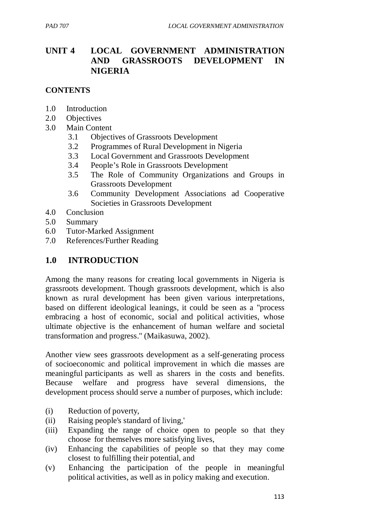# **UNIT 4 LOCAL GOVERNMENT ADMINISTRATION AND GRASSROOTS DEVELOPMENT IN NIGERIA**

## **CONTENTS**

- 1.0 Introduction
- 2.0 Objectives
- 3.0 Main Content
	- 3.1 Objectives of Grassroots Development
	- 3.2 Programmes of Rural Development in Nigeria
	- 3.3 Local Government and Grassroots Development
	- 3.4 People's Role in Grassroots Development
	- 3.5 The Role of Community Organizations and Groups in Grassroots Development
	- 3.6 Community Development Associations ad Cooperative Societies in Grassroots Development
- 4.0 Conclusion
- 5.0 Summary
- 6.0 Tutor-Marked Assignment
- 7.0 References/Further Reading

# **1.0 INTRODUCTION**

Among the many reasons for creating local governments in Nigeria is grassroots development. Though grassroots development, which is also known as rural development has been given various interpretations, based on different ideological leanings, it could be seen as a "process embracing a host of economic, social and political activities, whose ultimate objective is the enhancement of human welfare and societal transformation and progress." (Maikasuwa, 2002).

Another view sees grassroots development as a self-generating process of socioeconomic and political improvement in which die masses are meaningful participants as well as sharers in the costs and benefits. Because welfare and progress have several dimensions, the development process should serve a number of purposes, which include:

- (i) Reduction of poverty,
- (ii) Raising people's standard of living,'
- (iii) Expanding the range of choice open to people so that they choose for themselves more satisfying lives,
- (iv) Enhancing the capabilities of people so that they may come closest to fulfilling their potential, and
- (v) Enhancing the participation of the people in meaningful political activities, as well as in policy making and execution.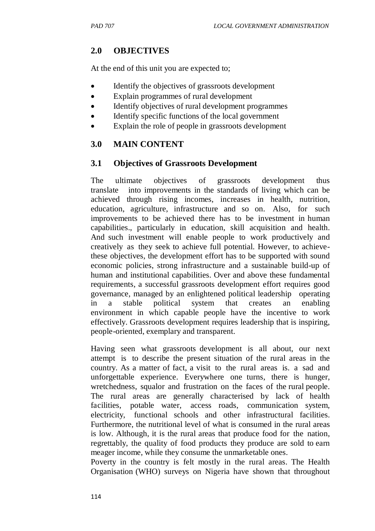# **2.0 OBJECTIVES**

At the end of this unit you are expected to;

- Identify the objectives of grassroots development
- Explain programmes of rural development
- Identify objectives of rural development programmes
- Identify specific functions of the local government
- Explain the role of people in grassroots development

# **3.0 MAIN CONTENT**

# **3.1 Objectives of Grassroots Development**

The ultimate objectives of grassroots development thus translate into improvements in the standards of living which can be achieved through rising incomes, increases in health, nutrition, education, agriculture, infrastructure and so on. Also, for such improvements to be achieved there has to be investment in human capabilities., particularly in education, skill acquisition and health. And such investment will enable people to work productively and creatively as they seek to achieve full potential. However, to achievethese objectives, the development effort has to be supported with sound economic policies, strong infrastructure and a sustainable build-up of human and institutional capabilities. Over and above these fundamental requirements, a successful grassroots development effort requires good governance, managed by an enlightened political leadership operating in a stable political system that creates an enabling environment in which capable people have the incentive to work effectively. Grassroots development requires leadership that is inspiring, people-oriented, exemplary and transparent.

Having seen what grassroots development is all about, our next attempt is to describe the present situation of the rural areas in the country. As a matter of fact, a visit to the rural areas is. a sad and unforgettable experience. Everywhere one turns, there is hunger, wretchedness, squalor and frustration on the faces of the rural people. The rural areas are generally characterised by lack of health facilities, potable water, access roads, communication system, electricity, functional schools and other infrastructural facilities. Furthermore, the nutritional level of what is consumed in the rural areas is low. Although, it is the rural areas that produce food for the nation, regrettably, the quality of food products they produce are sold to earn meager income, while they consume the unmarketable ones.

Poverty in the country is felt mostly in the rural areas. The Health Organisation (WHO) surveys on Nigeria have shown that throughout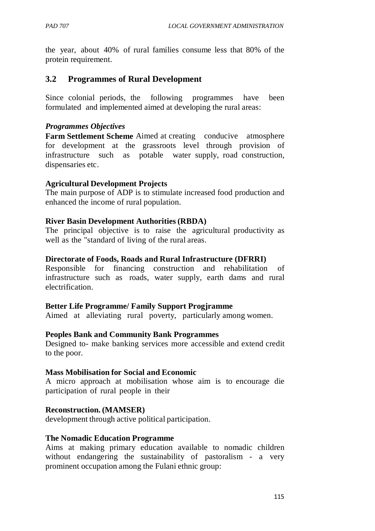the year, about 40% of rural families consume less that 80% of the protein requirement.

## **3.2 Programmes of Rural Development**

Since colonial periods, the following programmes have been formulated and implemented aimed at developing the rural areas:

#### *Programmes Objectives*

**Farm Settlement Scheme** Aimed at creating conducive atmosphere for development at the grassroots level through provision of infrastructure such as potable water supply, road construction, dispensaries etc.

#### **Agricultural Development Projects**

The main purpose of ADP is to stimulate increased food production and enhanced the income of rural population.

#### **River Basin Development Authorities (RBDA)**

The principal objective is to raise the agricultural productivity as well as the "standard of living of the rural areas.

#### **Directorate of Foods, Roads and Rural Infrastructure (DFRRI)**

Responsible for financing construction and rehabilitation of infrastructure such as roads, water supply, earth dams and rural electrification.

## **Better Life Programme/ Family Support Progjramme**

Aimed at alleviating rural poverty, particularly among women.

#### **Peoples Bank and Community Bank Programmes**

Designed to- make banking services more accessible and extend credit to the poor.

#### **Mass Mobilisation for Social and Economic**

A micro approach at mobilisation whose aim is to encourage die participation of rural people in their

#### **Reconstruction. (MAMSER)**

development through active political participation.

#### **The Nomadic Education Programme**

Aims at making primary education available to nomadic children without endangering the sustainability of pastoralism - a very prominent occupation among the Fulani ethnic group: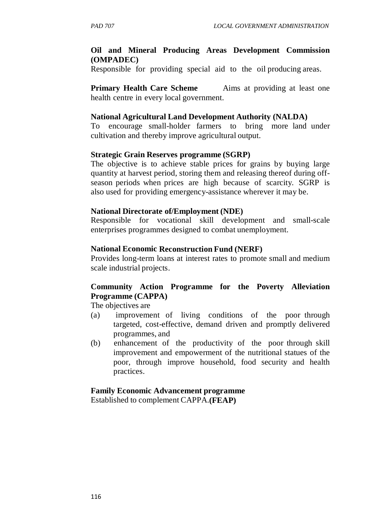## **Oil and Mineral Producing Areas Development Commission (OMPADEC)**

Responsible for providing special aid to the oil producing areas.

**Primary Health Care Scheme** Aims at providing at least one health centre in every local government.

## **National Agricultural Land Development Authority (NALDA)**

To encourage small-holder farmers to bring more land under cultivation and thereby improve agricultural output.

#### **Strategic Grain Reserves programme (SGRP)**

The objective is to achieve stable prices for grains by buying large quantity at harvest period, storing them and releasing thereof during offseason periods when prices are high because of scarcity. SGRP is also used for providing emergency-assistance wherever it may be.

#### **National Directorate of/Employment (NDE)**

Responsible for vocational skill development and small-scale enterprises programmes designed to combat unemployment.

#### **National Economic Reconstruction Fund (NERF)**

Provides long-term loans at interest rates to promote small and medium scale industrial projects.

# **Community Action Programme for the Poverty Alleviation Programme (CAPPA)**

The objectives are

- (a) improvement of living conditions of the poor through targeted, cost-effective, demand driven and promptly delivered programmes, and
- (b) enhancement of the productivity of the poor through skill improvement and empowerment of the nutritional statues of the poor, through improve household, food security and health practices.

#### **Family Economic Advancement programme**

Established to complement CAPPA.**(FEAP)**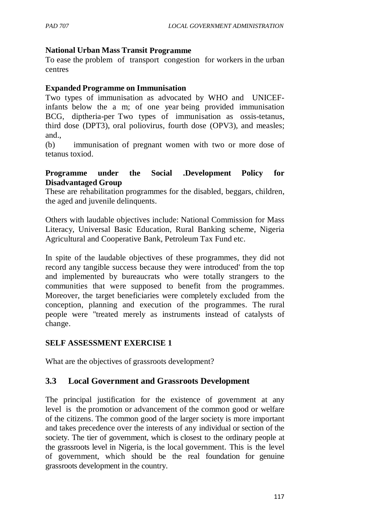#### **National Urban Mass Transit Programme**

To ease the problem of transport congestion for workers in the urban centres

#### **Expanded Programme on Immunisation**

Two types of immunisation as advocated by WHO and UNICEFinfants below the a m; of one year being provided immunisation BCG, diptheria-per Two types of immunisation as ossis-tetanus, third dose (DPT3), oral poliovirus, fourth dose (OPV3), and measles; and.,

(b) immunisation of pregnant women with two or more dose of tetanus toxiod.

## **Programme under the Social .Development Policy for Disadvantaged Group**

These are rehabilitation programmes for the disabled, beggars, children, the aged and juvenile delinquents.

Others with laudable objectives include: National Commission for Mass Literacy, Universal Basic Education, Rural Banking scheme, Nigeria Agricultural and Cooperative Bank, Petroleum Tax Fund etc.

In spite of the laudable objectives of these programmes, they did not record any tangible success because they were introduced' from the top and implemented by bureaucrats who were totally strangers to the communities that were supposed to benefit from the programmes. Moreover, the target beneficiaries were completely excluded from the conception, planning and execution of the programmes. The rural people were "treated merely as instruments instead of catalysts of change.

## **SELF ASSESSMENT EXERCISE 1**

What are the objectives of grassroots development?

# **3.3 Local Government and Grassroots Development**

The principal justification for the existence of government at any level is the promotion or advancement of the common good or welfare of the citizens. The common good of the larger society is more important and takes precedence over the interests of any individual or section of the society. The tier of government, which is closest to the ordinary people at the grassroots level in Nigeria, is the local government. This is the level of government, which should be the real foundation for genuine grassroots development in the country.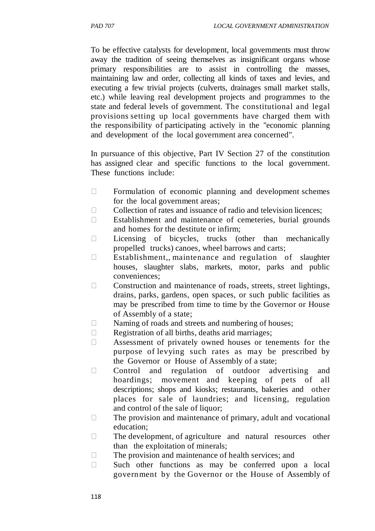To be effective catalysts for development, local governments must throw away the tradition of seeing themselves as insignificant organs whose primary responsibilities are to assist in controlling the masses, maintaining law and order, collecting all kinds of taxes and levies, and executing a few trivial projects (culverts, drainages small market stalls, etc.) while leaving real development projects and programmes to the state and federal levels of government. The constitutional and legal provisions setting up local governments have charged them with the responsibility of participating actively in the "economic planning and development of the local government area concerned".

In pursuance of this objective, Part IV Section 27 of the constitution has assigned clear and specific functions to the local government. These functions include:

 Formulation of economic planning and development schemes for the local government areas;

Collection of rates and issuance of radio and television licences;

 Establishment and maintenance of cemeteries, burial grounds and homes for the destitute or infirm;

 Licensing of bicycles, trucks (other than mechanically propelled trucks) canoes, wheel barrows and carts;

Establishment, maintenance and regulation of slaughter houses, slaughter slabs, markets, motor, parks and public conveniences;

Construction and maintenance of roads, streets, street lightings, drains, parks, gardens, open spaces, or such public facilities as may be prescribed from time to time by the Governor or House of Assembly of a state;

Naming of roads and streets and numbering of houses;

Registration of all births, deaths arid marriages;

 Assessment of privately owned houses or tenements for the purpose of levying such rates as may be prescribed by the Governor or House of Assembly of a state;

 Control and regulation of outdoor advertising and hoardings; movement and keeping of pets of all descriptions; shops and kiosks; restaurants, bakeries and other places for sale of laundries; and licensing, regulation and control of the sale of liquor;

 The provision and maintenance of primary, adult and vocational education;

 The development, of agriculture and natural resources other than the exploitation of minerals;

The provision and maintenance of health services; and

 Such other functions as may be conferred upon a local govern ment by the Governor or the House of Assembly of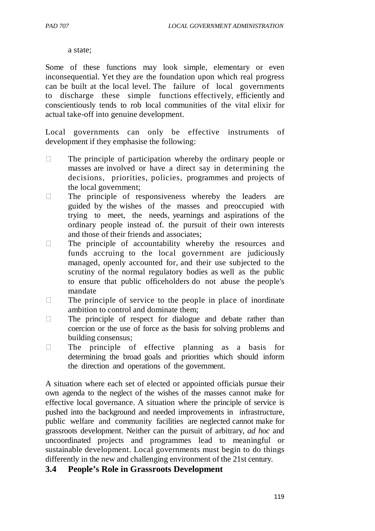a state;

Some of these functions may look simple, elementary or even inconsequential. Yet they are the foundation upon which real progress can be built at the local level. The failure of local governments to discharge these simple functions effectively, efficiently and conscientiously tends to rob local communities of the vital elixir for actual take-off into genuine development.

Local governments can only be effective instruments of development if they emphasise the following:

 The principle of participation whereby the ordinary people or masses are involved or have a direct say in determining the decisions, priorities, policies, programmes and projects of the local government;

 The principle of responsiveness whereby the leaders are guided by the wishes of the masses and preoccupied with trying to meet, the needs, yearnings and aspirations of the ordinary people instead of. the pursuit of their own interests and those of their friends and associates;

 The principle of accountability whereby the resources and funds accruing to the local government are judiciously managed, openly accounted for, and their use subjected to the scrutiny of the normal regulatory bodies as well as the public to ensure that public officeholders do not abuse the people's mandate

 The principle of service to the people in place of inordinate ambition to control and dominate them;

 The principle of respect for dialogue and debate rather than coercion or the use of force as the basis for solving problems and building consensus;

 The principle of effective planning as a basis for determining the broad goals and priorities which should inform the direction and operations of the government.

A situation where each set of elected or appointed officials pursue their own agenda to the neglect of the wishes of the masses cannot make for effective local governance. A situation where the principle of service is pushed into the background and needed improvements in infrastructure, public welfare and community facilities are neglected cannot make for grassroots development. Neither can the pursuit of arbitrary, *ad hoc* and uncoordinated projects and programmes lead to meaningful or sustainable development. Local governments must begin to do things differently in the new and challenging environment of the 21st century.

#### **3.4 People's Role in Grassroots Development**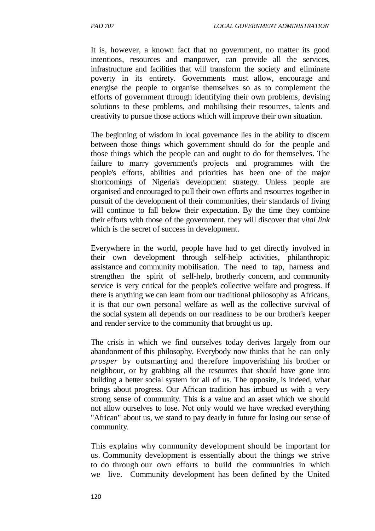It is, however, a known fact that no government, no matter its good intentions, resources and manpower, can provide all the services, infrastructure and facilities that will transform the society and eliminate poverty in its entirety. Governments must allow, encourage and energise the people to organise themselves so as to complement the efforts of government through identifying their own problems, devising solutions to these problems, and mobilising their resources, talents and creativity to pursue those actions which will improve their own situation.

The beginning of wisdom in local governance lies in the ability to discern between those things which government should do for the people and those things which the people can and ought to do for themselves. The failure to marry government's projects and programmes with the people's efforts, abilities and priorities has been one of the major shortcomings of Nigeria's development strategy. Unless people are organised and encouraged to pull their own efforts and resources together in pursuit of the development of their communities, their standards of living will continue to fall below their expectation. By the time they combine their efforts with those of the government, they will discover that *vital link*  which is the secret of success in development.

Everywhere in the world, people have had to get directly involved in their own development through self-help activities, philanthropic assistance and community mobilisation. The need to tap, harness and strengthen the spirit of self-help, brotherly concern, and community service is very critical for the people's collective welfare and progress. If there is anything we can learn from our traditional philosophy as Africans, it is that our own personal welfare as well as the collective survival of the social system all depends on our readiness to be our brother's keeper and render service to the community that brought us up.

The crisis in which we find ourselves today derives largely from our abandonment of this philosophy. Everybody now thinks that he can only *prosper* by outsmarting and therefore impoverishing his brother or neighbour, or by grabbing all the resources that should have gone into building a better social system for all of us. The opposite, is indeed, what brings about progress. Our African tradition has imbued us with a very strong sense of community. This is a value and an asset which we should not allow ourselves to lose. Not only would we have wrecked everything "African" about us, we stand to pay dearly in future for losing our sense of community.

This explains why community development should be important for us. Community development is essentially about the things we strive to do through our own efforts to build the communities in which we live. Community development has been defined by the United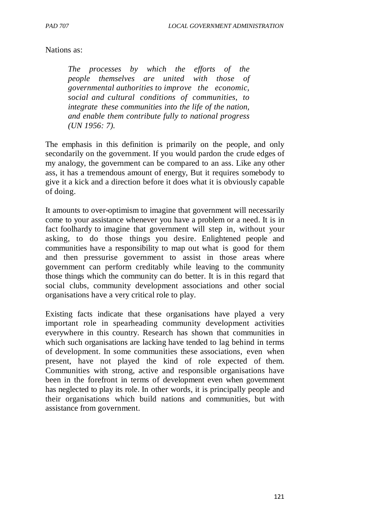Nations as:

*The processes by which the efforts of the people themselves are united with those of governmental authorities to improve the economic, social and cultural conditions of communities, to integrate these communities into the life of the nation, and enable them contribute fully to national progress (UN 1956: 7).*

The emphasis in this definition is primarily on the people, and only secondarily on the government. If you would pardon the crude edges of my analogy, the government can be compared to an ass. Like any other ass, it has a tremendous amount of energy, But it requires somebody to give it a kick and a direction before it does what it is obviously capable of doing.

It amounts to over-optimism to imagine that government will necessarily come to your assistance whenever you have a problem or a need. It is in fact foolhardy to imagine that government will step in, without your asking, to do those things you desire. Enlightened people and communities have a responsibility to map out what is good for them and then pressurise government to assist in those areas where government can perform creditably while leaving to the community those things which the community can do better. It is in this regard that social clubs, community development associations and other social organisations have a very critical role to play.

Existing facts indicate that these organisations have played a very important role in spearheading community development activities everywhere in this country. Research has shown that communities in which such organisations are lacking have tended to lag behind in terms of development. In some communities these associations, even when present, have not played the kind of role expected of them. Communities with strong, active and responsible organisations have been in the forefront in terms of development even when government has neglected to play its role. In other words, it is principally people and their organisations which build nations and communities, but with assistance from government.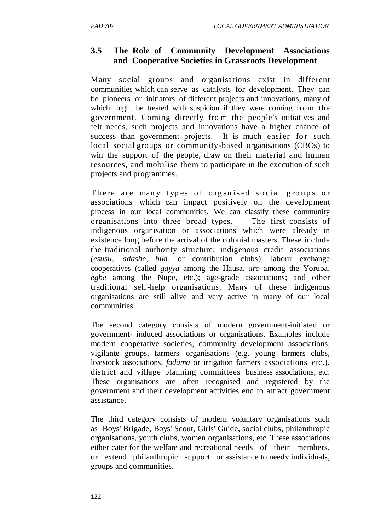# **3.5 The Role of Community Development Associations and Cooperative Societies in Grassroots Development**

Many social groups and organisations exist in different communities which can serve as catalysts for development. They can be pioneers or initiators of different projects and innovations, many of which might be treated with suspicion if they were coming from the government. Coming directly fro m the people's initiatives and felt needs, such projects and innovations have a higher chance of success than government projects. It is much easier for such local social groups or community-based organisations (CBOs) to win the support of the people, draw on their material and human resources, and mobilise them to participate in the execution of such projects and programmes.

There are many types of organised social groups or associations which can impact positively on the development process in our local communities. We can classify these community organisations into three broad types. The first consists of indigenous organisation or associations which were already in existence long before the arrival of the colonial masters. These include the traditional authority structure; indigenous credit associations *(esusu, adashe, biki,* or contribution clubs); labour exchange cooperatives (called *gayya* among the Hausa, *aro* among the Yoruba, *egbe* among the Nupe, etc.); age-grade associations; and other traditional self-help organisations. Many of these indigenous organisations are still alive and very active in many of our local communities.

The second category consists of modern government-initiated or government- induced associations or organisations. Examples include modern cooperative societies, community development associations, vigilante groups, farmers' organisations (e.g. young farmers clubs, livestock associations, *fadama* or irrigation farmers associations etc.), district and village planning committees business associations, etc. These organisations are often recognised and registered by the government and their development activities end to attract government assistance.

The third category consists of modern voluntary organisations such as Boys' Brigade, Boys' Scout, Girls' Guide, social clubs, philanthropic organisations, youth clubs, women organisations, etc. These associations either cater for the welfare and recreational needs of their members, or extend philanthropic support or assistance to needy individuals, groups and communities.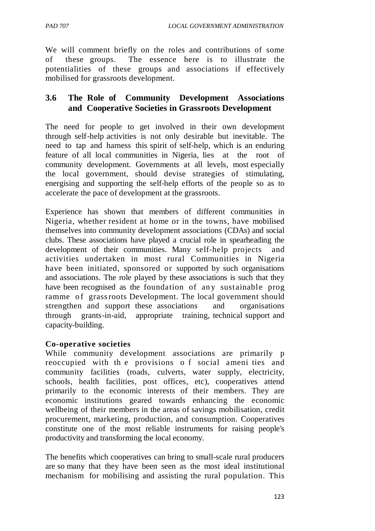We will comment briefly on the roles and contributions of some of these groups. The essence here is to illustrate the potentialities of these groups and associations if effectively mobilised for grassroots development.

# **3.6 The Role of Community Development Associations and Cooperative Societies in Grassroots Development**

The need for people to get involved in their own development through self-help activities is not only desirable but inevitable. The need to tap and harness this spirit of self-help, which is an enduring feature of all local communities in Nigeria, lies at the root of community development. Governments at all levels, most especially the local government, should devise strategies of stimulating, energising and supporting the self-help efforts of the people so as to accelerate the pace of development at the grassroots.

Experience has shown that members of different communities in Nigeria, whether resident at home or in the towns, have mobilised themselves into community development associations (CDAs) and social clubs. These associations have played a crucial role in spearheading the development of their communities. Many self-help projects and activities undertaken in most rural Communities in Nigeria have been initiated, sponsored or supported by such organisations and associations. The role played by these associations is such that they have been recognised as the foundation of any sustainable prog ramme of grass roots Development. The local government should strengthen and support these associations and organisations through grants-in-aid, appropriate training, technical support and capacity-building.

## **Co-operative societies**

While community development associations are primarily p reoccupied with th e provisions o f social ameni ties and community facilities (roads, culverts, water supply, electricity, schools, health facilities, post offices, etc), cooperatives attend primarily to the economic interests of their members. They are economic institutions geared towards enhancing the economic wellbeing of their members in the areas of savings mobilisation, credit procurement, marketing, production, and consumption. Cooperatives constitute one of the most reliable instruments for raising people's productivity and transforming the local economy.

The benefits which cooperatives can bring to small-scale rural producers are so many that they have been seen as the most ideal institutional mechanism for mobilising and assisting the rural population. This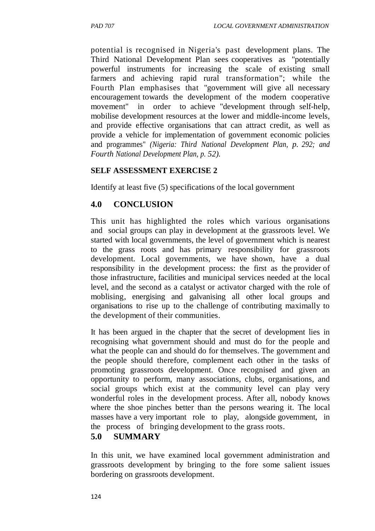potential is recognised in Nigeria's past development plans. The Third National Development Plan sees cooperatives as "potentially powerful instruments for increasing the scale of existing small farmers and achieving rapid rural transformation"; while the Fourth Plan emphasises that "government will give all necessary encouragement towards the development of the modern cooperative movement" in order to achieve "development through self-help, mobilise development resources at the lower and middle-income levels, and provide effective organisations that can attract credit, as well as provide a vehicle for implementation of government economic policies and programmes" *(Nigeria: Third National Development Plan, p. 292; and Fourth National Development Plan, p. 52).*

## **SELF ASSESSMENT EXERCISE 2**

Identify at least five (5) specifications of the local government

# **4.0 CONCLUSION**

This unit has highlighted the roles which various organisations and social groups can play in development at the grassroots level. We started with local governments, the level of government which is nearest to the grass roots and has primary responsibility for grassroots development. Local governments, we have shown, have a dual responsibility in the development process: the first as the provider of those infrastructure, facilities and municipal services needed at the local level, and the second as a catalyst or activator charged with the role of moblising, energising and galvanising all other local groups and organisations to rise up to the challenge of contributing maximally to the development of their communities.

It has been argued in the chapter that the secret of development lies in recognising what government should and must do for the people and what the people can and should do for themselves. The government and the people should therefore, complement each other in the tasks of promoting grassroots development. Once recognised and given an opportunity to perform, many associations, clubs, organisations, and social groups which exist at the community level can play very wonderful roles in the development process. After all, nobody knows where the shoe pinches better than the persons wearing it. The local masses have a very important role to play, alongside government, in the process of bringing development to the grass roots.

# **5.0 SUMMARY**

In this unit, we have examined local government administration and grassroots development by bringing to the fore some salient issues bordering on grassroots development.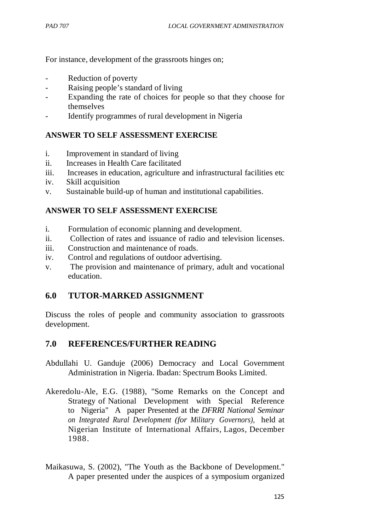For instance, development of the grassroots hinges on;

- Reduction of poverty
- Raising people's standard of living
- Expanding the rate of choices for people so that they choose for themselves
- Identify programmes of rural development in Nigeria

## **ANSWER TO SELF ASSESSMENT EXERCISE**

- i. Improvement in standard of living
- ii. Increases in Health Care facilitated
- iii. Increases in education, agriculture and infrastructural facilities etc
- iv. Skill acquisition
- v. Sustainable build-up of human and institutional capabilities.

## **ANSWER TO SELF ASSESSMENT EXERCISE**

- i. Formulation of economic planning and development.
- ii. Collection of rates and issuance of radio and television licenses.
- iii. Construction and maintenance of roads.
- iv. Control and regulations of outdoor advertising.
- v. The provision and maintenance of primary, adult and vocational education.

# **6.0 TUTOR-MARKED ASSIGNMENT**

Discuss the roles of people and community association to grassroots development.

# **7.0 REFERENCES/FURTHER READING**

- Abdullahi U. Ganduje (2006) Democracy and Local Government Administration in Nigeria. Ibadan: Spectrum Books Limited.
- Akeredolu-Ale, E.G. (1988), "Some Remarks on the Concept and Strategy of National Development with Special Reference to Nigeria" A paper Presented at the *DFRRI National Seminar on Integrated Rural Development (for Military Governors),* held at Nigerian Institute of International Affairs, Lagos, December 1988.
- Maikasuwa, S. (2002), "The Youth as the Backbone of Development." A paper presented under the auspices of a symposium organized